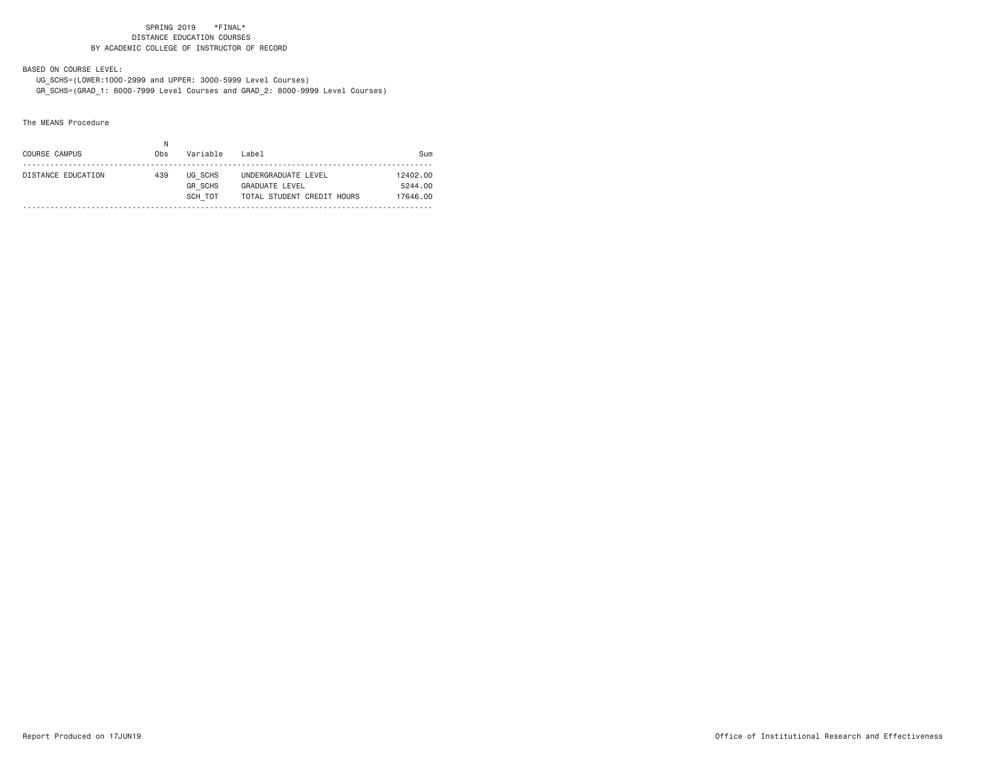BASED ON COURSE LEVEL:

 UG\_SCHS=(LOWER:1000-2999 and UPPER: 3000-5999 Level Courses) GR\_SCHS=(GRAD\_1: 6000-7999 Level Courses and GRAD\_2: 8000-9999 Level Courses)

## The MEANS Procedure

| COURSE CAMPUS      | Ν<br>0bs | Variable                             | l ahel                                                                     | Sum                             |
|--------------------|----------|--------------------------------------|----------------------------------------------------------------------------|---------------------------------|
| DISTANCE EDUCATION | 439      | UG SCHS<br><b>GR SCHS</b><br>SCH TOT | UNDERGRADUATE LEVEL<br><b>GRADUATE LEVEL</b><br>TOTAL STUDENT CREDIT HOURS | 12402.00<br>5244.00<br>17646.00 |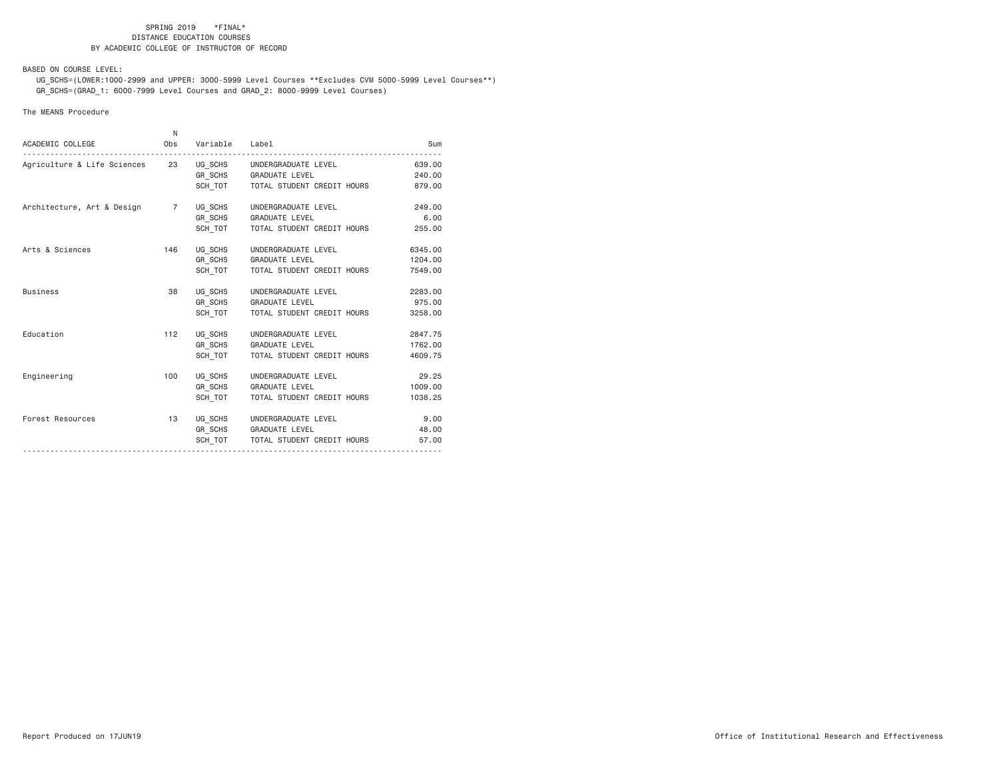BASED ON COURSE LEVEL:

 UG\_SCHS=(LOWER:1000-2999 and UPPER: 3000-5999 Level Courses \*\*Excludes CVM 5000-5999 Level Courses\*\*) GR\_SCHS=(GRAD\_1: 6000-7999 Level Courses and GRAD\_2: 8000-9999 Level Courses)

## The MEANS Procedure

| ACADEMIC COLLEGE                                           | N.<br>Obs | Variable Label |                                      | Sum     |
|------------------------------------------------------------|-----------|----------------|--------------------------------------|---------|
| Agriculture & Life Sciences 23 UG_SCHS UNDERGRADUATE LEVEL |           |                |                                      | 639,00  |
|                                                            |           |                | GR SCHS GRADUATE LEVEL               | 240.00  |
|                                                            |           |                | SCH_TOT TOTAL STUDENT CREDIT HOURS   | 879.00  |
| Architecture, Art & Design 7                               |           | UG SCHS        | UNDERGRADUATE LEVEL                  | 249,00  |
|                                                            |           | GR SCHS        | <b>GRADUATE LEVEL</b>                | 6,00    |
|                                                            |           | SCH TOT        | TOTAL STUDENT CREDIT HOURS           | 255.00  |
| Arts & Sciences                                            | 146       |                | UG SCHS UNDERGRADUATE LEVEL          | 6345.00 |
|                                                            |           |                | GR_SCHS GRADUATE LEVEL               | 1204.00 |
|                                                            |           |                | SCH TOT   TOTAL STUDENT CREDIT HOURS | 7549.00 |
| <b>Business</b>                                            | 38        |                | UG SCHS UNDERGRADUATE LEVEL          | 2283.00 |
|                                                            |           |                | GR_SCHS GRADUATE LEVEL               | 975.00  |
|                                                            |           | SCH TOT        | TOTAL STUDENT CREDIT HOURS           | 3258.00 |
| Education                                                  | 112       | UG SCHS        | UNDERGRADUATE LEVEL                  | 2847.75 |
|                                                            |           |                | GR SCHS GRADUATE LEVEL               | 1762.00 |
|                                                            |           | SCH TOT        | TOTAL STUDENT CREDIT HOURS           | 4609.75 |
| Engineering                                                | 100       |                | UG SCHS UNDERGRADUATE LEVEL          | 29.25   |
|                                                            |           |                | GR SCHS GRADUATE LEVEL               | 1009.00 |
|                                                            |           | SCH TOT        | TOTAL STUDENT CREDIT HOURS           | 1038.25 |
| Forest Resources                                           | 13        |                | UG SCHS UNDERGRADUATE LEVEL          | 9.00    |
|                                                            |           |                | GR SCHS GRADUATE LEVEL               | 48,00   |
|                                                            |           |                | SCH TOT   TOTAL STUDENT CREDIT HOURS | 57.00   |
|                                                            |           |                |                                      |         |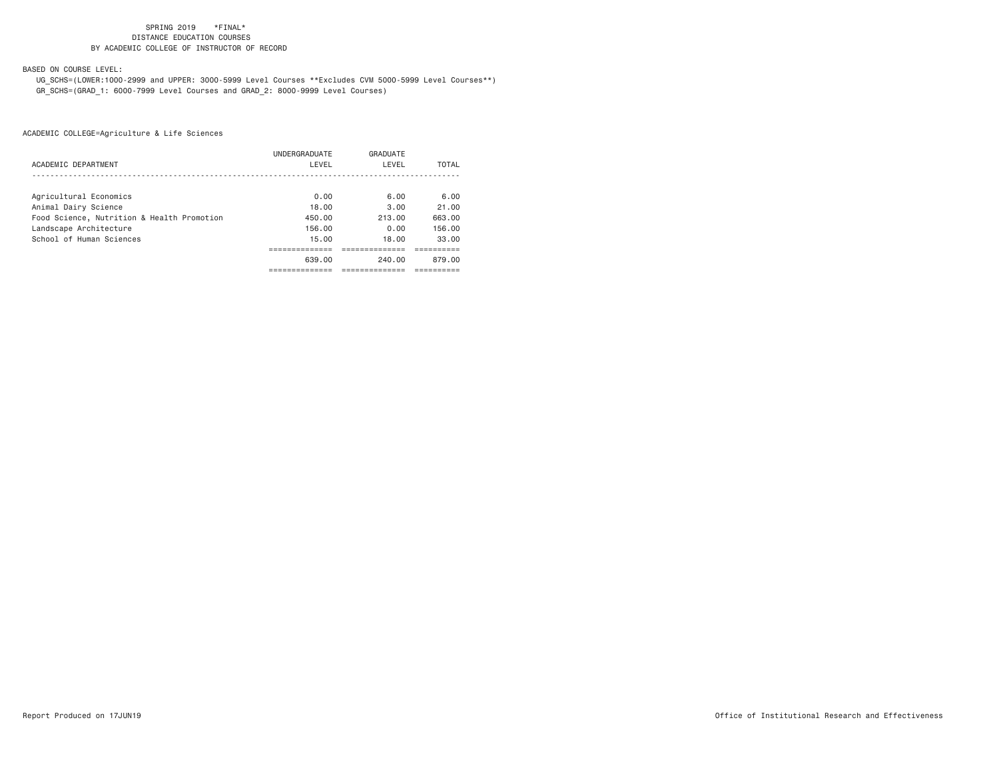BASED ON COURSE LEVEL:

 UG\_SCHS=(LOWER:1000-2999 and UPPER: 3000-5999 Level Courses \*\*Excludes CVM 5000-5999 Level Courses\*\*) GR\_SCHS=(GRAD\_1: 6000-7999 Level Courses and GRAD\_2: 8000-9999 Level Courses)

|                                            | UNDERGRADUATE | GRADUATE |        |
|--------------------------------------------|---------------|----------|--------|
| ACADEMIC DEPARTMENT                        | LEVEL         | LEVEL    | TOTAL  |
|                                            |               |          |        |
| Agricultural Economics                     | 0.00          | 6.00     | 6.00   |
| Animal Dairy Science                       | 18.00         | 3.00     | 21.00  |
| Food Science, Nutrition & Health Promotion | 450.00        | 213.00   | 663.00 |
| Landscape Architecture                     | 156.00        | 0.00     | 156.00 |
| School of Human Sciences                   | 15.00         | 18.00    | 33.00  |
|                                            |               |          |        |
|                                            | 639.00        | 240.00   | 879.00 |
|                                            |               |          |        |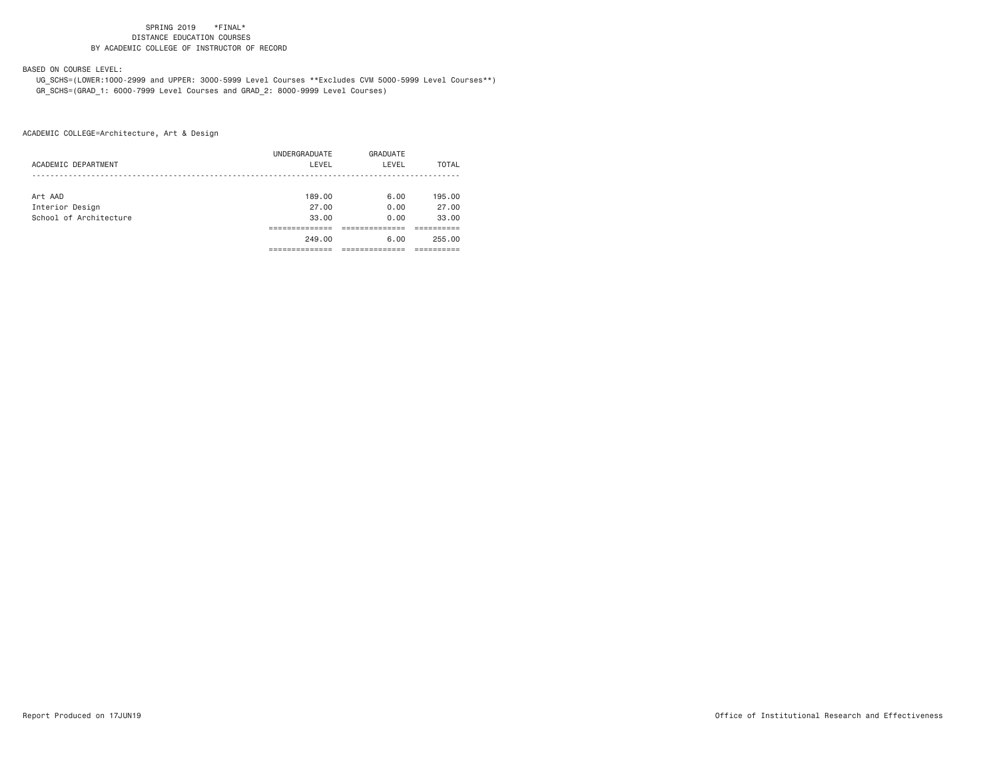BASED ON COURSE LEVEL:

 UG\_SCHS=(LOWER:1000-2999 and UPPER: 3000-5999 Level Courses \*\*Excludes CVM 5000-5999 Level Courses\*\*) GR\_SCHS=(GRAD\_1: 6000-7999 Level Courses and GRAD\_2: 8000-9999 Level Courses)

| ACADEMIC DEPARTMENT    | UNDERGRADUATE<br>LEVEL | GRADUATE<br>LEVEL | TOTAL  |
|------------------------|------------------------|-------------------|--------|
|                        |                        |                   |        |
| Art AAD                | 189.00                 | 6.00              | 195.00 |
| Interior Design        | 27.00                  | 0.00              | 27.00  |
| School of Architecture | 33.00                  | 0.00              | 33.00  |
|                        |                        |                   |        |
|                        | 249.00                 | 6.00              | 255.00 |
|                        |                        |                   |        |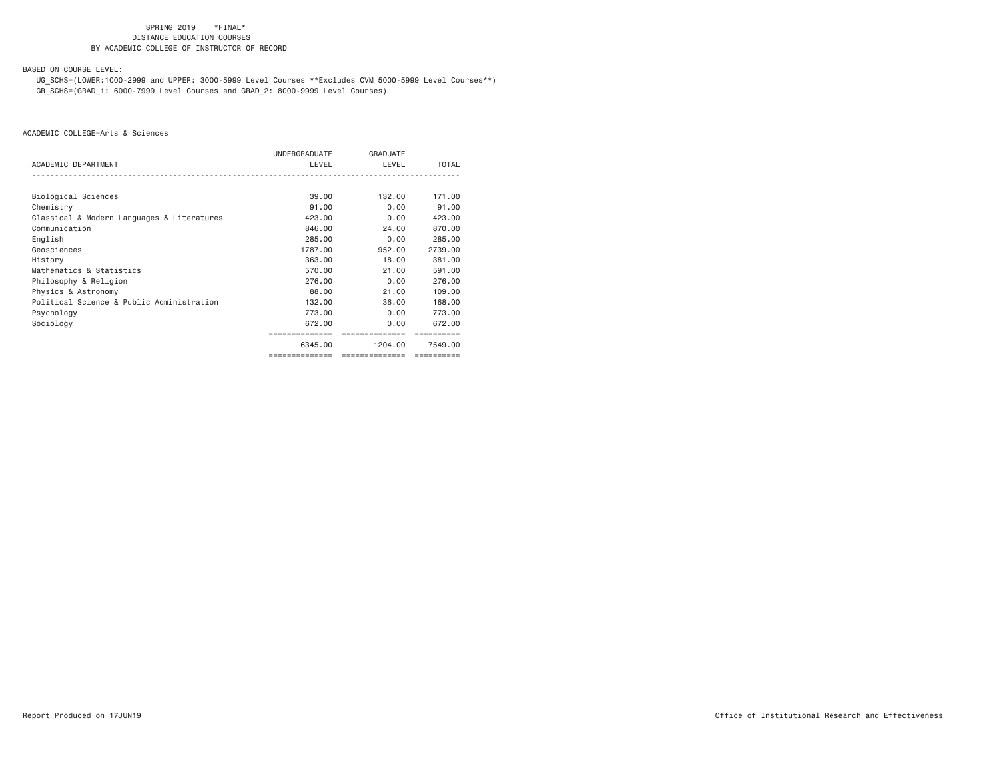BASED ON COURSE LEVEL:

 UG\_SCHS=(LOWER:1000-2999 and UPPER: 3000-5999 Level Courses \*\*Excludes CVM 5000-5999 Level Courses\*\*) GR\_SCHS=(GRAD\_1: 6000-7999 Level Courses and GRAD\_2: 8000-9999 Level Courses)

|                                            | UNDERGRADUATE  | <b>GRADUATE</b> |              |
|--------------------------------------------|----------------|-----------------|--------------|
| ACADEMIC DEPARTMENT                        | LEVEL          | LEVEL           | <b>TOTAL</b> |
|                                            |                |                 |              |
| Biological Sciences                        | 39,00          | 132,00          | 171.00       |
| Chemistry                                  | 91.00          | 0.00            | 91.00        |
| Classical & Modern Languages & Literatures | 423,00         | 0.00            | 423,00       |
| Communication                              | 846,00         | 24.00           | 870.00       |
| English                                    | 285,00         | 0.00            | 285,00       |
| Geosciences                                | 1787.00        | 952,00          | 2739.00      |
| History                                    | 363,00         | 18,00           | 381,00       |
| Mathematics & Statistics                   | 570.00         | 21.00           | 591,00       |
| Philosophy & Religion                      | 276.00         | 0.00            | 276,00       |
| Physics & Astronomy                        | 88,00          | 21.00           | 109,00       |
| Political Science & Public Administration  | 132.00         | 36,00           | 168,00       |
| Psychology                                 | 773.00         | 0.00            | 773,00       |
| Sociology                                  | 672.00         | 0.00            | 672.00       |
|                                            |                |                 |              |
|                                            | 6345.00        | 1204.00         | 7549.00      |
|                                            | ============== | ==============  | ---------    |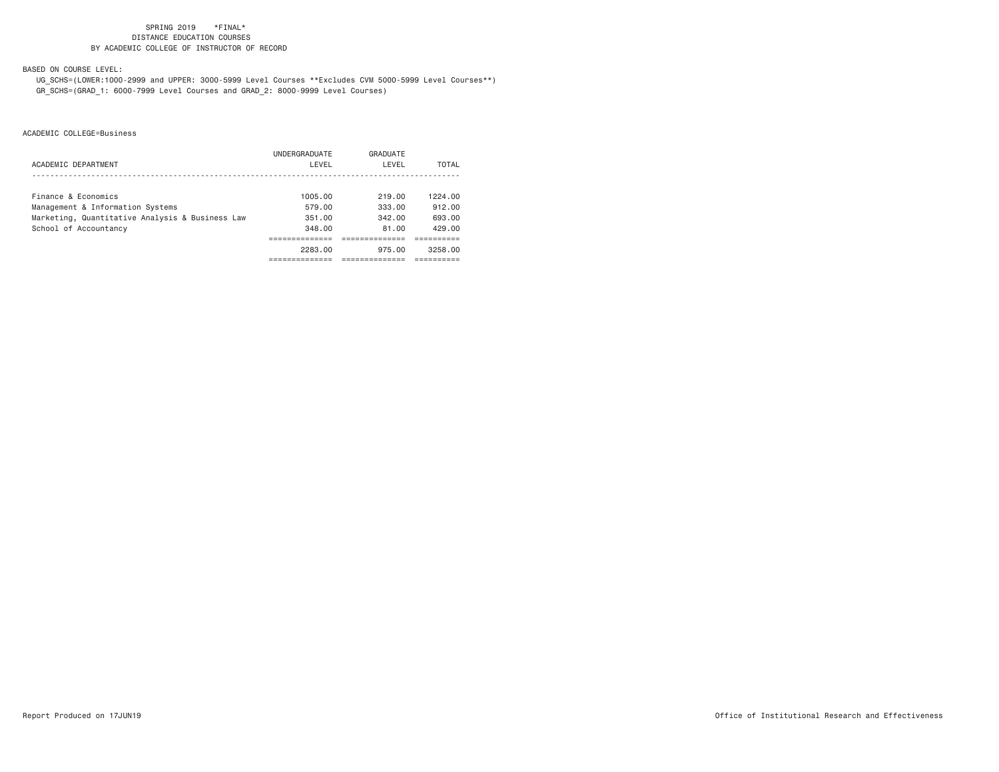BASED ON COURSE LEVEL:

 UG\_SCHS=(LOWER:1000-2999 and UPPER: 3000-5999 Level Courses \*\*Excludes CVM 5000-5999 Level Courses\*\*) GR\_SCHS=(GRAD\_1: 6000-7999 Level Courses and GRAD\_2: 8000-9999 Level Courses)

|                                                 | UNDERGRADUATE | GRADUATE |         |
|-------------------------------------------------|---------------|----------|---------|
| ACADEMIC DEPARTMENT                             | LEVEL         | LEVEL    | TOTAL   |
|                                                 |               |          |         |
| Finance & Economics                             | 1005.00       | 219.00   | 1224.00 |
| Management & Information Systems                | 579.00        | 333.00   | 912.00  |
| Marketing, Quantitative Analysis & Business Law | 351.00        | 342.00   | 693.00  |
| School of Accountancy                           | 348.00        | 81.00    | 429.00  |
|                                                 |               |          |         |
|                                                 | 2283.00       | 975.00   | 3258.00 |
|                                                 |               |          |         |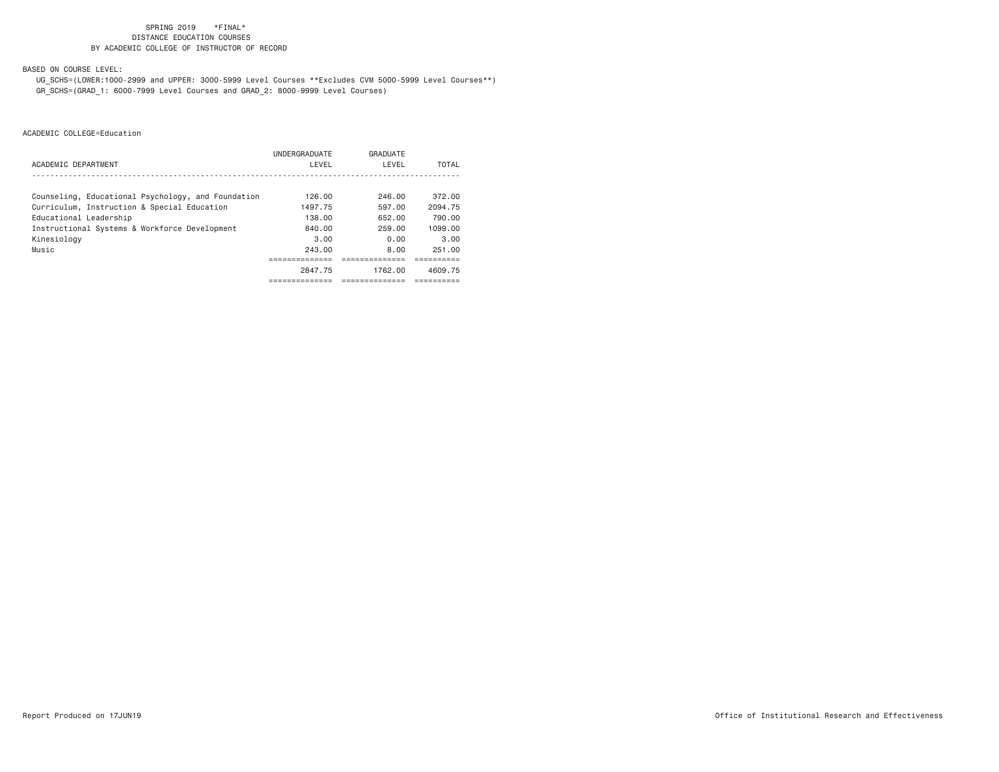BASED ON COURSE LEVEL:

 UG\_SCHS=(LOWER:1000-2999 and UPPER: 3000-5999 Level Courses \*\*Excludes CVM 5000-5999 Level Courses\*\*) GR\_SCHS=(GRAD\_1: 6000-7999 Level Courses and GRAD\_2: 8000-9999 Level Courses)

|                                                    | UNDERGRADUATE | GRADUATE   |              |
|----------------------------------------------------|---------------|------------|--------------|
| ACADEMIC DEPARTMENT                                | LEVEL         | LEVEL      | <b>TOTAL</b> |
|                                                    |               |            |              |
| Counseling, Educational Psychology, and Foundation | 126.00        | 246.00     | 372.00       |
| Curriculum, Instruction & Special Education        | 1497.75       | 597.00     | 2094.75      |
| Educational Leadership                             | 138,00        | 652.00     | 790.00       |
| Instructional Systems & Workforce Development      | 840.00        | 259.00     | 1099.00      |
| Kinesiology                                        | 3.00          | 0.00       | 3.00         |
| Music                                              | 243.00        | 8.00       | 251.00       |
|                                                    |               |            |              |
|                                                    | 2847.75       | 1762.00    | 4609.75      |
|                                                    | -----------   | ---------- |              |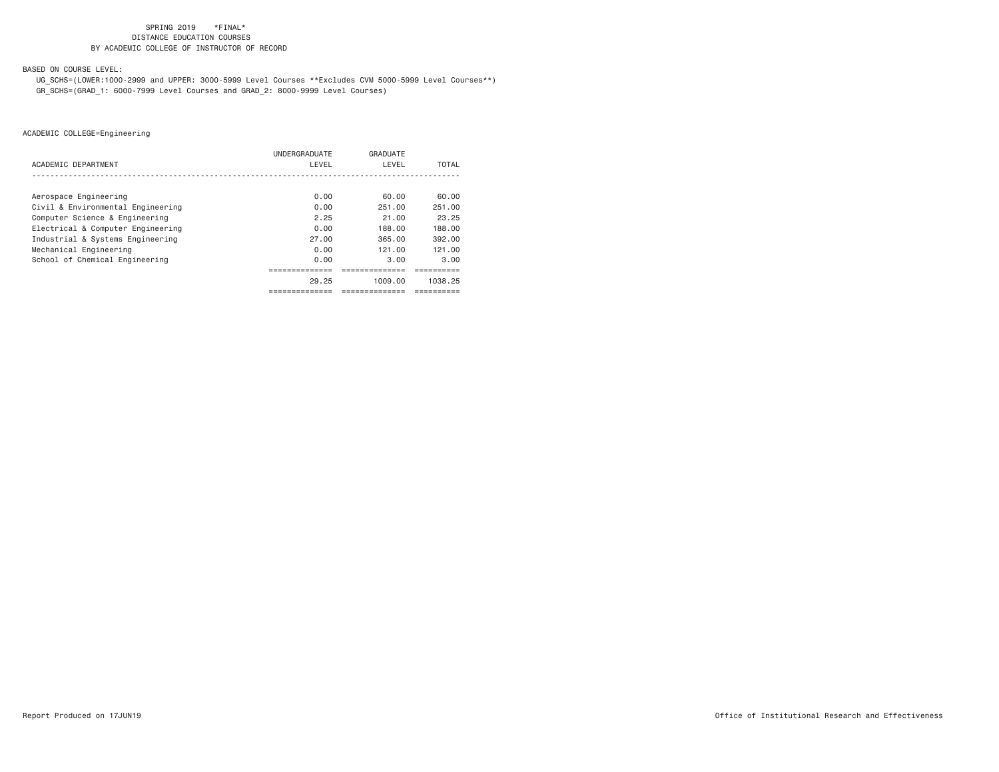BASED ON COURSE LEVEL:

 UG\_SCHS=(LOWER:1000-2999 and UPPER: 3000-5999 Level Courses \*\*Excludes CVM 5000-5999 Level Courses\*\*) GR\_SCHS=(GRAD\_1: 6000-7999 Level Courses and GRAD\_2: 8000-9999 Level Courses)

|                                   | UNDERGRADUATE | GRADUATE |         |
|-----------------------------------|---------------|----------|---------|
| ACADEMIC DEPARTMENT               | LEVEL         | LEVEL    | TOTAL   |
|                                   |               |          |         |
| Aerospace Engineering             | 0.00          | 60.00    | 60.00   |
| Civil & Environmental Engineering | 0.00          | 251.00   | 251.00  |
| Computer Science & Engineering    | 2.25          | 21.00    | 23.25   |
| Electrical & Computer Engineering | 0.00          | 188.00   | 188.00  |
| Industrial & Systems Engineering  | 27.00         | 365.00   | 392.00  |
| Mechanical Engineering            | 0.00          | 121.00   | 121.00  |
| School of Chemical Engineering    | 0.00          | 3.00     | 3.00    |
|                                   |               |          |         |
|                                   | 29.25         | 1009.00  | 1038.25 |
|                                   |               |          |         |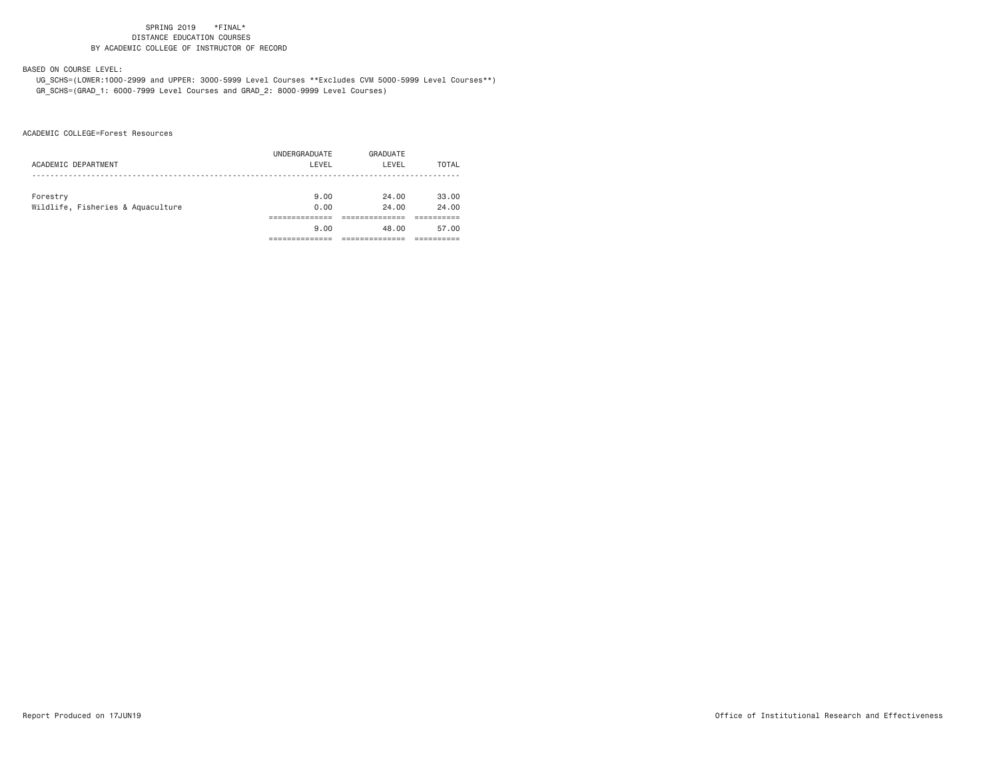# BASED ON COURSE LEVEL:

 UG\_SCHS=(LOWER:1000-2999 and UPPER: 3000-5999 Level Courses \*\*Excludes CVM 5000-5999 Level Courses\*\*) GR\_SCHS=(GRAD\_1: 6000-7999 Level Courses and GRAD\_2: 8000-9999 Level Courses)

ACADEMIC COLLEGE=Forest Resources

| ACADEMIC DEPARTMENT                           | UNDERGRADUATE<br>LEVEL | GRADUATE<br>LEVEL | TOTAL          |
|-----------------------------------------------|------------------------|-------------------|----------------|
| Forestry<br>Wildlife, Fisheries & Aquaculture | 9.00<br>0.00           | 24.00<br>24.00    | 33.00<br>24.00 |
|                                               |                        |                   |                |
|                                               | 9.00                   | 48.00             | 57.00          |
|                                               |                        |                   |                |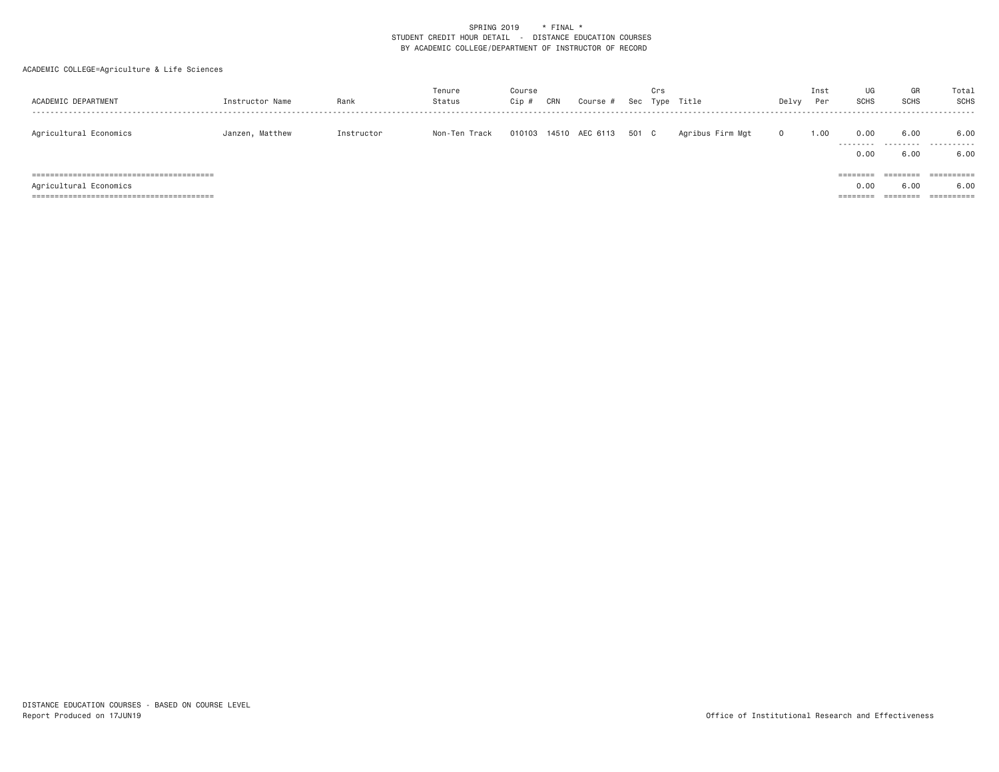| ACADEMIC DEPARTMENT    | Instructor Name | Rank       | Tenure<br>Status | Course<br>Cip # | CRN | Course #                    | Crs | Sec Type Title   | Delvy    | Inst<br>Per | UG<br><b>SCHS</b>         | GR<br><b>SCHS</b>            | Total<br>SCHS       |
|------------------------|-----------------|------------|------------------|-----------------|-----|-----------------------------|-----|------------------|----------|-------------|---------------------------|------------------------------|---------------------|
| Agricultural Economics | Janzen, Matthew | Instructor | Non-Ten Track    |                 |     | 010103 14510 AEC 6113 501 C |     | Agribus Firm Mgt | $\Omega$ | 1.00        | 0.00<br>---------<br>0.00 | 6.00<br>6,00                 | 6.00<br>.<br>6.00   |
| Agricultural Economics |                 |            |                  |                 |     |                             |     |                  |          |             | ========<br>0.00          | ========<br>6.00<br>======== | -----------<br>6.00 |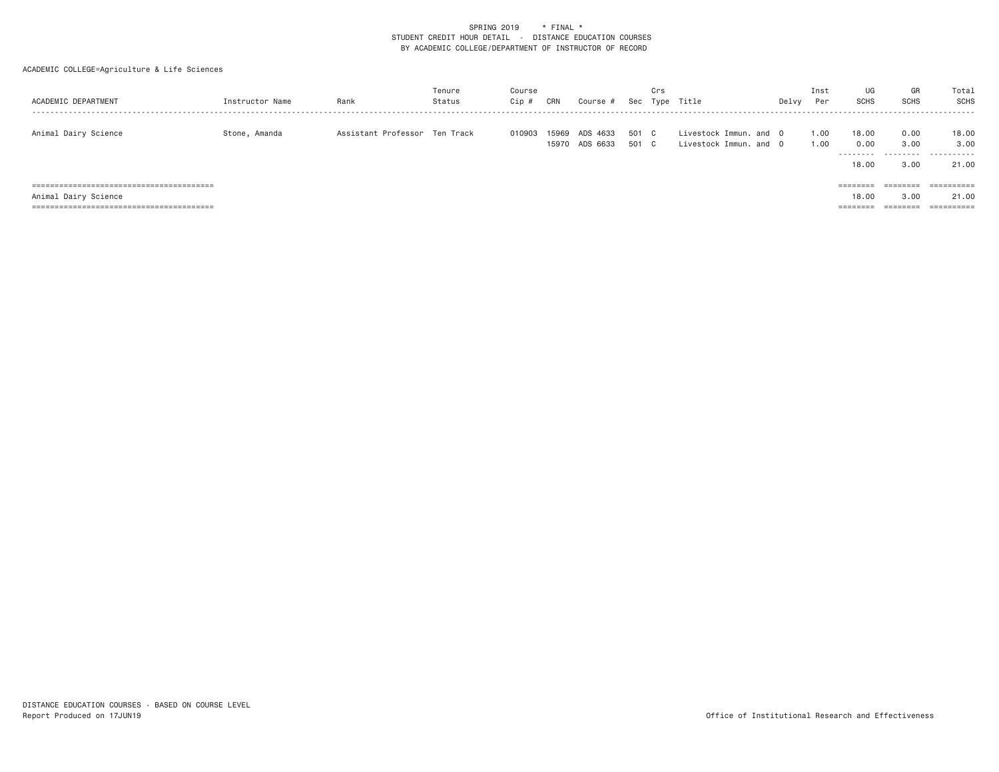| ACADEMIC DEPARTMENT  | Instructor Name | Rank                          | Tenure<br>Status | Course<br>Cip # | CRN | Course #                         |                | Crs | Sec Type Title                                   | Delvy | Inst<br>Per  | UG<br>SCHS                          | GR<br>SCHS                | Total<br>SCHS               |
|----------------------|-----------------|-------------------------------|------------------|-----------------|-----|----------------------------------|----------------|-----|--------------------------------------------------|-------|--------------|-------------------------------------|---------------------------|-----------------------------|
| Animal Dairy Science | Stone, Amanda   | Assistant Professor Ten Track |                  | 010903          |     | 15969 ADS 4633<br>15970 ADS 6633 | 501 C<br>501 C |     | Livestock Immun, and O<br>Livestock Immun, and O |       | 1.00<br>1.00 | 18,00<br>0.00<br>---------<br>18,00 | 0.00<br>3.00<br>.<br>3.00 | 18,00<br>3,00<br>.<br>21.00 |
|                      |                 |                               |                  |                 |     |                                  |                |     |                                                  |       |              | ========                            | ========                  | ==========                  |
| Animal Dairy Science |                 |                               |                  |                 |     |                                  |                |     |                                                  |       |              | 18,00                               | 3.00                      | 21.00                       |
|                      |                 |                               |                  |                 |     |                                  |                |     |                                                  |       |              | ========                            | ========                  | ==========                  |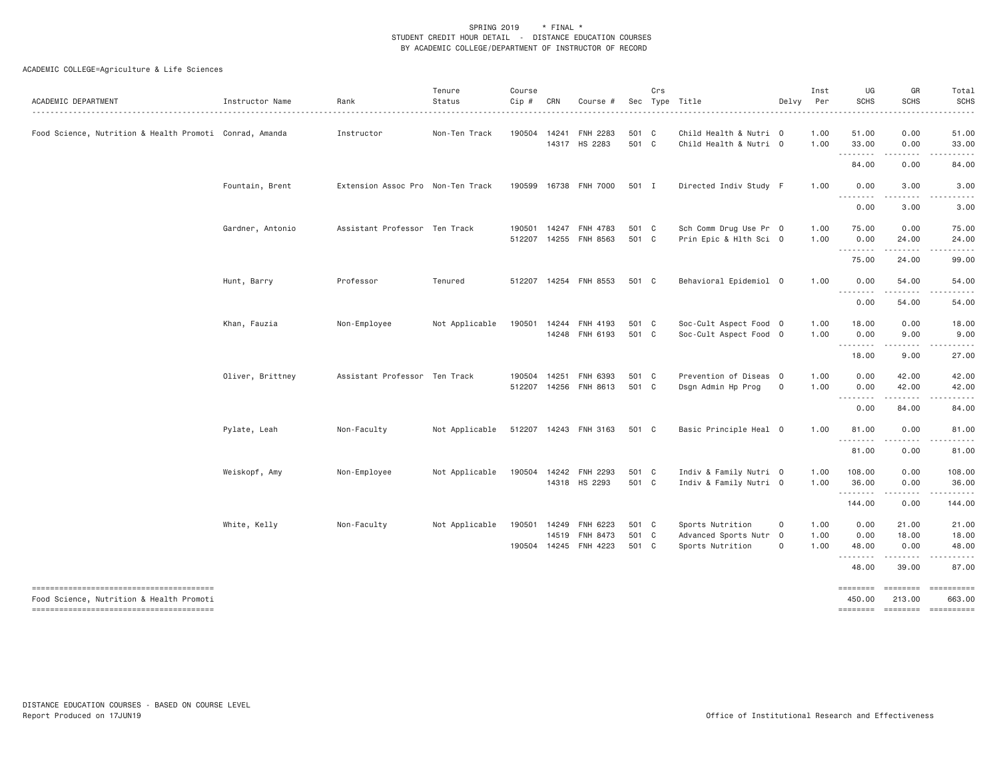| ACADEMIC DEPARTMENT                                     | Instructor Name  | Rank                              | Tenure<br>Status | Course<br>Cip # | CRN | Course #                               |                | Crs | Sec Type Title                                   | Delvy        | Inst<br>Per  | UG<br><b>SCHS</b>         | GR<br><b>SCHS</b>                                                                                                                                             | Total<br><b>SCHS</b>        |
|---------------------------------------------------------|------------------|-----------------------------------|------------------|-----------------|-----|----------------------------------------|----------------|-----|--------------------------------------------------|--------------|--------------|---------------------------|---------------------------------------------------------------------------------------------------------------------------------------------------------------|-----------------------------|
| Food Science, Nutrition & Health Promoti Conrad, Amanda |                  | Instructor                        | Non-Ten Track    |                 |     | 190504 14241 FNH 2283<br>14317 HS 2283 | 501 C<br>501 C |     | Child Health & Nutri 0<br>Child Health & Nutri 0 |              | 1.00<br>1.00 | 51.00<br>33.00            | 0.00<br>0.00                                                                                                                                                  | 51.00<br>33.00              |
|                                                         |                  |                                   |                  |                 |     |                                        |                |     |                                                  |              |              | --------<br>84.00         | .<br>0.00                                                                                                                                                     | .<br>84.00                  |
|                                                         | Fountain, Brent  | Extension Assoc Pro Non-Ten Track |                  |                 |     | 190599 16738 FNH 7000                  | 501 I          |     | Directed Indiv Study F                           |              | 1.00         | 0.00<br>.                 | 3.00<br>.                                                                                                                                                     | 3.00                        |
|                                                         |                  |                                   |                  |                 |     |                                        |                |     |                                                  |              |              | 0.00                      | 3.00                                                                                                                                                          | 3.00                        |
|                                                         | Gardner, Antonio | Assistant Professor Ten Track     |                  | 190501          |     | 14247 FNH 4783                         | 501 C          |     | Sch Comm Drug Use Pr 0                           |              | 1.00         | 75.00                     | 0.00                                                                                                                                                          | 75.00                       |
|                                                         |                  |                                   |                  |                 |     | 512207 14255 FNH 8563                  | 501 C          |     | Prin Epic & Hlth Sci 0                           |              | 1.00         | 0.00<br>.                 | 24.00<br>$\frac{1}{2} \left( \frac{1}{2} \right) \left( \frac{1}{2} \right) \left( \frac{1}{2} \right) \left( \frac{1}{2} \right) \left( \frac{1}{2} \right)$ | 24.00                       |
|                                                         |                  |                                   |                  |                 |     |                                        |                |     |                                                  |              |              | 75.00                     | 24.00                                                                                                                                                         | 99.00                       |
|                                                         | Hunt, Barry      | Professor                         | Tenured          |                 |     | 512207 14254 FNH 8553                  | 501 C          |     | Behavioral Epidemiol 0                           |              | 1.00         | 0.00<br>.                 | 54.00                                                                                                                                                         | 54.00                       |
|                                                         |                  |                                   |                  |                 |     |                                        |                |     |                                                  |              |              | 0.00                      | 54.00                                                                                                                                                         | 54.00                       |
|                                                         | Khan, Fauzia     | Non-Employee                      | Not Applicable   | 190501          |     | 14244 FNH 4193                         | 501 C          |     | Soc-Cult Aspect Food 0                           |              | 1.00         | 18.00                     | 0.00                                                                                                                                                          | 18.00                       |
|                                                         |                  |                                   |                  |                 |     | 14248 FNH 6193                         | 501 C          |     | Soc-Cult Aspect Food 0                           |              | 1.00         | 0.00<br>--------          | 9.00<br>.                                                                                                                                                     | 9.00                        |
|                                                         |                  |                                   |                  |                 |     |                                        |                |     |                                                  |              |              | 18.00                     | 9.00                                                                                                                                                          | 27.00                       |
|                                                         | Oliver, Brittney | Assistant Professor Ten Track     |                  | 190504 14251    |     | FNH 6393                               | 501 C          |     | Prevention of Diseas 0                           |              | 1.00         | 0.00                      | 42.00                                                                                                                                                         | 42.00                       |
|                                                         |                  |                                   |                  |                 |     | 512207 14256 FNH 8613                  | 501 C          |     | Dsgn Admin Hp Prog                               | $\circ$      | 1.00         | 0.00                      | 42.00<br>.                                                                                                                                                    | 42.00<br>.                  |
|                                                         |                  |                                   |                  |                 |     |                                        |                |     |                                                  |              |              | 0.00                      | 84.00                                                                                                                                                         | 84.00                       |
|                                                         | Pylate, Leah     | Non-Faculty                       | Not Applicable   |                 |     | 512207 14243 FNH 3163                  | 501 C          |     | Basic Principle Heal 0                           |              | 1.00         | 81,00                     | 0.00                                                                                                                                                          | 81.00                       |
|                                                         |                  |                                   |                  |                 |     |                                        |                |     |                                                  |              |              | .<br>81.00                | -----<br>0.00                                                                                                                                                 | .<br>81.00                  |
|                                                         | Weiskopf, Amy    | Non-Employee                      | Not Applicable   |                 |     | 190504 14242 FNH 2293                  | 501 C          |     | Indiv & Family Nutri 0                           |              | 1.00         | 108.00                    | 0.00                                                                                                                                                          | 108.00                      |
|                                                         |                  |                                   |                  |                 |     | 14318 HS 2293                          | 501 C          |     | Indiv & Family Nutri 0                           |              | 1.00         | 36.00                     | 0.00                                                                                                                                                          | 36.00                       |
|                                                         |                  |                                   |                  |                 |     |                                        |                |     |                                                  |              |              | .<br>144.00               | 0.00                                                                                                                                                          | 144.00                      |
|                                                         | White, Kelly     | Non-Faculty                       | Not Applicable   | 190501          |     | 14249 FNH 6223                         | 501 C          |     | Sports Nutrition                                 | 0            | 1.00         | 0.00                      | 21.00                                                                                                                                                         | 21.00                       |
|                                                         |                  |                                   |                  |                 |     | 14519 FNH 8473                         | 501 C          |     | Advanced Sports Nutr 0                           |              | 1.00         | 0.00                      | 18.00                                                                                                                                                         | 18.00                       |
|                                                         |                  |                                   |                  |                 |     | 190504 14245 FNH 4223                  | 501 C          |     | Sports Nutrition                                 | $\mathbf{O}$ | 1.00         | 48.00<br>.                | 0.00<br>.                                                                                                                                                     | 48.00<br>.                  |
|                                                         |                  |                                   |                  |                 |     |                                        |                |     |                                                  |              |              | 48.00                     | 39.00                                                                                                                                                         | 87.00                       |
| Food Science, Nutrition & Health Promoti                |                  |                                   |                  |                 |     |                                        |                |     |                                                  |              |              | <b>EDESSERS</b><br>450.00 | ========<br>213.00                                                                                                                                            | ==========<br>663.00        |
|                                                         |                  |                                   |                  |                 |     |                                        |                |     |                                                  |              |              |                           |                                                                                                                                                               | ======== ======== ========= |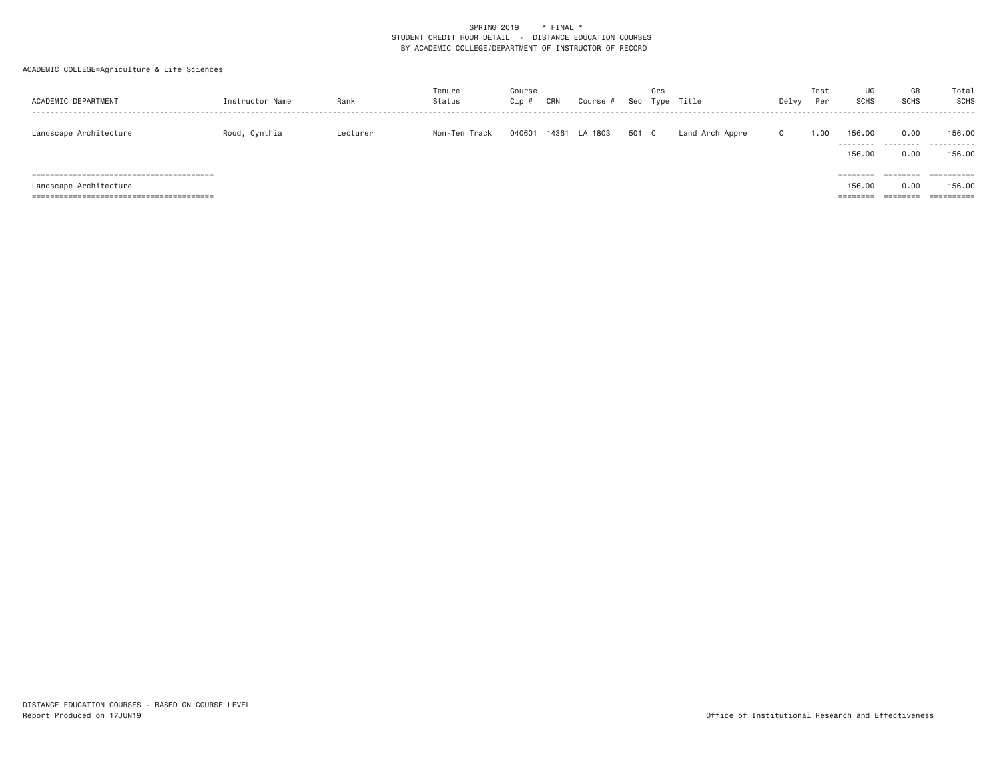| ACADEMIC DEPARTMENT    | Instructor Name | Rank     | Tenure<br>Status | Course<br>Cip # | CRN | Course #      |       | Crs | Sec Type Title  | Delvy    | Inst<br>Per | UG<br><b>SCHS</b>                                | GR<br><b>SCHS</b>            | Total<br>SCHS         |
|------------------------|-----------------|----------|------------------|-----------------|-----|---------------|-------|-----|-----------------|----------|-------------|--------------------------------------------------|------------------------------|-----------------------|
| Landscape Architecture | Rood, Cynthia   | Lecturer | Non-Ten Track    | 040601          |     | 14361 LA 1803 | 501 C |     | Land Arch Appre | $\Omega$ | 1.00        | 156,00<br>---------<br>156.00                    | 0.00<br>.<br>0.00            | 156.00<br>.<br>156.00 |
| Landscape Architecture |                 |          |                  |                 |     |               |       |     |                 |          |             | $=$ = = = = = = =<br>156,00<br>$=$ = = = = = = = | ========<br>0.00<br>======== | 156.00                |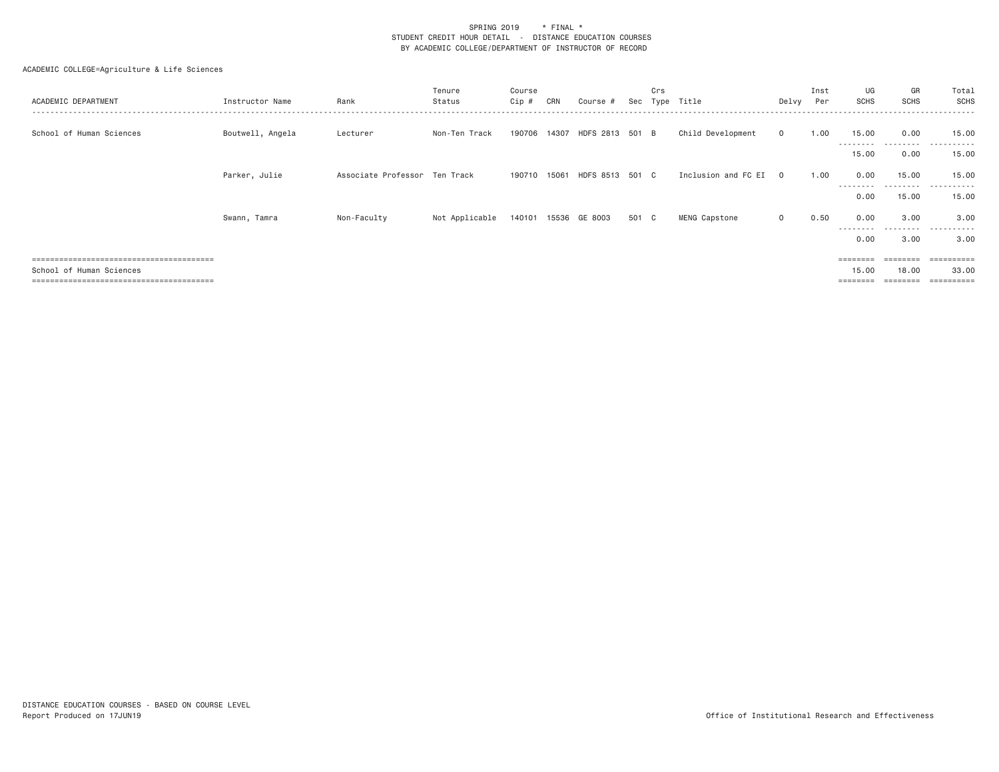| ACADEMIC DEPARTMENT      | Instructor Name  | Rank                          | Tenure<br>Status | Course<br>Cip # | CRN   | Course ∤                     | Sec   | Crs<br>Type | Title               | Delvy    | Inst<br>Per | UG<br><b>SCHS</b>  | GR<br><b>SCHS</b>  | Total<br>SCHS    |
|--------------------------|------------------|-------------------------------|------------------|-----------------|-------|------------------------------|-------|-------------|---------------------|----------|-------------|--------------------|--------------------|------------------|
| School of Human Sciences | Boutwell, Angela | Lecturer                      | Non-Ten Track    |                 |       | 190706 14307 HDFS 2813 501 B |       |             | Child Development   | $\Omega$ | 1.00        | 15.00<br>--------- | 0.00<br>.          | 15,00<br>.       |
|                          |                  |                               |                  |                 |       |                              |       |             |                     |          |             | 15.00              | 0.00               | 15,00            |
|                          | Parker, Julie    | Associate Professor Ten Track |                  | 190710          | 15061 | HDFS 8513 501 C              |       |             | Inclusion and FC EI | $\Omega$ | 1.00        | 0.00               | 15.00              | 15,00            |
|                          |                  |                               |                  |                 |       |                              |       |             |                     |          |             | ---------<br>0.00  | ---------<br>15.00 | .<br>15.00       |
|                          | Swann, Tamra     | Non-Faculty                   | Not Applicable   | 140101          |       | 15536 GE 8003                | 501 C |             | MENG Capstone       | $\Omega$ | 0.50        | 0.00               | 3,00               | 3,00             |
|                          |                  |                               |                  |                 |       |                              |       |             |                     |          |             | ---------<br>0.00  | .<br>3.00          | .<br>3.00        |
|                          |                  |                               |                  |                 |       |                              |       |             |                     |          |             | $=$ = = = = = = =  | ========           |                  |
| School of Human Sciences |                  |                               |                  |                 |       |                              |       |             |                     |          |             | 15.00              | 18,00              | 33,00<br>======= |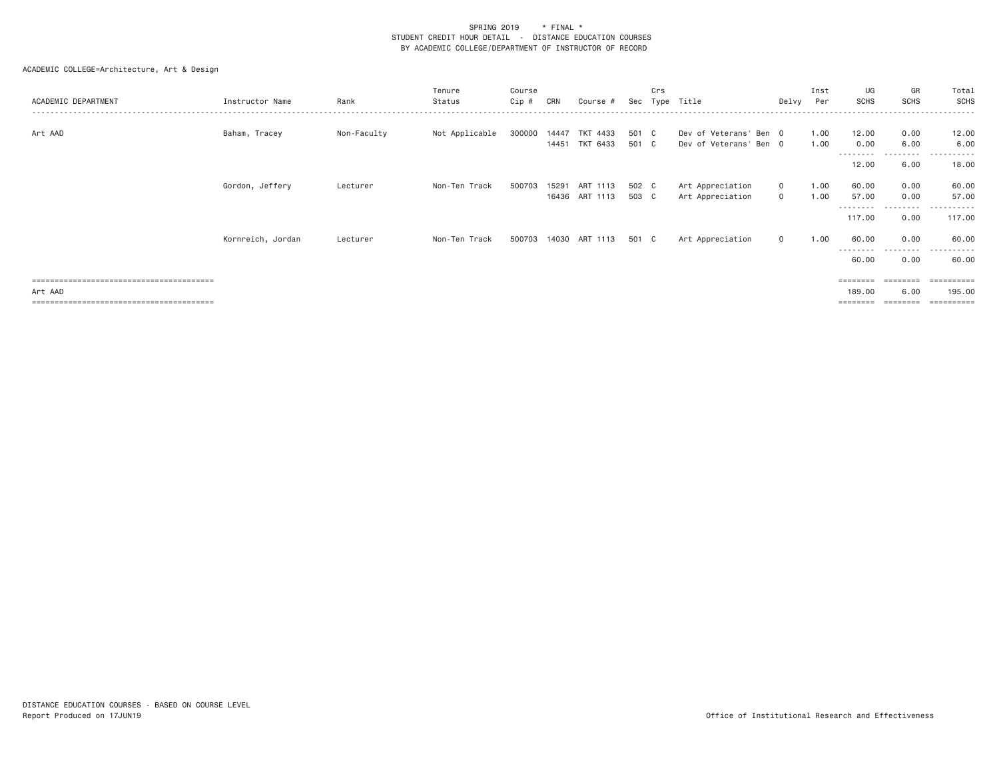| ACADEMIC DEPARTMENT | Instructor Name   | Rank        | Tenure<br>Status | Course<br>Cip # | CRN            | Course #                   | Sec            | Crs | Type Title                                       | Delvy                        | Inst<br>Per  | UG<br><b>SCHS</b>         | GR<br><b>SCHS</b> | Total<br>SCHS      |
|---------------------|-------------------|-------------|------------------|-----------------|----------------|----------------------------|----------------|-----|--------------------------------------------------|------------------------------|--------------|---------------------------|-------------------|--------------------|
| Art AAD             | Baham, Tracey     | Non-Faculty | Not Applicable   | 300000          | 14447<br>14451 | TKT 4433<br>TKT 6433       | 501 C<br>501 C |     | Dev of Veterans' Ben 0<br>Dev of Veterans' Ben 0 |                              | 1.00<br>1.00 | 12.00<br>0.00<br>-------- | 0.00<br>6.00<br>. | 12.00<br>6.00<br>. |
|                     |                   |             |                  |                 |                |                            |                |     |                                                  |                              |              | 12.00                     | 6.00              | 18.00              |
|                     | Gordon, Jeffery   | Lecturer    | Non-Ten Track    | 500703          | 15291          | ART 1113<br>16436 ART 1113 | 502 C<br>503 C |     | Art Appreciation<br>Art Appreciation             | $\mathbf{0}$<br>$\mathbf{0}$ | 1.00<br>1.00 | 60.00<br>57.00            | 0.00<br>0.00      | 60.00<br>57.00     |
|                     |                   |             |                  |                 |                |                            |                |     |                                                  |                              |              | --------<br>117.00        | .<br>0.00         | -------<br>117.00  |
|                     | Kornreich, Jordan | Lecturer    | Non-Ten Track    |                 |                | 500703 14030 ART 1113      | 501 C          |     | Art Appreciation                                 | $\circ$                      | 1.00         | 60.00                     | 0.00              | 60.00              |
|                     |                   |             |                  |                 |                |                            |                |     |                                                  |                              |              | --------<br>60.00         | .<br>0.00         | .<br>60.00         |
|                     |                   |             |                  |                 |                |                            |                |     |                                                  |                              |              | ========                  | ========          | -----------        |
| Art AAD             |                   |             |                  |                 |                |                            |                |     |                                                  |                              |              | 189,00                    | 6.00              | 195,00             |
|                     |                   |             |                  |                 |                |                            |                |     |                                                  |                              |              | ========                  |                   | ==========         |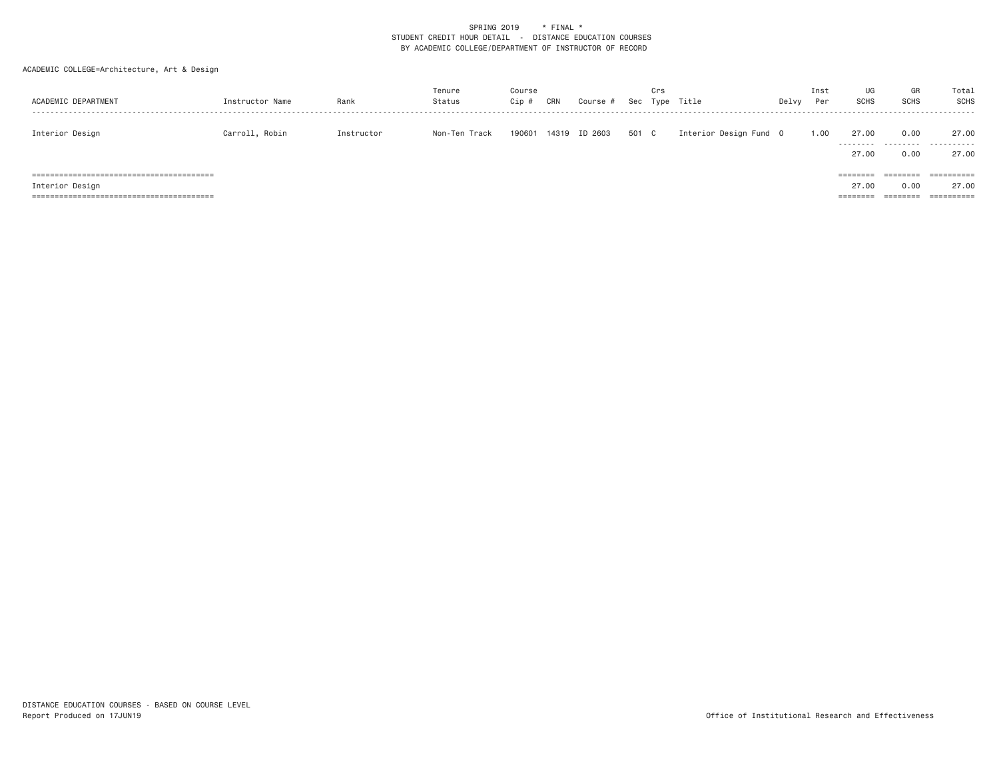| ACADEMIC DEPARTMENT | Instructor Name | Rank       | Tenure<br>Status | Course<br>Cip ; | CRN | Course # |       | Crs | Sec Type Title         | Delvy | Inst<br>Per | UG<br><b>SCHS</b>             | GR<br><b>SCHS</b>            | Total<br><b>SCHS</b> |
|---------------------|-----------------|------------|------------------|-----------------|-----|----------|-------|-----|------------------------|-------|-------------|-------------------------------|------------------------------|----------------------|
| Interior Design     | Carroll, Robin  | Instructor | Non-Ten Track    | 190601 14319    |     | ID 2603  | 501 C |     | Interior Design Fund 0 |       | 1.00        | 27.00<br>.<br>27.00           | 0.00<br>0.00                 | 27.00<br>.<br>27.00  |
| Interior Design     |                 |            |                  |                 |     |          |       |     |                        |       |             | ========<br>27.00<br>======== | ========<br>0.00<br>======== | ==========<br>27.00  |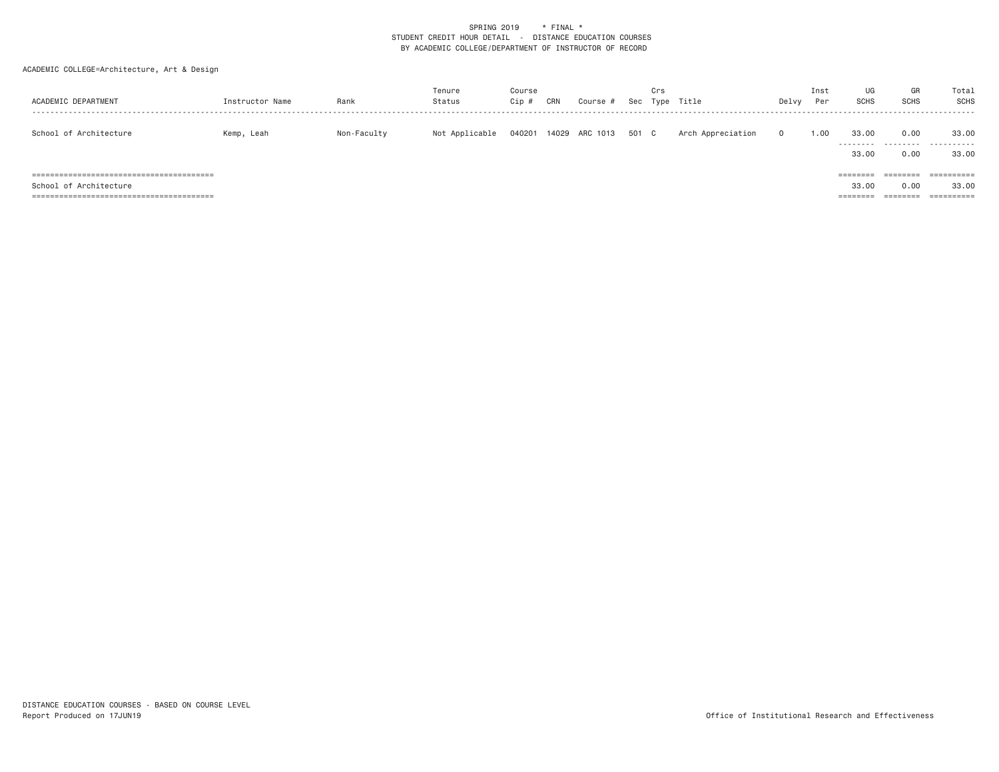| ACADEMIC DEPARTMENT    | Instructor Name | Rank        | Tenure<br>Status | Course<br>Cip # | CRN | Course #             | Crs | Sec Type Title    | Delvy    | Inst<br>Per | UG<br><b>SCHS</b> | GR<br><b>SCHS</b>            | Total<br>SCHS        |
|------------------------|-----------------|-------------|------------------|-----------------|-----|----------------------|-----|-------------------|----------|-------------|-------------------|------------------------------|----------------------|
| School of Architecture | Kemp, Leah      | Non-Faculty | Not Applicable   | 040201          |     | 14029 ARC 1013 501 C |     | Arch Appreciation | $\Omega$ | 1.00        | 33,00<br>33,00    | 0.00<br>0.00                 | 33,00<br><br>33,00   |
| School of Architecture |                 |             |                  |                 |     |                      |     |                   |          |             | ========<br>33,00 | ========<br>0.00<br>======== | -----------<br>33,00 |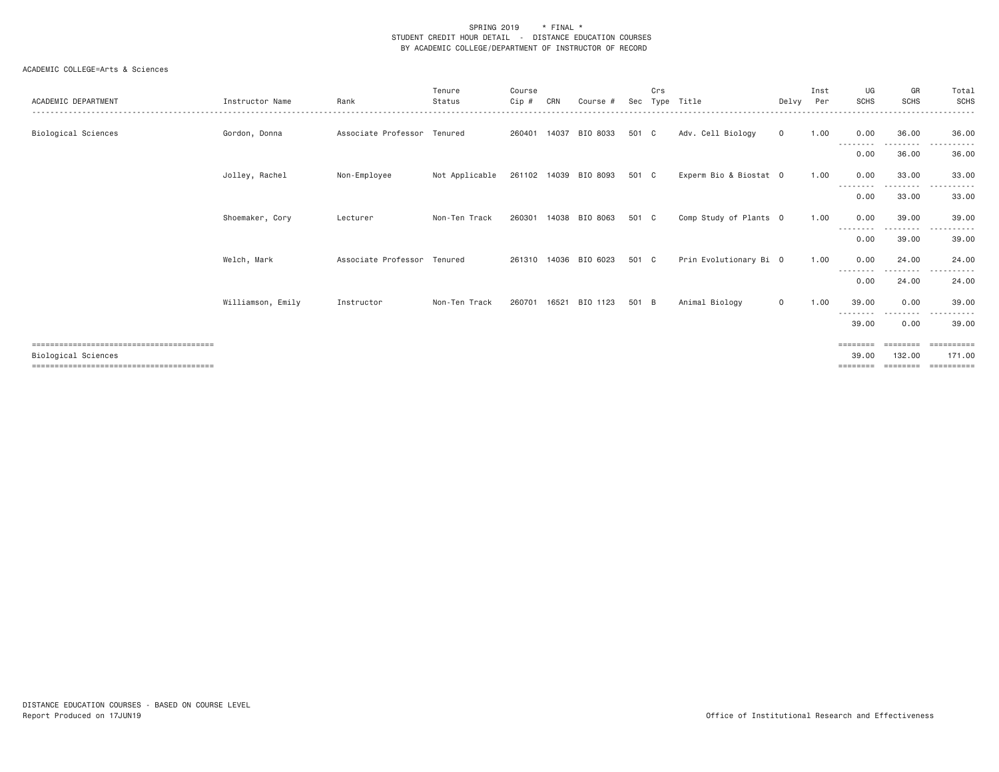| ACADEMIC DEPARTMENT        | Instructor Name   | Rank                        | Tenure<br>Status | Course<br>Cip # | CRN   | Course #              | Sec   | Crs | Type Title             | Delvy       | Inst<br>Per | UG<br>SCHS                    | GR<br><b>SCHS</b>                                                                                                                                                                              | Total<br><b>SCHS</b>              |
|----------------------------|-------------------|-----------------------------|------------------|-----------------|-------|-----------------------|-------|-----|------------------------|-------------|-------------|-------------------------------|------------------------------------------------------------------------------------------------------------------------------------------------------------------------------------------------|-----------------------------------|
| Biological Sciences        | Gordon, Donna     | Associate Professor Tenured |                  | 260401          | 14037 | BIO 8033              | 501 C |     | Adv. Cell Biology      | $\mathbf 0$ | 1.00        | 0.00<br>--------              | 36.00<br>. <b>.</b>                                                                                                                                                                            | 36,00<br>.                        |
|                            |                   |                             |                  |                 |       |                       |       |     |                        |             |             | 0.00                          | 36.00                                                                                                                                                                                          | 36.00                             |
|                            | Jolley, Rachel    | Non-Employee                | Not Applicable   | 261102 14039    |       | BIO 8093              | 501 C |     | Experm Bio & Biostat 0 |             | 1.00        | 0.00                          | 33,00<br>$\frac{1}{2}$                                                                                                                                                                         | 33,00                             |
|                            |                   |                             |                  |                 |       |                       |       |     |                        |             |             | 0.00                          | 33.00                                                                                                                                                                                          | 33.00                             |
|                            | Shoemaker, Cory   | Lecturer                    | Non-Ten Track    | 260301          | 14038 | BIO 8063              | 501 C |     | Comp Study of Plants 0 |             | 1.00        | 0.00                          | 39.00<br>$\frac{1}{2} \left( \frac{1}{2} \right) \left( \frac{1}{2} \right) \left( \frac{1}{2} \right) \left( \frac{1}{2} \right) \left( \frac{1}{2} \right) \left( \frac{1}{2} \right)$       | 39,00<br>. <u>.</u> .             |
|                            |                   |                             |                  |                 |       |                       |       |     |                        |             |             | --------<br>0.00              | 39.00                                                                                                                                                                                          | 39.00                             |
|                            | Welch, Mark       | Associate Professor Tenured |                  |                 |       | 261310 14036 BIO 6023 | 501 C |     | Prin Evolutionary Bi 0 |             | 1.00        | 0.00                          | 24,00<br>---------                                                                                                                                                                             | 24,00<br>.<br>$  -$               |
|                            |                   |                             |                  |                 |       |                       |       |     |                        |             |             | 0.00                          | 24,00                                                                                                                                                                                          | 24.00                             |
|                            | Williamson, Emily | Instructor                  | Non-Ten Track    | 260701          | 16521 | BIO 1123              | 501 B |     | Animal Biology         | $\mathbf 0$ | 1.00        | 39,00<br>---------            | 0.00<br>$\frac{1}{2} \left( \frac{1}{2} \right) \left( \frac{1}{2} \right) \left( \frac{1}{2} \right) \left( \frac{1}{2} \right) \left( \frac{1}{2} \right) \left( \frac{1}{2} \right)$<br>--- | 39,00<br>.                        |
|                            |                   |                             |                  |                 |       |                       |       |     |                        |             |             | 39.00                         | 0.00                                                                                                                                                                                           | 39,00                             |
| <b>Biological Sciences</b> |                   |                             |                  |                 |       |                       |       |     |                        |             |             | ========<br>39,00<br>======== | $=$ = = = = = = =<br>132,00<br>========                                                                                                                                                        | ESSESSESS<br>171.00<br>========== |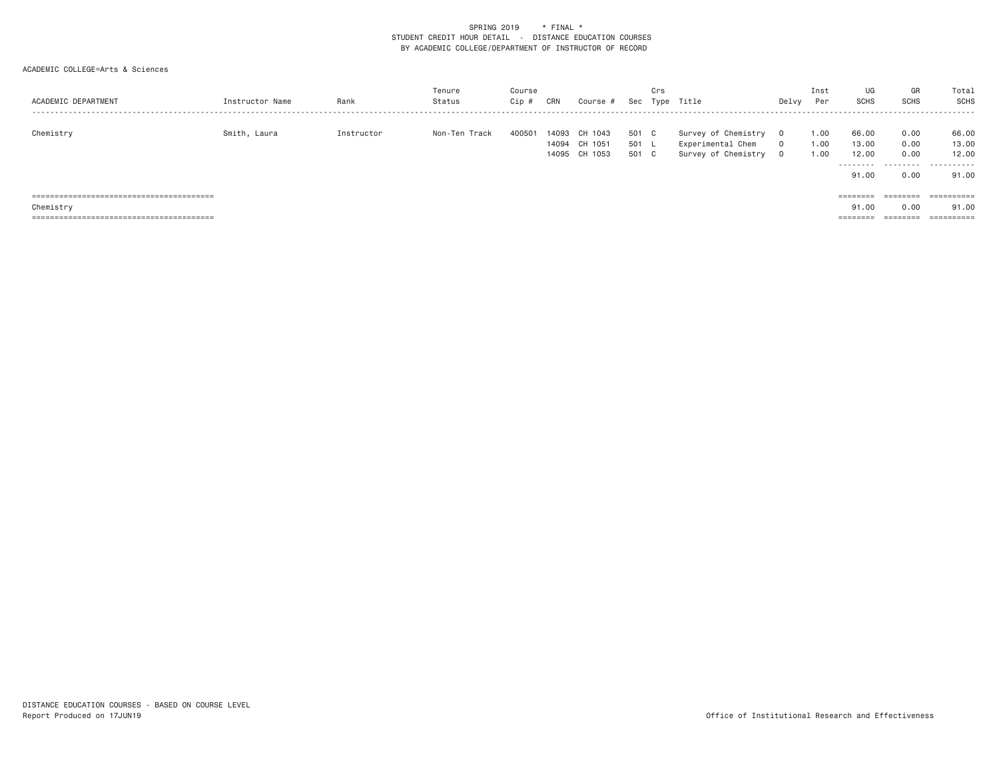| ACADEMIC DEPARTMENT | Instructor Name | Rank       | Tenure<br>Status | Course<br>Cip # | CRN   | Course #      | Sec   | Crs | Type Title          | Delvy    | Inst<br>Per | UG<br><b>SCHS</b> | GR<br><b>SCHS</b> | Total<br>SCHS |
|---------------------|-----------------|------------|------------------|-----------------|-------|---------------|-------|-----|---------------------|----------|-------------|-------------------|-------------------|---------------|
|                     |                 |            |                  |                 |       |               |       |     |                     |          |             |                   |                   |               |
| Chemistry           | Smith, Laura    | Instructor | Non-Ten Track    | 400501          | 14093 | CH 1043       | 501   | C.  | Survey of Chemistry | $\Omega$ | 1.00        | 66.00             | 0.00              | 66.00         |
|                     |                 |            |                  |                 | 14094 | CH 1051       | 501   |     | Experimental Chem   | $\Omega$ | 1.00        | 13,00             | 0.00              | 13.00         |
|                     |                 |            |                  |                 |       | 14095 CH 1053 | 501 C |     | Survey of Chemistry | $\Omega$ | 1.00        | 12.00             | 0.00              | 12.00         |
|                     |                 |            |                  |                 |       |               |       |     |                     |          |             | .                 | ---------         | .             |
|                     |                 |            |                  |                 |       |               |       |     |                     |          |             | 91.00             | 0.00              | 91.00         |
|                     |                 |            |                  |                 |       |               |       |     |                     |          |             |                   |                   |               |
|                     |                 |            |                  |                 |       |               |       |     |                     |          |             | ========          | ========          | ==========    |
| Chemistry           |                 |            |                  |                 |       |               |       |     |                     |          |             | 91.00             | 0.00              | 91.00         |
|                     |                 |            |                  |                 |       |               |       |     |                     |          |             | ========          | ========          |               |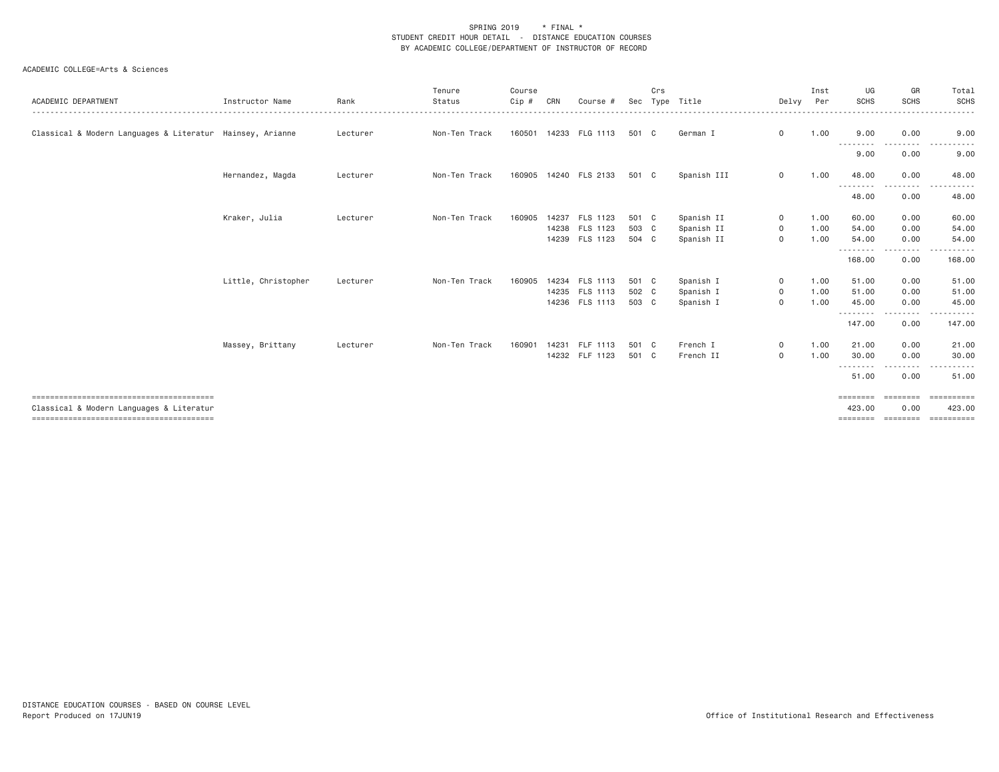| ACADEMIC DEPARTMENT                                       | Instructor Name     | Rank     | Tenure<br>Status | Course<br>Cip # | CRN | Course #                         | Sec            | Crs | Type Title               | Delvy                        | Inst<br>Per  | UG<br><b>SCHS</b>  | GR<br><b>SCHS</b><br>. <b>.</b> . | Total<br><b>SCHS</b><br>. <b>.</b> . |
|-----------------------------------------------------------|---------------------|----------|------------------|-----------------|-----|----------------------------------|----------------|-----|--------------------------|------------------------------|--------------|--------------------|-----------------------------------|--------------------------------------|
| Classical & Modern Languages & Literatur Hainsey, Arianne |                     | Lecturer | Non-Ten Track    |                 |     | 160501 14233 FLG 1113            | 501 C          |     | German I                 | $\mathbf 0$                  | 1.00         | 9.00               | 0.00                              | 9.00                                 |
|                                                           |                     |          |                  |                 |     |                                  |                |     |                          |                              |              | .<br>9.00          | --------<br>0.00                  | .<br>9.00                            |
|                                                           | Hernandez, Magda    | Lecturer | Non-Ten Track    |                 |     | 160905 14240 FLS 2133            | 501 C          |     | Spanish III              | 0                            | 1.00         | 48.00<br>--------- | 0.00<br>-----                     | 48.00                                |
|                                                           |                     |          |                  |                 |     |                                  |                |     |                          |                              |              | 48.00              | 0.00                              | 48.00                                |
|                                                           | Kraker, Julia       | Lecturer | Non-Ten Track    | 160905          |     | 14237 FLS 1123                   | 501 C          |     | Spanish II               | $\circ$                      | 1.00         | 60.00              | 0.00                              | 60.00                                |
|                                                           |                     |          |                  |                 |     | 14238 FLS 1123<br>14239 FLS 1123 | 503 C<br>504 C |     | Spanish II<br>Spanish II | $\circ$<br>$\mathbf 0$       | 1.00<br>1.00 | 54,00<br>54.00     | 0.00<br>0.00                      | 54.00<br>54.00                       |
|                                                           |                     |          |                  |                 |     |                                  |                |     |                          |                              |              | .<br>168.00        | $- - - - -$<br>0.00               | 168.00                               |
|                                                           | Little, Christopher | Lecturer | Non-Ten Track    | 160905          |     | 14234 FLS 1113                   | 501 C          |     | Spanish I                | $\mathbf{O}$                 | 1.00         | 51.00              | 0.00                              | 51.00                                |
|                                                           |                     |          |                  |                 |     | 14235 FLS 1113<br>14236 FLS 1113 | 502 C<br>503 C |     | Spanish I<br>Spanish I   | $\mathbf{O}$<br>$\mathsf{O}$ | 1.00<br>1.00 | 51.00<br>45.00     | 0.00<br>0.00                      | 51.00<br>45.00                       |
|                                                           |                     |          |                  |                 |     |                                  |                |     |                          |                              |              | .<br>147.00        | --------<br>0.00                  | .<br>147.00                          |
|                                                           | Massey, Brittany    | Lecturer | Non-Ten Track    | 160901          |     | 14231 FLF 1113<br>14232 FLF 1123 | 501 C<br>501 C |     | French I<br>French II    | $\mathbf{0}$<br>$\mathbf 0$  | 1.00<br>1.00 | 21.00<br>30.00     | 0.00<br>0.00                      | 21.00<br>30.00                       |
|                                                           |                     |          |                  |                 |     |                                  |                |     |                          |                              |              | .<br>51.00         | 0.00                              | 51.00                                |
|                                                           |                     |          |                  |                 |     |                                  |                |     |                          |                              |              | ========           | $=$ = = = = = = =                 | ==========                           |
| Classical & Modern Languages & Literatur                  |                     |          |                  |                 |     |                                  |                |     |                          |                              |              | 423.00<br>======== | 0.00<br>========                  | 423.00<br>==========                 |
|                                                           |                     |          |                  |                 |     |                                  |                |     |                          |                              |              |                    |                                   |                                      |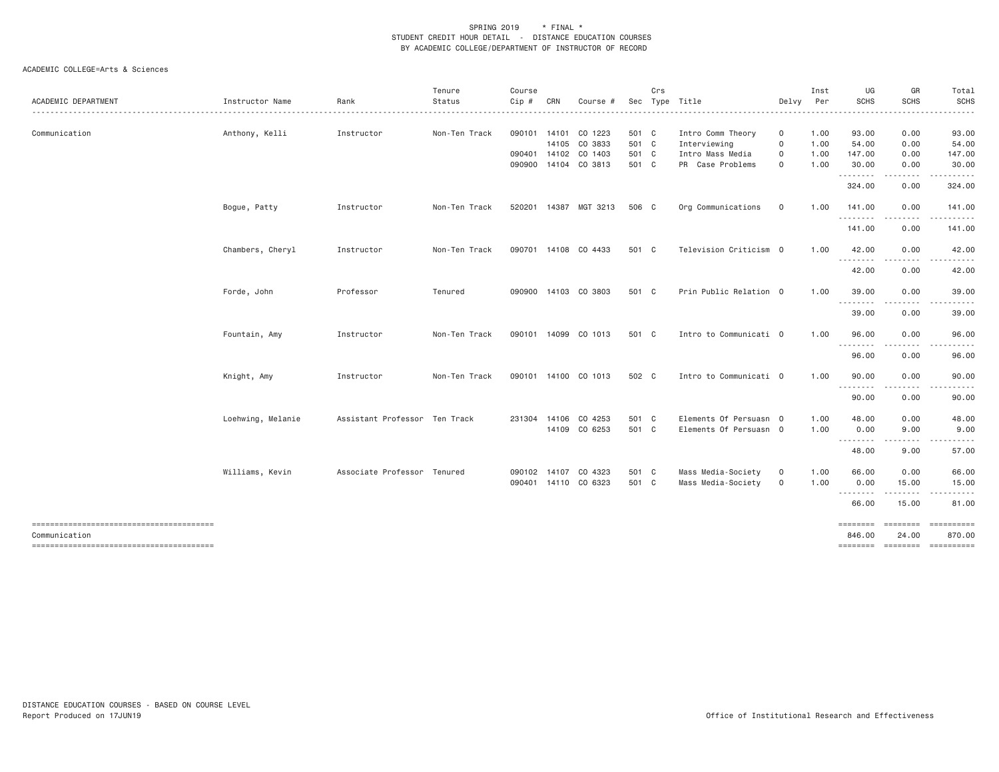| ACADEMIC DEPARTMENT                    | Instructor Name   | Rank                          | Tenure<br>Status | Course<br>Cip # | CRN | Course #                              |                | Crs | Sec Type Title                   | Delvy            | Inst<br>Per  | UG<br><b>SCHS</b>  | GR<br><b>SCHS</b>              | Total<br><b>SCHS</b>                                                                                                                                                                     |
|----------------------------------------|-------------------|-------------------------------|------------------|-----------------|-----|---------------------------------------|----------------|-----|----------------------------------|------------------|--------------|--------------------|--------------------------------|------------------------------------------------------------------------------------------------------------------------------------------------------------------------------------------|
|                                        |                   |                               |                  |                 |     |                                       |                |     |                                  |                  |              |                    |                                | ------                                                                                                                                                                                   |
| Communication                          | Anthony, Kelli    | Instructor                    | Non-Ten Track    |                 |     | 090101 14101 CO 1223                  | 501 C          |     | Intro Comm Theory                | 0<br>$\mathbf 0$ | 1.00         | 93.00              | 0.00                           | 93.00                                                                                                                                                                                    |
|                                        |                   |                               |                  |                 |     | 14105 CO 3833<br>090401 14102 CO 1403 | 501 C<br>501 C |     | Interviewing<br>Intro Mass Media | 0                | 1.00<br>1.00 | 54.00<br>147.00    | 0.00<br>0.00                   | 54.00<br>147.00                                                                                                                                                                          |
|                                        |                   |                               |                  |                 |     | 090900 14104 CO 3813                  | 501 C          |     | PR Case Problems                 | $\mathbf 0$      | 1.00         | 30.00              | 0.00                           | 30.00                                                                                                                                                                                    |
|                                        |                   |                               |                  |                 |     |                                       |                |     |                                  |                  |              | .                  | $\cdots \cdots \cdots$         | ------                                                                                                                                                                                   |
|                                        |                   |                               |                  |                 |     |                                       |                |     |                                  |                  |              | 324.00             | 0.00                           | 324.00                                                                                                                                                                                   |
|                                        | Bogue, Patty      | Instructor                    | Non-Ten Track    |                 |     | 520201 14387 MGT 3213                 | 506 C          |     | Org Communications               | $\mathbf 0$      | 1.00         | 141.00             | 0.00                           | 141.00                                                                                                                                                                                   |
|                                        |                   |                               |                  |                 |     |                                       |                |     |                                  |                  |              | .<br>141.00        | 0.00                           | 141.00                                                                                                                                                                                   |
|                                        | Chambers, Cheryl  | Instructor                    | Non-Ten Track    |                 |     | 090701 14108 CO 4433                  | 501 C          |     | Television Criticism 0           |                  | 1.00         | 42.00              | 0.00                           | 42.00                                                                                                                                                                                    |
|                                        |                   |                               |                  |                 |     |                                       |                |     |                                  |                  |              | .<br>42.00         | .<br>0.00                      | 42.00                                                                                                                                                                                    |
|                                        | Forde, John       | Professor                     | Tenured          |                 |     | 090900 14103 CO 3803                  | 501 C          |     | Prin Public Relation 0           |                  | 1.00         | 39.00              | 0.00                           | 39.00                                                                                                                                                                                    |
|                                        |                   |                               |                  |                 |     |                                       |                |     |                                  |                  |              | --------           |                                |                                                                                                                                                                                          |
|                                        |                   |                               |                  |                 |     |                                       |                |     |                                  |                  |              | 39.00              | 0.00                           | 39.00                                                                                                                                                                                    |
|                                        | Fountain, Amy     | Instructor                    | Non-Ten Track    |                 |     | 090101 14099 CO 1013                  | 501 C          |     | Intro to Communicati 0           |                  | 1.00         | 96.00<br>--------  | 0.00                           | 96.00                                                                                                                                                                                    |
|                                        |                   |                               |                  |                 |     |                                       |                |     |                                  |                  |              | 96.00              | 0.00                           | 96.00                                                                                                                                                                                    |
|                                        | Knight, Amy       | Instructor                    | Non-Ten Track    |                 |     | 090101 14100 CO 1013                  | 502 C          |     | Intro to Communicati 0           |                  | 1.00         | 90.00              | 0.00                           | 90.00                                                                                                                                                                                    |
|                                        |                   |                               |                  |                 |     |                                       |                |     |                                  |                  |              | ---------<br>90.00 | .<br>0.00                      | 90.00                                                                                                                                                                                    |
|                                        | Loehwing, Melanie | Assistant Professor Ten Track |                  |                 |     | 231304 14106 CO 4253                  | 501 C          |     | Elements Of Persuasn 0           |                  | 1.00         | 48.00              | 0.00                           | 48.00                                                                                                                                                                                    |
|                                        |                   |                               |                  |                 |     | 14109 CO 6253                         | 501 C          |     | Elements Of Persuasn 0           |                  | 1.00         | 0.00               | 9.00                           | 9.00                                                                                                                                                                                     |
|                                        |                   |                               |                  |                 |     |                                       |                |     |                                  |                  |              | ---------<br>48.00 | $\cdots \cdots \cdots$<br>9.00 | $\frac{1}{2} \left( \frac{1}{2} \right) \left( \frac{1}{2} \right) \left( \frac{1}{2} \right) \left( \frac{1}{2} \right) \left( \frac{1}{2} \right) \left( \frac{1}{2} \right)$<br>57.00 |
|                                        | Williams, Kevin   | Associate Professor Tenured   |                  |                 |     | 090102 14107 CO 4323                  | 501 C          |     | Mass Media-Society               | $\mathbf{O}$     | 1.00         | 66.00              | 0.00                           | 66.00                                                                                                                                                                                    |
|                                        |                   |                               |                  |                 |     | 090401 14110 CO 6323                  | 501 C          |     | Mass Media-Society               | 0                | 1.00         | 0.00               | 15.00                          | 15.00                                                                                                                                                                                    |
|                                        |                   |                               |                  |                 |     |                                       |                |     |                                  |                  |              | .<br>66.00         | .<br>15.00                     | 81.00                                                                                                                                                                                    |
|                                        |                   |                               |                  |                 |     |                                       |                |     |                                  |                  |              | $=$ = = = = = = =  | ========                       | ==========                                                                                                                                                                               |
| Communication                          |                   |                               |                  |                 |     |                                       |                |     |                                  |                  |              | 846.00             | 24.00                          | 870.00                                                                                                                                                                                   |
| -------------------------------------- |                   |                               |                  |                 |     |                                       |                |     |                                  |                  |              |                    |                                | ======== ======== =========                                                                                                                                                              |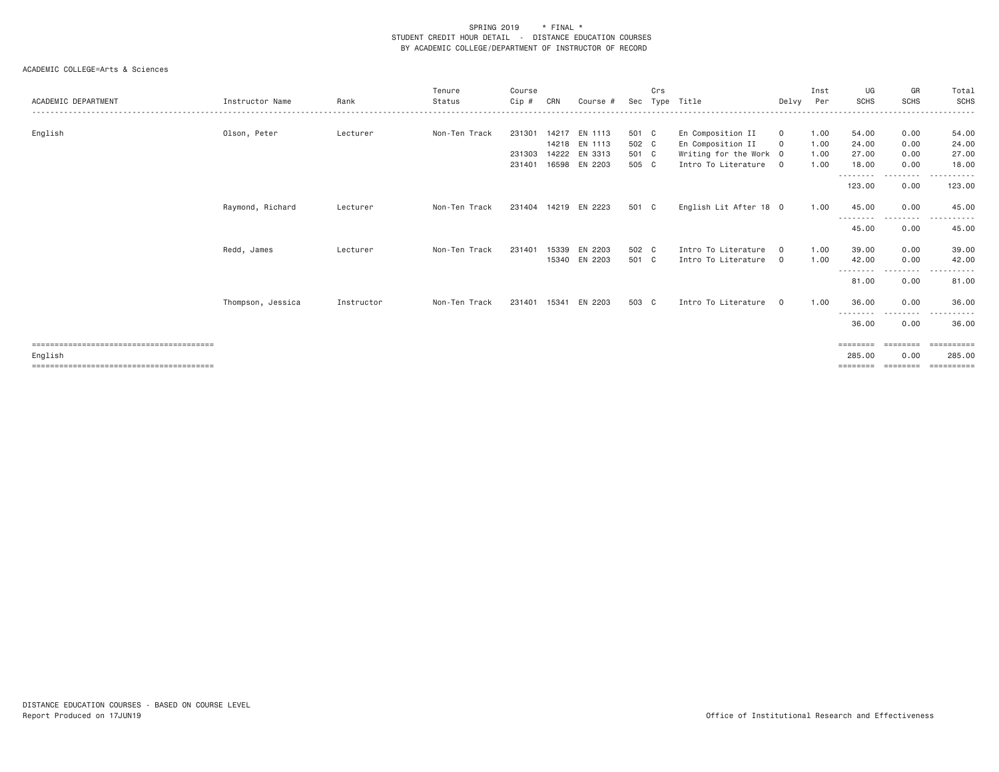| ACADEMIC DEPARTMENT | Instructor Name   | Rank       | Tenure<br>Status | Course<br>Cip# | CRN   | Course #                       | Sec            | Crs<br>Tvpe | Title                                       | Delvy          | Inst<br>Per  | UG<br><b>SCHS</b>   | GR<br><b>SCHS</b> | Total<br>SCHS<br>.                                                                                                                 |
|---------------------|-------------------|------------|------------------|----------------|-------|--------------------------------|----------------|-------------|---------------------------------------------|----------------|--------------|---------------------|-------------------|------------------------------------------------------------------------------------------------------------------------------------|
| English             | Olson, Peter      | Lecturer   | Non-Ten Track    | 231301         |       | 14217 EN 1113                  | 501 C          |             | En Composition II                           | $\mathbf{0}$   | 1.00         | 54.00               | 0.00              | 54.00                                                                                                                              |
|                     |                   |            |                  | 231303         |       | 14218 EN 1113<br>14222 EN 3313 | 502 C<br>501 C |             | En Composition II<br>Writing for the Work 0 | $\circ$        | 1.00<br>1.00 | 24.00<br>27.00      | 0.00<br>0.00      | 24.00<br>27.00                                                                                                                     |
|                     |                   |            |                  | 231401         |       | 16598 EN 2203                  | 505 C          |             | Intro To Literature 0                       |                | 1.00         | 18.00               | 0.00              | 18.00                                                                                                                              |
|                     |                   |            |                  |                |       |                                |                |             |                                             |                |              | ---------<br>123.00 | .<br>0.00         | .<br>123.00                                                                                                                        |
|                     | Raymond, Richard  | Lecturer   | Non-Ten Track    |                |       | 231404 14219 EN 2223           | 501 C          |             | English Lit After 18 0                      |                | 1.00         | 45.00<br>--------   | 0.00<br>--------  | 45.00<br>$\begin{array}{cccccccccccccc} \bullet & \bullet & \bullet & \bullet & \bullet & \bullet & \bullet & \bullet \end{array}$ |
|                     |                   |            |                  |                |       |                                |                |             |                                             |                |              | 45.00               | 0.00              | 45.00                                                                                                                              |
|                     | Redd, James       | Lecturer   | Non-Ten Track    | 231401         | 15339 | EN 2203                        | 502 C          |             | Intro To Literature                         | $\overline{0}$ | 1.00         | 39.00               | 0.00              | 39.00                                                                                                                              |
|                     |                   |            |                  |                |       | 15340 EN 2203                  | 501 C          |             | Intro To Literature                         | $\overline{0}$ | 1.00         | 42.00               | 0.00              | 42.00                                                                                                                              |
|                     |                   |            |                  |                |       |                                |                |             |                                             |                |              | --------<br>81.00   | 0.00              | 81.00                                                                                                                              |
|                     | Thompson, Jessica | Instructor | Non-Ten Track    |                |       | 231401 15341 EN 2203           | 503 C          |             | Intro To Literature                         | $\Omega$       | 1.00         | 36,00               | 0.00              | 36.00                                                                                                                              |
|                     |                   |            |                  |                |       |                                |                |             |                                             |                |              | 36.00               | 0.00              | 36.00                                                                                                                              |
|                     |                   |            |                  |                |       |                                |                |             |                                             |                |              | ========            | ========          | ==========                                                                                                                         |
| English             |                   |            |                  |                |       |                                |                |             |                                             |                |              | 285,00              | 0.00              | 285,00                                                                                                                             |
|                     |                   |            |                  |                |       |                                |                |             |                                             |                |              | ========            |                   | EEEEEEEEE                                                                                                                          |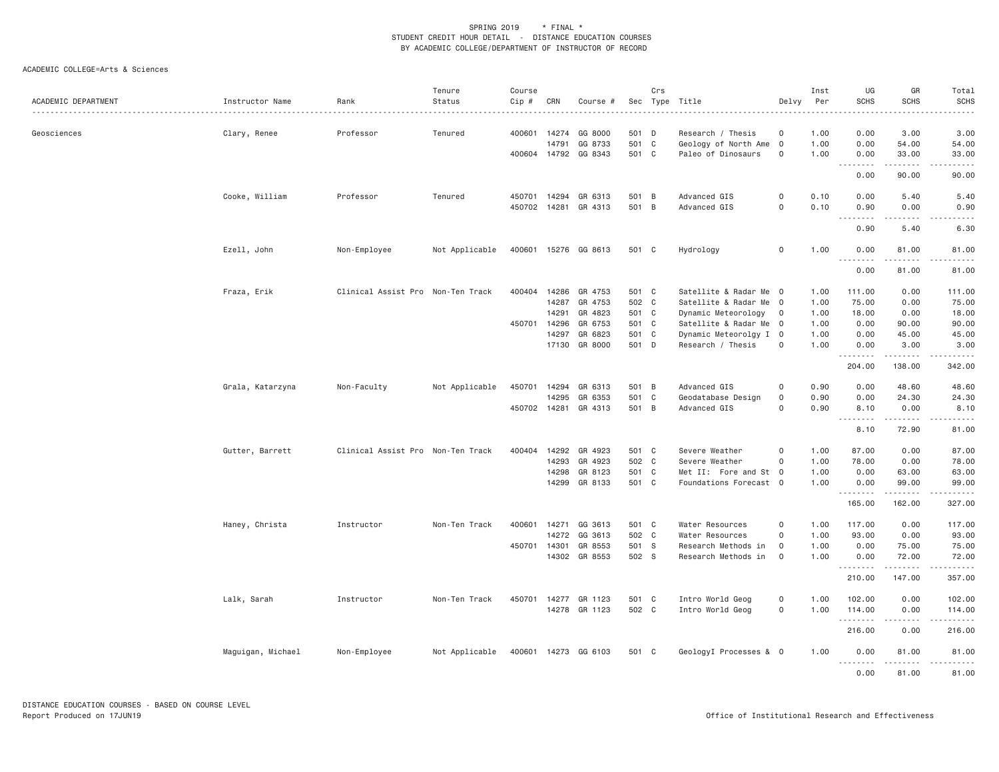| ACADEMIC DEPARTMENT | Instructor Name   | Rank                              | Tenure<br>Status | Course<br>Cip # | CRN   | Course #             |       | Crs            | Sec Type Title         | Delvy               | Inst<br>Per | UG<br><b>SCHS</b> | GR<br><b>SCHS</b>            | Total<br><b>SCHS</b><br>$\frac{1}{2}$                                       |
|---------------------|-------------------|-----------------------------------|------------------|-----------------|-------|----------------------|-------|----------------|------------------------|---------------------|-------------|-------------------|------------------------------|-----------------------------------------------------------------------------|
| Geosciences         | Clary, Renee      | Professor                         | Tenured          | 400601          | 14274 | GG 8000              | 501   | D              | Research / Thesis      | 0                   | 1.00        | 0.00              | 3.00                         | 3.00                                                                        |
|                     |                   |                                   |                  |                 | 14791 | GG 8733              | 501   | $\mathbf C$    | Geology of North Ame   | $\overline{0}$      | 1.00        | 0.00              | 54.00                        | 54.00                                                                       |
|                     |                   |                                   |                  |                 |       | 400604 14792 GG 8343 | 501 C |                | Paleo of Dinosaurs     | $\mathbf 0$         | 1.00        | 0.00              | 33.00                        | 33.00                                                                       |
|                     |                   |                                   |                  |                 |       |                      |       |                |                        |                     |             | .<br>0.00         | 90.00                        | .<br>90.00                                                                  |
|                     | Cooke, William    | Professor                         | Tenured          | 450701          | 14294 | GR 6313              | 501   | $\overline{B}$ | Advanced GIS           | $\circ$             | 0.10        | 0.00              | 5.40                         | 5.40                                                                        |
|                     |                   |                                   |                  | 450702          | 14281 | GR 4313              | 501 B |                | Advanced GIS           | 0                   | 0.10        | 0.90              | 0.00                         | 0.90                                                                        |
|                     |                   |                                   |                  |                 |       |                      |       |                |                        |                     |             | -----<br>0.90     | $\sim$ $\sim$ $\sim$<br>5.40 | .<br>6.30                                                                   |
|                     | Ezell, John       | Non-Employee                      | Not Applicable   | 400601          |       | 15276 GG 8613        | 501 C |                | Hydrology              | $\mathbf 0$         | 1.00        | 0.00              | 81.00                        | 81.00                                                                       |
|                     |                   |                                   |                  |                 |       |                      |       |                |                        |                     |             | .<br>0.00         | ------<br>81.00              | .<br>81.00                                                                  |
|                     | Fraza, Erik       | Clinical Assist Pro Non-Ten Track |                  | 400404          | 14286 | GR 4753              | 501 C |                | Satellite & Radar Me 0 |                     | 1.00        | 111.00            | 0.00                         | 111.00                                                                      |
|                     |                   |                                   |                  |                 | 14287 | GR 4753              | 502 C |                | Satellite & Radar Me 0 |                     | 1.00        | 75.00             | 0.00                         | 75.00                                                                       |
|                     |                   |                                   |                  |                 | 14291 | GR 4823              | 501 C |                | Dynamic Meteorology    | $\overline{0}$      | 1.00        | 18.00             | 0.00                         | 18.00                                                                       |
|                     |                   |                                   |                  | 450701          | 14296 | GR 6753              | 501 C |                | Satellite & Radar Me 0 |                     | 1.00        | 0.00              | 90.00                        | 90.00                                                                       |
|                     |                   |                                   |                  |                 | 14297 | GR 6823              | 501   | $\mathbf{C}$   | Dynamic Meteorolgy I 0 |                     | 1.00        | 0.00              | 45.00                        | 45.00                                                                       |
|                     |                   |                                   |                  |                 |       | 17130 GR 8000        | 501 D |                | Research / Thesis      | $\mathbf 0$         | 1.00        | 0.00              | 3.00                         | 3.00                                                                        |
|                     |                   |                                   |                  |                 |       |                      |       |                |                        |                     |             | .<br>204.00       | .<br>138.00                  | <u>.</u><br>342.00                                                          |
|                     | Grala, Katarzyna  | Non-Faculty                       | Not Applicable   | 450701          | 14294 | GR 6313              | 501 B |                | Advanced GIS           | $\mathsf{O}\xspace$ | 0.90        | 0.00              | 48.60                        | 48.60                                                                       |
|                     |                   |                                   |                  |                 | 14295 | GR 6353              | 501   | $\mathbf C$    | Geodatabase Design     | $\mathsf{O}\xspace$ | 0.90        | 0.00              | 24.30                        | 24.30                                                                       |
|                     |                   |                                   |                  | 450702 14281    |       | GR 4313              | 501 B |                | Advanced GIS           | $\Omega$            | 0.90        | 8.10              | 0.00                         | 8.10                                                                        |
|                     |                   |                                   |                  |                 |       |                      |       |                |                        |                     |             | .<br>8.10         | .<br>72.90                   | .<br>81.00                                                                  |
|                     |                   |                                   |                  |                 |       |                      |       |                |                        |                     |             |                   |                              |                                                                             |
|                     | Gutter, Barrett   | Clinical Assist Pro Non-Ten Track |                  | 400404          | 14292 | GR 4923              | 501 C |                | Severe Weather         | $\mathbf 0$         | 1.00        | 87.00             | 0.00                         | 87.00                                                                       |
|                     |                   |                                   |                  |                 | 14293 | GR 4923              | 502 C |                | Severe Weather         | $\circ$             | 1.00        | 78.00             | 0.00                         | 78.00                                                                       |
|                     |                   |                                   |                  |                 | 14298 | GR 8123              | 501   | $\mathbf{C}$   | Met II: Fore and St 0  |                     | 1.00        | 0.00              | 63.00                        | 63.00                                                                       |
|                     |                   |                                   |                  |                 | 14299 | GR 8133              | 501 C |                | Foundations Forecast 0 |                     | 1.00        | 0.00<br>.         | 99.00<br>.                   | 99.00<br>.                                                                  |
|                     |                   |                                   |                  |                 |       |                      |       |                |                        |                     |             | 165.00            | 162.00                       | 327.00                                                                      |
|                     | Haney, Christa    | Instructor                        | Non-Ten Track    | 400601          |       | 14271 GG 3613        | 501 C |                | Water Resources        | $\circ$             | 1.00        | 117.00            | 0.00                         | 117.00                                                                      |
|                     |                   |                                   |                  |                 | 14272 | GG 3613              | 502 C |                | Water Resources        | $\mathbf 0$         | 1.00        | 93.00             | 0.00                         | 93.00                                                                       |
|                     |                   |                                   |                  | 450701          | 14301 | GR 8553              | 501 S |                | Research Methods in    | $\mathbf{O}$        | 1.00        | 0.00              | 75.00                        | 75.00                                                                       |
|                     |                   |                                   |                  |                 |       | 14302 GR 8553        | 502 S |                | Research Methods in    | $\mathbf 0$         | 1.00        | 0.00              | 72.00                        | 72.00                                                                       |
|                     |                   |                                   |                  |                 |       |                      |       |                |                        |                     |             | .<br>210.00       | .<br>147.00                  | .<br>357.00                                                                 |
|                     | Lalk, Sarah       | Instructor                        | Non-Ten Track    | 450701          |       | 14277 GR 1123        | 501 C |                | Intro World Geog       | $\mathsf{O}\xspace$ | 1.00        | 102.00            | 0.00                         | 102.00                                                                      |
|                     |                   |                                   |                  |                 |       | 14278 GR 1123        | 502 C |                | Intro World Geog       | $\mathsf{O}$        | 1.00        | 114.00            | 0.00<br>.                    | 114.00                                                                      |
|                     |                   |                                   |                  |                 |       |                      |       |                |                        |                     |             | .<br>216.00       | 0.00                         | $\omega_{\alpha}=\omega_{\alpha}=\omega_{\alpha}=\omega_{\alpha}$<br>216.00 |
|                     | Maguigan, Michael | Non-Employee                      | Not Applicable   | 400601          |       | 14273 GG 6103        | 501 C |                | GeologyI Processes & 0 |                     | 1.00        | 0.00              | 81.00                        | 81.00                                                                       |
|                     |                   |                                   |                  |                 |       |                      |       |                |                        |                     |             | 0.00              | 81.00                        | 81.00                                                                       |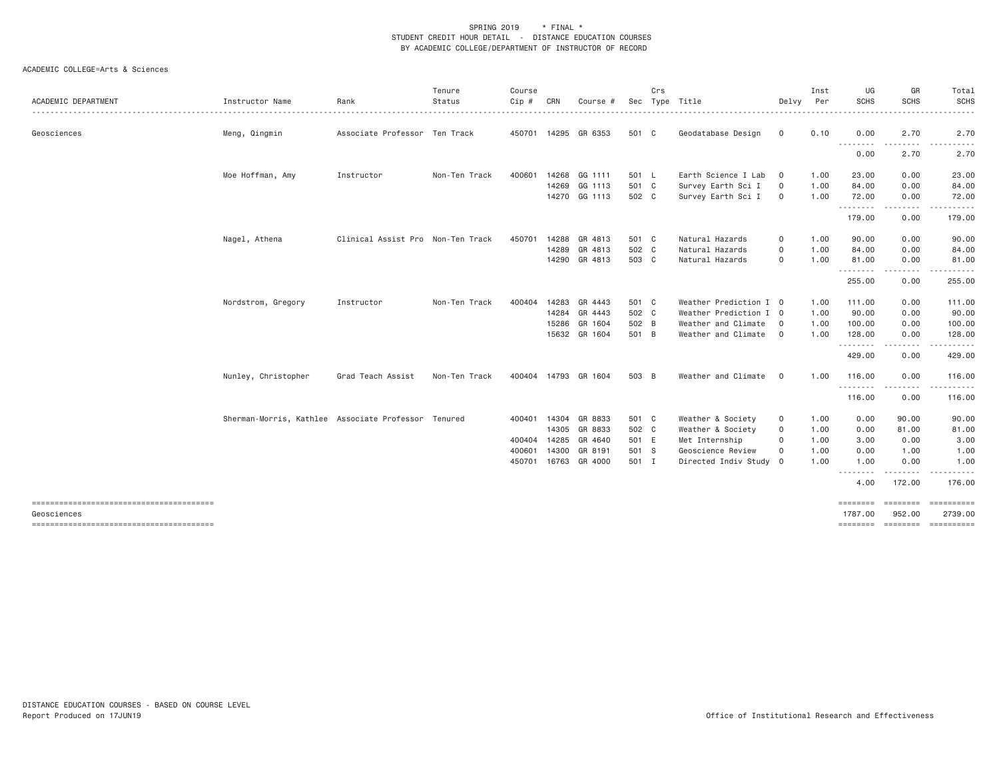| <b>ACADEMIC DEPARTMENT</b> | Instructor Name                                     | Rank                              | Tenure<br>Status | Course<br>Cip # | CRN          | Course #             |       | Crs | Sec Type Title         | Delvy          | Inst<br>Per | UG<br><b>SCHS</b> | GR<br><b>SCHS</b>                                                                                                               | Total<br><b>SCHS</b>                  |
|----------------------------|-----------------------------------------------------|-----------------------------------|------------------|-----------------|--------------|----------------------|-------|-----|------------------------|----------------|-------------|-------------------|---------------------------------------------------------------------------------------------------------------------------------|---------------------------------------|
| Geosciences                | Meng, Qingmin                                       | Associate Professor Ten Track     |                  |                 |              | 450701 14295 GR 6353 | 501 C |     | Geodatabase Design     | $\mathbf{0}$   | 0.10        | 0.00<br>.         | 2.70                                                                                                                            | 2.70                                  |
|                            |                                                     |                                   |                  |                 |              |                      |       |     |                        |                |             | 0.00              | .<br>2.70                                                                                                                       | 2.70                                  |
|                            | Moe Hoffman, Amy                                    | Instructor                        | Non-Ten Track    | 400601          |              | 14268 GG 1111        | 501 L |     | Earth Science I Lab    | $\mathbf 0$    | 1.00        | 23.00             | 0.00                                                                                                                            | 23.00                                 |
|                            |                                                     |                                   |                  |                 |              | 14269 GG 1113        | 501 C |     | Survey Earth Sci I     | $\mathbf 0$    | 1.00        | 84.00             | 0.00                                                                                                                            | 84.00                                 |
|                            |                                                     |                                   |                  |                 |              | 14270 GG 1113        | 502 C |     | Survey Earth Sci I     | $\mathbf 0$    | 1.00        | 72.00             | 0.00                                                                                                                            | 72.00                                 |
|                            |                                                     |                                   |                  |                 |              |                      |       |     |                        |                |             | .<br>179.00       | $\begin{array}{cccccccccccccc} \bullet & \bullet & \bullet & \bullet & \bullet & \bullet & \bullet \end{array}$<br>0.00         | 179.00                                |
|                            | Nagel, Athena                                       | Clinical Assist Pro Non-Ten Track |                  | 450701          |              | 14288 GR 4813        | 501 C |     | Natural Hazards        | 0              | 1.00        | 90.00             | 0.00                                                                                                                            | 90.00                                 |
|                            |                                                     |                                   |                  |                 |              | 14289 GR 4813        | 502 C |     | Natural Hazards        | 0              | 1.00        | 84.00             | 0.00                                                                                                                            | 84.00                                 |
|                            |                                                     |                                   |                  |                 |              | 14290 GR 4813        | 503 C |     | Natural Hazards        | 0              | 1.00        | 81.00             | 0.00                                                                                                                            | 81.00                                 |
|                            |                                                     |                                   |                  |                 |              |                      |       |     |                        |                |             | .<br>255.00       | -----<br>0.00                                                                                                                   | .<br>255.00                           |
|                            | Nordstrom, Gregory                                  | Instructor                        | Non-Ten Track    | 400404          |              | 14283 GR 4443        | 501 C |     | Weather Prediction I 0 |                | 1.00        | 111.00            | 0.00                                                                                                                            | 111.00                                |
|                            |                                                     |                                   |                  |                 |              | 14284 GR 4443        | 502 C |     | Weather Prediction I 0 |                | 1.00        | 90.00             | 0.00                                                                                                                            | 90.00                                 |
|                            |                                                     |                                   |                  |                 | 15286        | GR 1604              | 502 B |     | Weather and Climate    | $\Omega$       | 1.00        | 100.00            | 0.00                                                                                                                            | 100.00                                |
|                            |                                                     |                                   |                  |                 |              | 15632 GR 1604        | 501 B |     | Weather and Climate    | $\overline{0}$ | 1.00        | 128.00            | 0.00                                                                                                                            | 128.00                                |
|                            |                                                     |                                   |                  |                 |              |                      |       |     |                        |                |             | .<br>429.00       | 0.00                                                                                                                            | 429.00                                |
|                            | Nunley, Christopher                                 | Grad Teach Assist                 | Non-Ten Track    |                 |              | 400404 14793 GR 1604 | 503 B |     | Weather and Climate    | $\circ$        | 1.00        | 116.00            | 0.00                                                                                                                            | 116.00                                |
|                            |                                                     |                                   |                  |                 |              |                      |       |     |                        |                |             | .<br>116.00       | $\begin{array}{cccccccccccccc} \bullet & \bullet & \bullet & \bullet & \bullet & \bullet & \bullet \end{array}$<br>$ -$<br>0.00 | 116.00                                |
|                            | Sherman-Morris, Kathlee Associate Professor Tenured |                                   |                  | 400401          |              | 14304 GR 8833        | 501 C |     | Weather & Society      | 0              | 1.00        | 0.00              | 90.00                                                                                                                           | 90.00                                 |
|                            |                                                     |                                   |                  |                 |              | 14305 GR 8833        | 502 C |     | Weather & Society      | 0              | 1.00        | 0.00              | 81.00                                                                                                                           | 81.00                                 |
|                            |                                                     |                                   |                  |                 | 400404 14285 | GR 4640              | 501 E |     | Met Internship         | 0              | 1.00        | 3.00              | 0.00                                                                                                                            | 3.00                                  |
|                            |                                                     |                                   |                  | 400601          | 14300        | GR 8191              | 501 S |     | Geoscience Review      | 0              | 1.00        | 0.00              | 1.00                                                                                                                            | 1.00                                  |
|                            |                                                     |                                   |                  | 450701          |              | 16763 GR 4000        | 501 I |     | Directed Indiv Study 0 |                | 1.00        | 1.00              | 0.00                                                                                                                            | 1.00                                  |
|                            |                                                     |                                   |                  |                 |              |                      |       |     |                        |                |             | --------<br>4.00  | --------<br>172.00                                                                                                              | 176.00                                |
|                            |                                                     |                                   |                  |                 |              |                      |       |     |                        |                |             | ========          | ========                                                                                                                        | ==========                            |
| Geosciences                |                                                     |                                   |                  |                 |              |                      |       |     |                        |                |             | 1787.00           | 952.00                                                                                                                          | 2739.00<br>-------- ------- --------- |
|                            |                                                     |                                   |                  |                 |              |                      |       |     |                        |                |             |                   |                                                                                                                                 |                                       |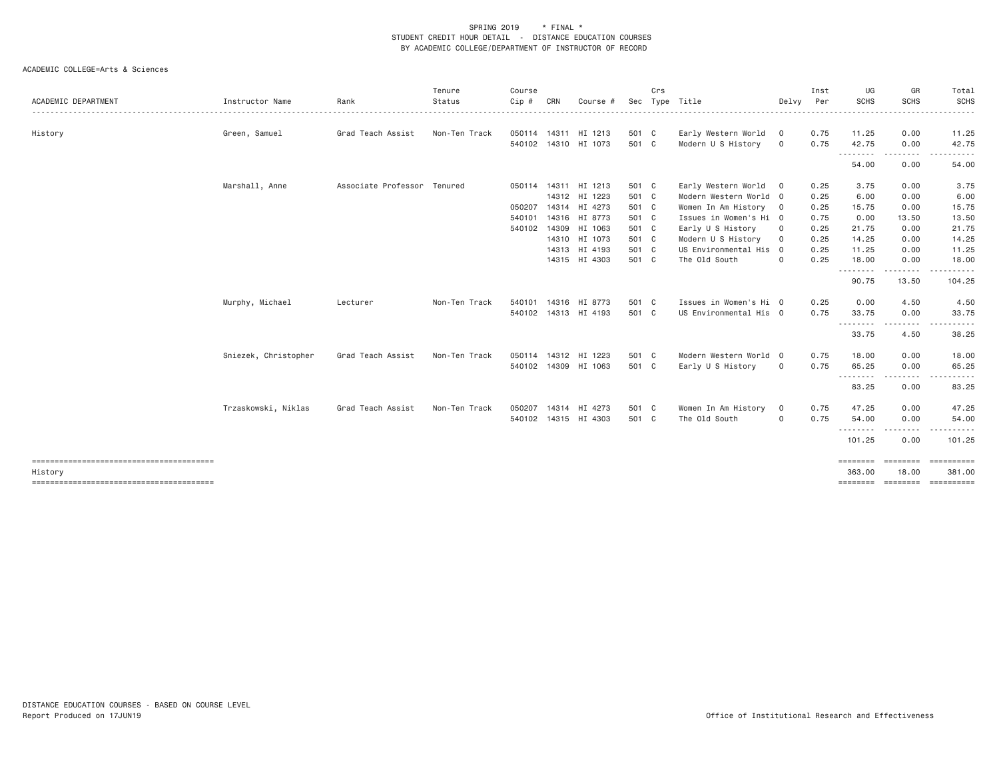|                     |                      |                             | Tenure        | Course |     |                      |       | Crs |                        |             | Inst | UG                  | GR                  | Total               |
|---------------------|----------------------|-----------------------------|---------------|--------|-----|----------------------|-------|-----|------------------------|-------------|------|---------------------|---------------------|---------------------|
| ACADEMIC DEPARTMENT | Instructor Name      | Rank                        | Status<br>.   | Cip#   | CRN | Course #             | Sec   |     | Type Title             | Delvy       | Per  | <b>SCHS</b>         | <b>SCHS</b>         | SCHS<br>.           |
| History             | Green, Samuel        | Grad Teach Assist           | Non-Ten Track |        |     | 050114 14311 HI 1213 | 501 C |     | Early Western World 0  |             | 0.75 | 11.25               | 0.00                | 11.25               |
|                     |                      |                             |               |        |     | 540102 14310 HI 1073 | 501 C |     | Modern U S History     | $\circ$     | 0.75 | 42.75<br>.          | 0.00<br>---------   | 42.75               |
|                     |                      |                             |               |        |     |                      |       |     |                        |             |      | 54.00               | 0.00                | 54.00               |
|                     | Marshall, Anne       | Associate Professor Tenured |               |        |     | 050114 14311 HI 1213 | 501 C |     | Early Western World 0  |             | 0.25 | 3.75                | 0.00                | 3.75                |
|                     |                      |                             |               |        |     | 14312 HI 1223        | 501 C |     | Modern Western World 0 |             | 0.25 | 6.00                | 0.00                | 6.00                |
|                     |                      |                             |               | 050207 |     | 14314 HI 4273        | 501 C |     | Women In Am History 0  |             | 0.25 | 15.75               | 0.00                | 15.75               |
|                     |                      |                             |               | 540101 |     | 14316 HI 8773        | 501 C |     | Issues in Women's Hi 0 |             | 0.75 | 0.00                | 13.50               | 13.50               |
|                     |                      |                             |               | 540102 |     | 14309 HI 1063        | 501 C |     | Early U S History      | $\mathbf 0$ | 0.25 | 21.75               | 0.00                | 21.75               |
|                     |                      |                             |               |        |     | 14310 HI 1073        | 501 C |     | Modern U S History     | 0           | 0.25 | 14.25               | 0.00                | 14.25               |
|                     |                      |                             |               |        |     | 14313 HI 4193        | 501 C |     | US Environmental His 0 |             | 0.25 | 11.25               | 0.00                | 11.25               |
|                     |                      |                             |               |        |     | 14315 HI 4303        | 501 C |     | The Old South          | $\mathbf 0$ | 0.25 | 18.00               | 0.00                | 18.00               |
|                     |                      |                             |               |        |     |                      |       |     |                        |             |      | .<br>90.75          | -----<br>13.50      | .<br>104.25         |
|                     | Murphy, Michael      | Lecturer                    | Non-Ten Track | 540101 |     | 14316 HI 8773        | 501 C |     | Issues in Women's Hi 0 |             | 0.25 | 0.00                | 4.50                | 4.50                |
|                     |                      |                             |               |        |     | 540102 14313 HI 4193 | 501 C |     | US Environmental His 0 |             | 0.75 | 33.75               | 0.00                | 33.75               |
|                     |                      |                             |               |        |     |                      |       |     |                        |             |      | ---------<br>33.75  | $- - - - -$<br>4.50 | 38.25               |
|                     | Sniezek, Christopher | Grad Teach Assist           | Non-Ten Track |        |     | 050114 14312 HI 1223 | 501 C |     | Modern Western World 0 |             | 0.75 | 18.00               | 0.00                | 18.00               |
|                     |                      |                             |               |        |     | 540102 14309 HI 1063 | 501 C |     | Early U S History      | $\circ$     | 0.75 | 65.25               | 0.00                | 65.25               |
|                     |                      |                             |               |        |     |                      |       |     |                        |             |      | ---------<br>83.25  | ---------<br>0.00   | .<br>$  -$<br>83.25 |
|                     | Trzaskowski, Niklas  | Grad Teach Assist           | Non-Ten Track | 050207 |     | 14314 HI 4273        | 501 C |     | Women In Am History    | 0           | 0.75 | 47.25               | 0.00                | 47.25               |
|                     |                      |                             |               |        |     | 540102 14315 HI 4303 | 501 C |     | The Old South          | $\mathbf 0$ | 0.75 | 54.00               | 0.00                | 54.00               |
|                     |                      |                             |               |        |     |                      |       |     |                        |             |      | ---------<br>101.25 | .<br>0.00           | .<br>101.25         |
|                     |                      |                             |               |        |     |                      |       |     |                        |             |      | ========            | <b>EEEEEEE</b>      | ==========          |
| History             |                      |                             |               |        |     |                      |       |     |                        |             |      | 363,00              | 18,00               | 381,00              |
|                     |                      |                             |               |        |     |                      |       |     |                        |             |      |                     |                     |                     |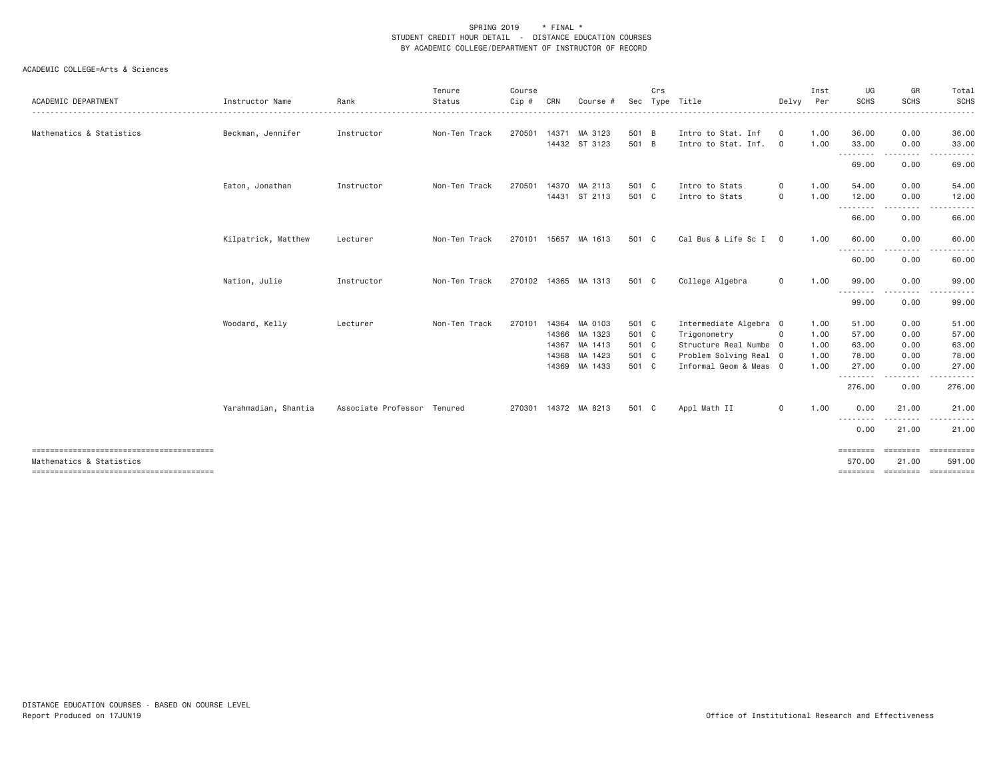| Instructor Name      | Rank              | Tenure<br>Status | Course<br>Cip #                              | CRN                        | Course #        | Sec                                                                                                                                                                                  | Crs | Type Title                                                                                               | Delvy                                     | Inst<br>Per                                                                                                               | UG<br><b>SCHS</b>    | GR<br><b>SCHS</b>                               | Total<br><b>SCHS</b>                        |
|----------------------|-------------------|------------------|----------------------------------------------|----------------------------|-----------------|--------------------------------------------------------------------------------------------------------------------------------------------------------------------------------------|-----|----------------------------------------------------------------------------------------------------------|-------------------------------------------|---------------------------------------------------------------------------------------------------------------------------|----------------------|-------------------------------------------------|---------------------------------------------|
|                      |                   |                  |                                              |                            |                 |                                                                                                                                                                                      |     |                                                                                                          |                                           |                                                                                                                           |                      |                                                 |                                             |
|                      |                   |                  |                                              |                            |                 |                                                                                                                                                                                      |     |                                                                                                          |                                           |                                                                                                                           |                      |                                                 | 36.00<br>33.00                              |
|                      |                   |                  |                                              |                            |                 |                                                                                                                                                                                      |     |                                                                                                          |                                           |                                                                                                                           | <u>.</u>             |                                                 |                                             |
|                      |                   |                  |                                              |                            |                 |                                                                                                                                                                                      |     |                                                                                                          |                                           |                                                                                                                           | 69.00                | 0.00                                            | 69.00                                       |
| Eaton, Jonathan      | Instructor        | Non-Ten Track    | 270501                                       |                            |                 |                                                                                                                                                                                      |     | Intro to Stats                                                                                           | 0                                         | 1.00                                                                                                                      | 54.00                | 0.00                                            | 54.00                                       |
|                      |                   |                  |                                              |                            |                 |                                                                                                                                                                                      |     | Intro to Stats                                                                                           | 0                                         |                                                                                                                           |                      |                                                 | 12.00                                       |
|                      |                   |                  |                                              |                            |                 |                                                                                                                                                                                      |     |                                                                                                          |                                           |                                                                                                                           | 66.00                | 0.00                                            | 66.00                                       |
| Kilpatrick, Matthew  | Lecturer          | Non-Ten Track    |                                              | 15657                      | MA 1613         |                                                                                                                                                                                      |     | Cal Bus & Life Sc I                                                                                      | $\mathbf{0}$                              | 1.00                                                                                                                      | 60.00                | 0.00                                            | 60.00                                       |
|                      |                   |                  |                                              |                            |                 |                                                                                                                                                                                      |     |                                                                                                          |                                           |                                                                                                                           | ---------<br>60.00   | 0.00                                            | 60.00                                       |
| Nation, Julie        | Instructor        | Non-Ten Track    |                                              |                            |                 |                                                                                                                                                                                      |     | College Algebra                                                                                          | 0                                         | 1.00                                                                                                                      | 99.00                | 0.00                                            | 99.00                                       |
|                      |                   |                  |                                              |                            |                 |                                                                                                                                                                                      |     |                                                                                                          |                                           |                                                                                                                           | ---------            |                                                 | 99.00                                       |
|                      |                   |                  |                                              |                            |                 |                                                                                                                                                                                      |     |                                                                                                          |                                           |                                                                                                                           |                      |                                                 |                                             |
| Woodard, Kelly       | Lecturer          | Non-Ten Track    | 270101                                       |                            |                 |                                                                                                                                                                                      |     |                                                                                                          |                                           | 1.00                                                                                                                      | 51.00                | 0.00                                            | 51.00                                       |
|                      |                   |                  |                                              |                            |                 |                                                                                                                                                                                      |     | Trigonometry                                                                                             | $\mathbf{0}$                              | 1.00                                                                                                                      | 57.00                | 0.00                                            | 57.00                                       |
|                      |                   |                  |                                              |                            |                 |                                                                                                                                                                                      |     |                                                                                                          |                                           | 1.00                                                                                                                      | 63.00                | 0.00                                            | 63.00                                       |
|                      |                   |                  |                                              |                            |                 |                                                                                                                                                                                      |     |                                                                                                          |                                           | 1.00                                                                                                                      | 78.00                | 0.00                                            | 78.00                                       |
|                      |                   |                  |                                              |                            |                 |                                                                                                                                                                                      |     |                                                                                                          |                                           | 1.00                                                                                                                      | 27.00                | 0.00                                            | 27.00                                       |
|                      |                   |                  |                                              |                            |                 |                                                                                                                                                                                      |     |                                                                                                          |                                           |                                                                                                                           | 276.00               | 0.00                                            | 276.00                                      |
| Yarahmadian, Shantia |                   |                  |                                              |                            |                 |                                                                                                                                                                                      |     | Appl Math II                                                                                             | 0                                         | 1.00                                                                                                                      | 0.00                 | 21.00                                           | 21.00                                       |
|                      |                   |                  |                                              |                            |                 |                                                                                                                                                                                      |     |                                                                                                          |                                           |                                                                                                                           | 0.00                 | <u>.</u><br>21.00                               | 21.00                                       |
|                      |                   |                  |                                              |                            |                 |                                                                                                                                                                                      |     |                                                                                                          |                                           |                                                                                                                           | ========             | <b>EEEEEEE</b>                                  | $=$ = = = = = = = = = =                     |
|                      |                   |                  |                                              |                            |                 |                                                                                                                                                                                      |     |                                                                                                          |                                           |                                                                                                                           | 570.00               | 21.00                                           | 591.00                                      |
|                      | Beckman, Jennifer | Instructor       | Non-Ten Track<br>Associate Professor Tenured | 270501<br>270101<br>270301 | 270102<br>14368 | 14371 MA 3123<br>14432 ST 3123<br>MA 2113<br>14370<br>14431 ST 2113<br>14365 MA 1313<br>14364 MA 0103<br>14366 MA 1323<br>14367 MA 1413<br>MA 1423<br>14369 MA 1433<br>14372 MA 8213 |     | 501 B<br>501 B<br>501 C<br>501 C<br>501 C<br>501 C<br>501 C<br>501 C<br>501 C<br>501 C<br>501 C<br>501 C | Intro to Stat. Inf<br>Intro to Stat. Inf. | 0<br>$\mathbf{0}$<br>Intermediate Algebra 0<br>Structure Real Numbe 0<br>Problem Solving Real 0<br>Informal Geom & Meas 0 | 1.00<br>1.00<br>1.00 | 36.00<br>33.00<br>12.00<br>.<br>99.00<br>.<br>. | 0.00<br>0.00<br>0.00<br>0.00<br>$- - - - -$ |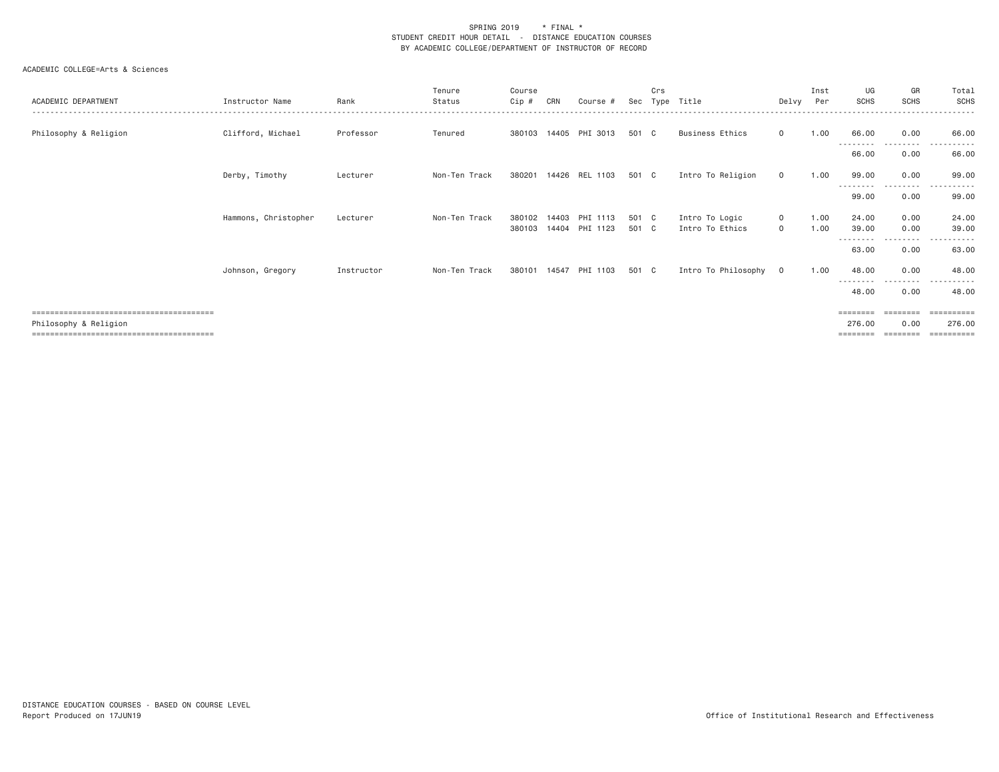| ACADEMIC DEPARTMENT   | Instructor Name      | Rank       | Tenure<br>Status | Course<br>Cip #  | CRN   | Course #                   | Sec            | Crs | Type Title                        |                    | Inst<br>Delvy Per | UG<br><b>SCHS</b>              | GR<br><b>SCHS</b> | Total<br><b>SCHS</b>                            |
|-----------------------|----------------------|------------|------------------|------------------|-------|----------------------------|----------------|-----|-----------------------------------|--------------------|-------------------|--------------------------------|-------------------|-------------------------------------------------|
| Philosophy & Religion | Clifford, Michael    | Professor  | Tenured          |                  |       | 380103 14405 PHI 3013      | 501 C          |     | Business Ethics                   | $\mathbf{0}$       | 1.00              | 66.00                          | 0.00              | 66.00                                           |
|                       |                      |            |                  |                  |       |                            |                |     |                                   |                    |                   | - - - - - - - - -<br>66.00     | 0.00              | 66.00                                           |
|                       | Derby, Timothy       | Lecturer   | Non-Ten Track    | 380201           | 14426 | REL 1103                   | 501 C          |     | Intro To Religion                 | $\circ$            | 1.00              | 99.00                          | 0.00              | 99.00                                           |
|                       |                      |            |                  |                  |       |                            |                |     |                                   |                    |                   | ---------<br>99.00             | --------<br>0.00  | ----------<br>99.00                             |
|                       | Hammons, Christopher | Lecturer   | Non-Ten Track    | 380102<br>380103 | 14403 | PHI 1113<br>14404 PHI 1123 | 501 C<br>501 C |     | Intro To Logic<br>Intro To Ethics | $\circ$<br>$\circ$ | 1.00<br>1.00      | 24.00<br>39.00<br>.            | 0.00<br>0.00      | 24.00<br>39.00                                  |
|                       |                      |            |                  |                  |       |                            |                |     |                                   |                    |                   | 63.00                          | 0.00              | 63.00                                           |
|                       | Johnson, Gregory     | Instructor | Non-Ten Track    |                  |       | 380101 14547 PHI 1103      | 501 C          |     | Intro To Philosophy 0             |                    | 1.00              | 48.00<br>- - - - - - - - -     | 0.00              | 48.00                                           |
|                       |                      |            |                  |                  |       |                            |                |     |                                   |                    |                   | 48.00                          | 0.00              | 48.00                                           |
| Philosophy & Religion |                      |            |                  |                  |       |                            |                |     |                                   |                    |                   | ========<br>276.00<br>======== | ========<br>0.00  | $=$ = = = = = = = = $=$<br>276.00<br>========== |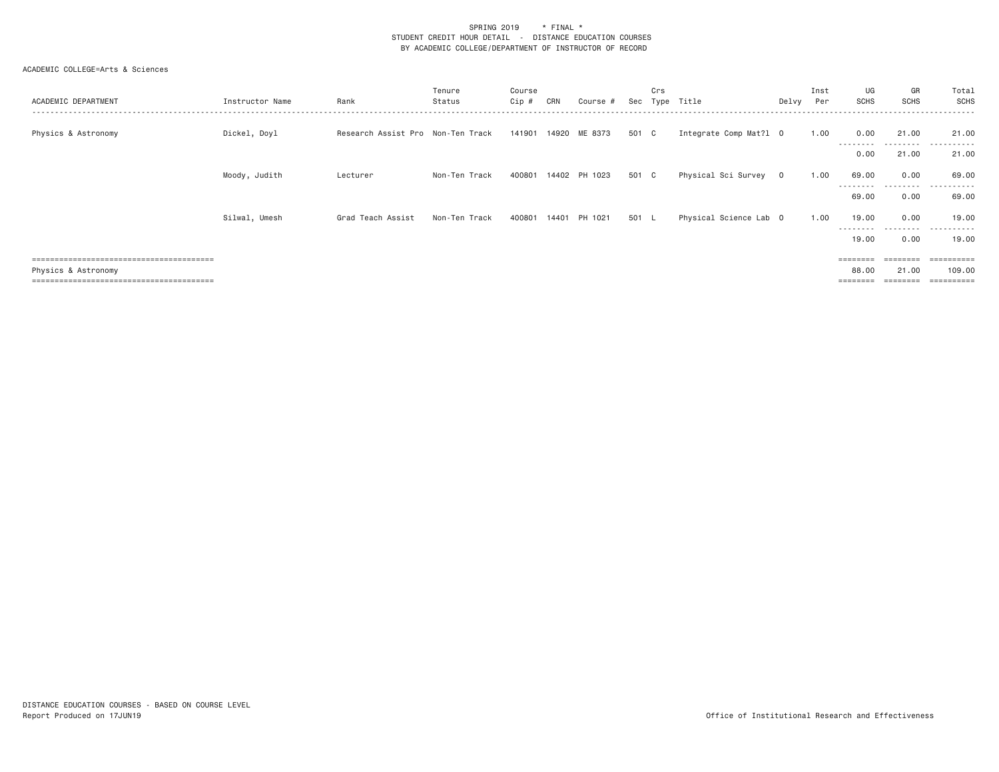| ACADEMIC DEPARTMENT | Instructor Name | Rank                              | Tenure<br>Status | Course<br>$Cip \#$ | CRN   | Course #      | Sec   | Crs<br>Tvpe | Title                  | Delvy | Inst<br>Per | UG<br>SCHS         | GR<br><b>SCHS</b> | Total<br>SCHS       |
|---------------------|-----------------|-----------------------------------|------------------|--------------------|-------|---------------|-------|-------------|------------------------|-------|-------------|--------------------|-------------------|---------------------|
| Physics & Astronomy | Dickel, Doyl    | Research Assist Pro Non-Ten Track |                  | 141901             |       | 14920 ME 8373 | 501 C |             | Integrate Comp Mat?1 0 |       | 1.00        | 0.00<br>---------  | 21.00<br>.        | 21.00<br>.          |
|                     |                 |                                   |                  |                    |       |               |       |             |                        |       |             | 0.00               | 21.00             | 21.00               |
|                     | Moody, Judith   | Lecturer                          | Non-Ten Track    | 400801             |       | 14402 PH 1023 | 501 C |             | Physical Sci Survey 0  |       | 1.00        | 69.00<br>--------- | 0.00<br>.         | 69,00<br>.          |
|                     |                 |                                   |                  |                    |       |               |       |             |                        |       |             | 69.00              | 0.00              | 69.00               |
|                     | Silwal, Umesh   | Grad Teach Assist                 | Non-Ten Track    | 400801             | 14401 | PH 1021       | 501 L |             | Physical Science Lab 0 |       | 1.00        | 19.00<br>--------- | 0.00<br>.         | 19,00<br>---------- |
|                     |                 |                                   |                  |                    |       |               |       |             |                        |       |             | 19.00              | 0.00              | 19,00               |
|                     |                 |                                   |                  |                    |       |               |       |             |                        |       |             | =======            |                   | =========           |
| Physics & Astronomy |                 |                                   |                  |                    |       |               |       |             |                        |       |             | 88.00              | 21.00             | 109,00              |
|                     |                 |                                   |                  |                    |       |               |       |             |                        |       |             | ------             |                   | =========           |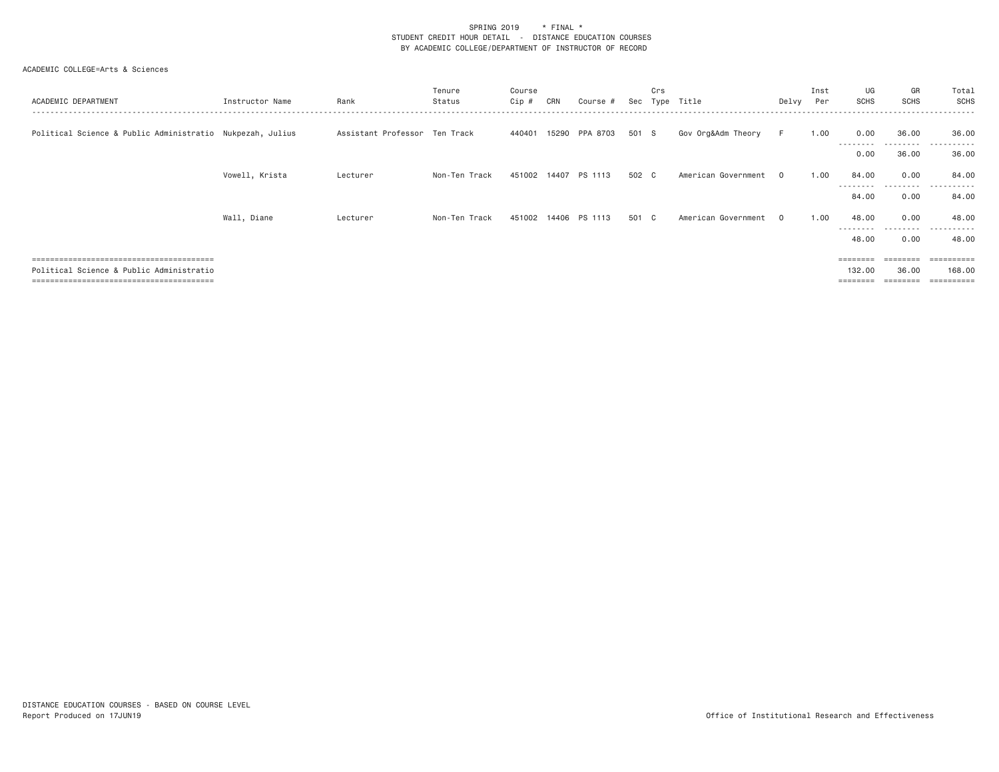| ACADEMIC DEPARTMENT                                       | Instructor Name | Rank                          | Tenure<br>Status | Course<br>Cip # | CRN   | Course               | Sec   | Crs<br>Tvne | Title               | Delvy    | Inst<br>Per | UG<br><b>SCHS</b>  | GR<br><b>SCHS</b>  | Total<br>SCHS           |
|-----------------------------------------------------------|-----------------|-------------------------------|------------------|-----------------|-------|----------------------|-------|-------------|---------------------|----------|-------------|--------------------|--------------------|-------------------------|
| Political Science & Public Administratio Nukpezah, Julius |                 | Assistant Professor Ten Track |                  | 440401          |       | 15290 PPA 8703       | 501 S |             | Gov Org&Adm Theory  | F.       | 1.00        | 0.00<br>---------  | 36.00<br>--------- | 36,00<br>----------     |
|                                                           |                 |                               |                  |                 |       |                      |       |             |                     |          |             | 0.00               | 36.00              | 36,00                   |
|                                                           | Vowell, Krista  | Lecturer                      | Non-Ten Track    |                 |       | 451002 14407 PS 1113 | 502 C |             | American Government | 0        | 1,00        | 84.00              | 0.00               | 84.00                   |
|                                                           |                 |                               |                  |                 |       |                      |       |             |                     |          |             | ---------<br>84.00 | ---------<br>0.00  | ----------<br>84.00     |
|                                                           | Wall, Diane     | Lecturer                      | Non-Ten Track    | 451002          | 14406 | PS 1113              | 501 C |             | American Government | $\Omega$ | 1,00        | 48.00              | 0.00               | 48,00                   |
|                                                           |                 |                               |                  |                 |       |                      |       |             |                     |          |             | .<br>48.00         | .<br>0.00          | .<br>48.00              |
|                                                           |                 |                               |                  |                 |       |                      |       |             |                     |          |             |                    | ======             | $=$ = = = = = = = = $=$ |
| Political Science & Public Administratio                  |                 |                               |                  |                 |       |                      |       |             |                     |          |             | 132.00             | 36,00              | 168,00                  |
|                                                           |                 |                               |                  |                 |       |                      |       |             |                     |          |             |                    |                    | .=======                |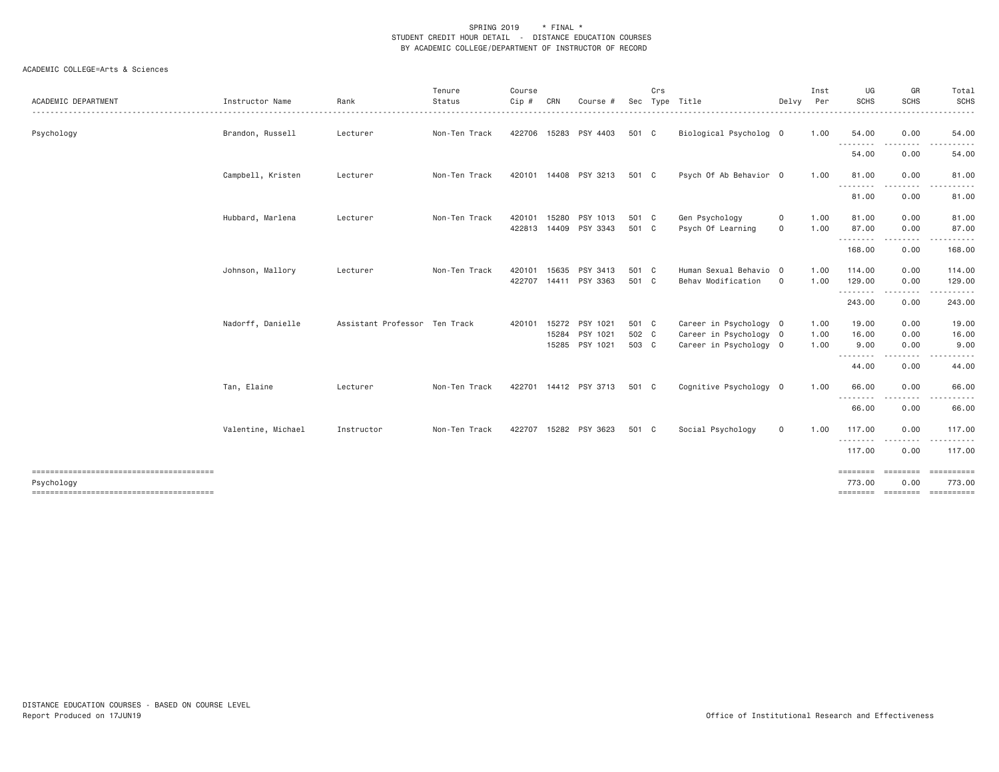| <b>ACADEMIC DEPARTMENT</b> | Instructor Name    | Rank                          | Tenure<br>Status | Course<br>Cip # | CRN   | Course #              | Sec   | Crs | Type Title             | Delvy        | Inst<br>Per | UG<br><b>SCHS</b>        | GR<br><b>SCHS</b>    | Total<br><b>SCHS</b> |
|----------------------------|--------------------|-------------------------------|------------------|-----------------|-------|-----------------------|-------|-----|------------------------|--------------|-------------|--------------------------|----------------------|----------------------|
|                            |                    |                               |                  |                 |       |                       |       |     |                        |              |             |                          |                      | <u>.</u>             |
| Psychology                 | Brandon, Russell   | Lecturer                      | Non-Ten Track    |                 |       | 422706 15283 PSY 4403 | 501 C |     | Biological Psycholog 0 |              | 1.00        | 54.00<br>.               | 0.00<br>.            | 54.00<br>.           |
|                            |                    |                               |                  |                 |       |                       |       |     |                        |              |             | 54.00                    | 0.00                 | 54.00                |
|                            | Campbell, Kristen  | Lecturer                      | Non-Ten Track    |                 |       | 420101 14408 PSY 3213 | 501 C |     | Psych Of Ab Behavior 0 |              | 1.00        | 81.00                    | 0.00                 | 81.00                |
|                            |                    |                               |                  |                 |       |                       |       |     |                        |              |             | .<br>81.00               | .<br>0.00            | 81.00                |
|                            | Hubbard, Marlena   | Lecturer                      | Non-Ten Track    | 420101          | 15280 | PSY 1013              | 501 C |     | Gen Psychology         | 0            | 1.00        | 81.00                    | 0.00                 | 81.00                |
|                            |                    |                               |                  | 422813          |       | 14409 PSY 3343        | 501 C |     | Psych Of Learning      | $\mathbf 0$  | 1.00        | 87.00<br>.               | 0.00<br>.            | 87.00<br>.           |
|                            |                    |                               |                  |                 |       |                       |       |     |                        |              |             | 168.00                   | 0.00                 | 168.00               |
|                            | Johnson, Mallory   | Lecturer                      | Non-Ten Track    | 420101          | 15635 | PSY 3413              | 501 C |     | Human Sexual Behavio 0 |              | 1.00        | 114.00                   | 0.00                 | 114.00               |
|                            |                    |                               |                  | 422707          |       | 14411 PSY 3363        | 501 C |     | Behav Modification     | $\circ$      | 1.00        | 129.00<br>.              | 0.00<br>. <i>. .</i> | 129.00               |
|                            |                    |                               |                  |                 |       |                       |       |     |                        |              |             | 243.00                   | 0.00                 | 243.00               |
|                            | Nadorff, Danielle  | Assistant Professor Ten Track |                  | 420101          | 15272 | PSY 1021              | 501 C |     | Career in Psychology 0 |              | 1.00        | 19.00                    | 0.00                 | 19.00                |
|                            |                    |                               |                  |                 | 15284 | PSY 1021              | 502 C |     | Career in Psychology 0 |              | 1.00        | 16.00                    | 0.00                 | 16.00                |
|                            |                    |                               |                  |                 |       | 15285 PSY 1021        | 503 C |     | Career in Psychology 0 |              | 1.00        | 9.00<br>.                | 0.00<br>.            | 9.00<br>$\cdots$     |
|                            |                    |                               |                  |                 |       |                       |       |     |                        |              |             | 44.00                    | 0.00                 | 44.00                |
|                            | Tan, Elaine        | Lecturer                      | Non-Ten Track    |                 |       | 422701 14412 PSY 3713 | 501 C |     | Cognitive Psychology 0 |              | 1.00        | 66.00                    | 0.00                 | 66.00                |
|                            |                    |                               |                  |                 |       |                       |       |     |                        |              |             | - - - - - - - -<br>66.00 | . <u>.</u> .<br>0.00 | 66.00                |
|                            | Valentine, Michael | Instructor                    | Non-Ten Track    | 422707          |       | 15282 PSY 3623        | 501 C |     | Social Psychology      | $\mathsf{O}$ | 1.00        | 117.00                   | 0.00                 | 117.00               |
|                            |                    |                               |                  |                 |       |                       |       |     |                        |              |             | .<br>117.00              | .<br>0.00            | .<br>117.00          |
|                            |                    |                               |                  |                 |       |                       |       |     |                        |              |             | ========                 | <b>EEEEEEE</b>       |                      |
| Psychology                 |                    |                               |                  |                 |       |                       |       |     |                        |              |             | 773.00                   | 0.00                 | 773.00               |
|                            |                    |                               |                  |                 |       |                       |       |     |                        |              |             |                          |                      |                      |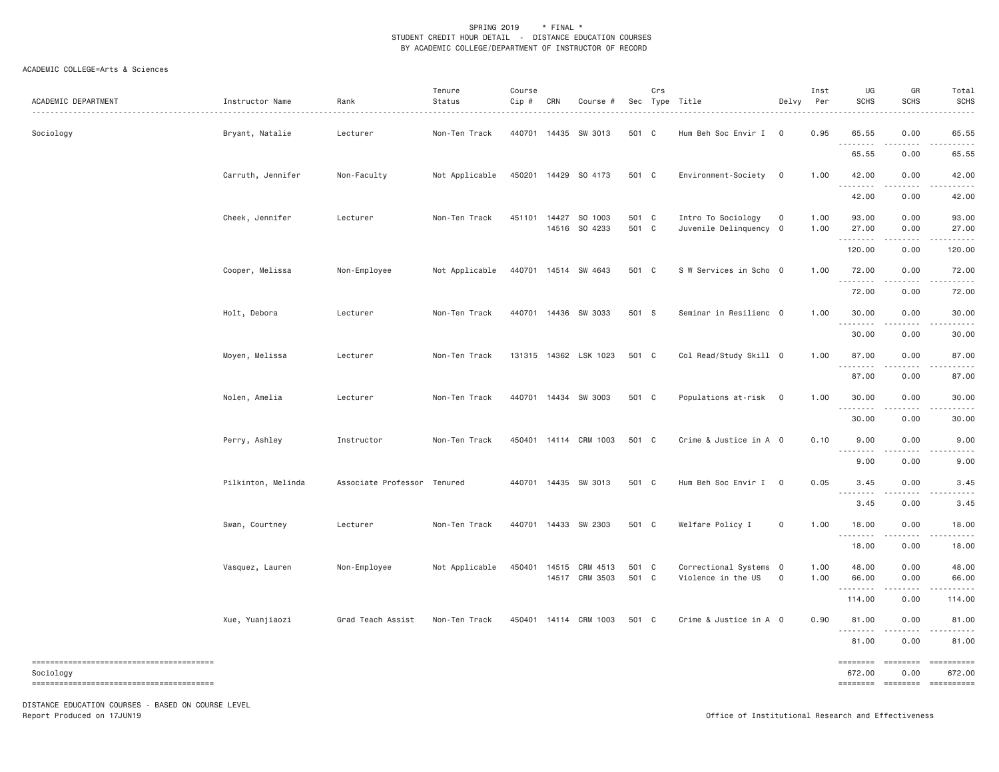## ACADEMIC COLLEGE=Arts & Sciences

| ACADEMIC DEPARTMENT                                 | Instructor Name    | Rank<br>.                   | Tenure<br>Status<br>. <u>.</u> | Course<br>Cip# | CRN   | Course #                              |                | Crs | Sec Type Title<br>.                          | Delvy                   | Inst<br>Per  | UG<br><b>SCHS</b>                 | GR<br><b>SCHS</b>           | Total<br><b>SCHS</b>                                                                                                                                                                                                                                                                                                                                                                                                                          |
|-----------------------------------------------------|--------------------|-----------------------------|--------------------------------|----------------|-------|---------------------------------------|----------------|-----|----------------------------------------------|-------------------------|--------------|-----------------------------------|-----------------------------|-----------------------------------------------------------------------------------------------------------------------------------------------------------------------------------------------------------------------------------------------------------------------------------------------------------------------------------------------------------------------------------------------------------------------------------------------|
| Sociology                                           | Bryant, Natalie    | Lecturer                    | Non-Ten Track                  |                |       | 440701 14435 SW 3013                  | 501 C          |     | Hum Beh Soc Envir I                          | $\overline{\mathbf{0}}$ | 0.95         | 65.55<br>.<br>---                 | 0.00                        | 65.55                                                                                                                                                                                                                                                                                                                                                                                                                                         |
|                                                     |                    |                             |                                |                |       |                                       |                |     |                                              |                         |              | 65.55                             | 0.00                        | 65.55                                                                                                                                                                                                                                                                                                                                                                                                                                         |
|                                                     | Carruth, Jennifer  | Non-Faculty                 | Not Applicable                 |                |       | 450201 14429 SO 4173                  | 501 C          |     | Environment-Society                          | $\overline{0}$          | 1.00         | 42.00                             | 0.00                        | 42.00                                                                                                                                                                                                                                                                                                                                                                                                                                         |
|                                                     |                    |                             |                                |                |       |                                       |                |     |                                              |                         |              | 42.00                             | 0.00                        | 42.00                                                                                                                                                                                                                                                                                                                                                                                                                                         |
|                                                     | Cheek, Jennifer    | Lecturer                    | Non-Ten Track                  |                |       | 451101 14427 SO 1003<br>14516 SO 4233 | 501 C<br>501 C |     | Intro To Sociology<br>Juvenile Delinquency 0 | $\mathsf{o}$            | 1.00<br>1.00 | 93.00<br>27.00                    | 0.00<br>0.00                | 93.00<br>27.00                                                                                                                                                                                                                                                                                                                                                                                                                                |
|                                                     |                    |                             |                                |                |       |                                       |                |     |                                              |                         |              | .<br>120.00                       | .<br>0.00                   | 120.00                                                                                                                                                                                                                                                                                                                                                                                                                                        |
|                                                     | Cooper, Melissa    | Non-Employee                | Not Applicable                 |                |       | 440701 14514 SW 4643                  | 501 C          |     | S W Services in Scho 0                       |                         | 1.00         | 72.00<br>.                        | 0.00<br>$- - - - -$         | 72.00<br>.                                                                                                                                                                                                                                                                                                                                                                                                                                    |
|                                                     |                    |                             |                                |                |       |                                       |                |     |                                              |                         |              | 72.00                             | 0.00                        | 72.00                                                                                                                                                                                                                                                                                                                                                                                                                                         |
|                                                     | Holt, Debora       | Lecturer                    | Non-Ten Track                  |                |       | 440701 14436 SW 3033                  | 501 S          |     | Seminar in Resilienc 0                       |                         | 1.00         | 30.00<br>.                        | 0.00<br>.                   | 30.00                                                                                                                                                                                                                                                                                                                                                                                                                                         |
|                                                     |                    |                             |                                |                |       |                                       |                |     |                                              |                         |              | 30.00                             | 0.00                        | 30.00                                                                                                                                                                                                                                                                                                                                                                                                                                         |
|                                                     | Moyen, Melissa     | Lecturer                    | Non-Ten Track                  |                |       | 131315 14362 LSK 1023                 | 501 C          |     | Col Read/Study Skill 0                       |                         | 1.00         | 87.00<br>.                        | 0.00                        | 87.00                                                                                                                                                                                                                                                                                                                                                                                                                                         |
|                                                     |                    |                             |                                |                |       |                                       |                |     |                                              |                         |              | 87.00                             | 0.00                        | 87.00                                                                                                                                                                                                                                                                                                                                                                                                                                         |
|                                                     | Nolen, Amelia      | Lecturer                    | Non-Ten Track                  | 440701         |       | 14434 SW 3003                         | 501 C          |     | Populations at-risk 0                        |                         | 1.00         | 30.00<br>.                        | 0.00                        | 30.00                                                                                                                                                                                                                                                                                                                                                                                                                                         |
|                                                     |                    |                             |                                |                |       |                                       |                |     |                                              |                         |              | 30.00                             | 0.00                        | 30.00                                                                                                                                                                                                                                                                                                                                                                                                                                         |
|                                                     | Perry, Ashley      | Instructor                  | Non-Ten Track                  |                |       | 450401 14114 CRM 1003                 | 501 C          |     | Crime & Justice in A 0                       |                         | 0.10         | 9.00<br>$\sim$ $\sim$ $\sim$<br>. | 0.00                        | 9.00                                                                                                                                                                                                                                                                                                                                                                                                                                          |
|                                                     |                    |                             |                                |                |       |                                       |                |     |                                              |                         |              | 9.00                              | 0.00                        | 9.00                                                                                                                                                                                                                                                                                                                                                                                                                                          |
|                                                     | Pilkinton, Melinda | Associate Professor Tenured |                                | 440701         |       | 14435 SW 3013                         | 501 C          |     | Hum Beh Soc Envir I                          | $\overline{0}$          | 0.05         | 3.45<br>$\sim$ $\sim$ $\sim$      | 0.00                        | 3.45                                                                                                                                                                                                                                                                                                                                                                                                                                          |
|                                                     |                    |                             |                                |                |       |                                       |                |     |                                              |                         |              | 3.45                              | 0.00                        | 3.45                                                                                                                                                                                                                                                                                                                                                                                                                                          |
|                                                     | Swan, Courtney     | Lecturer                    | Non-Ten Track                  |                |       | 440701 14433 SW 2303                  | 501 C          |     | Welfare Policy I                             | $\mathsf{O}\xspace$     | 1.00         | 18.00<br>.                        | 0.00                        | 18.00                                                                                                                                                                                                                                                                                                                                                                                                                                         |
|                                                     |                    |                             |                                |                |       |                                       |                |     |                                              |                         |              | 18.00                             | 0.00                        | 18.00                                                                                                                                                                                                                                                                                                                                                                                                                                         |
|                                                     | Vasquez, Lauren    | Non-Employee                | Not Applicable                 | 450401         | 14515 | CRM 4513<br>14517 CRM 3503            | 501<br>501 C   | C   | Correctional Systems 0<br>Violence in the US | $\overline{0}$          | 1.00<br>1.00 | 48.00<br>66.00                    | 0.00<br>0.00                | 48.00<br>66.00                                                                                                                                                                                                                                                                                                                                                                                                                                |
|                                                     |                    |                             |                                |                |       |                                       |                |     |                                              |                         |              | .<br>114.00                       | .<br>0.00                   | 114.00                                                                                                                                                                                                                                                                                                                                                                                                                                        |
|                                                     | Xue, Yuanjiaozi    | Grad Teach Assist           | Non-Ten Track                  |                |       | 450401 14114 CRM 1003                 | 501 C          |     | Crime & Justice in A 0                       |                         | 0.90         | 81.00<br>. <b>.</b>               | 0.00<br>-----               | 81.00<br>.                                                                                                                                                                                                                                                                                                                                                                                                                                    |
|                                                     |                    |                             |                                |                |       |                                       |                |     |                                              |                         |              | 81.00                             | 0.00                        | 81.00                                                                                                                                                                                                                                                                                                                                                                                                                                         |
| --------------------------------------<br>Sociology |                    |                             |                                |                |       |                                       |                |     |                                              |                         |              | ========<br>672.00                | $= = = = = = = = =$<br>0.00 | $\begin{minipage}{0.9\linewidth} \hspace*{-0.2cm} \textbf{1} & \textbf{2} & \textbf{3} & \textbf{5} & \textbf{6} & \textbf{7} & \textbf{8} \\ \textbf{5} & \textbf{6} & \textbf{7} & \textbf{8} & \textbf{8} & \textbf{8} & \textbf{8} & \textbf{8} \\ \textbf{6} & \textbf{8} & \textbf{8} & \textbf{8} & \textbf{8} & \textbf{8} & \textbf{8} & \textbf{8} & \textbf{8} \\ \textbf{7} & \textbf{8} & \textbf{8} & \textbf{8} & \$<br>672.00 |

DISTANCE EDUCATION COURSES - BASED ON COURSE LEVEL Report Produced on 17JUN19 Office of Institutional Research and Effectiveness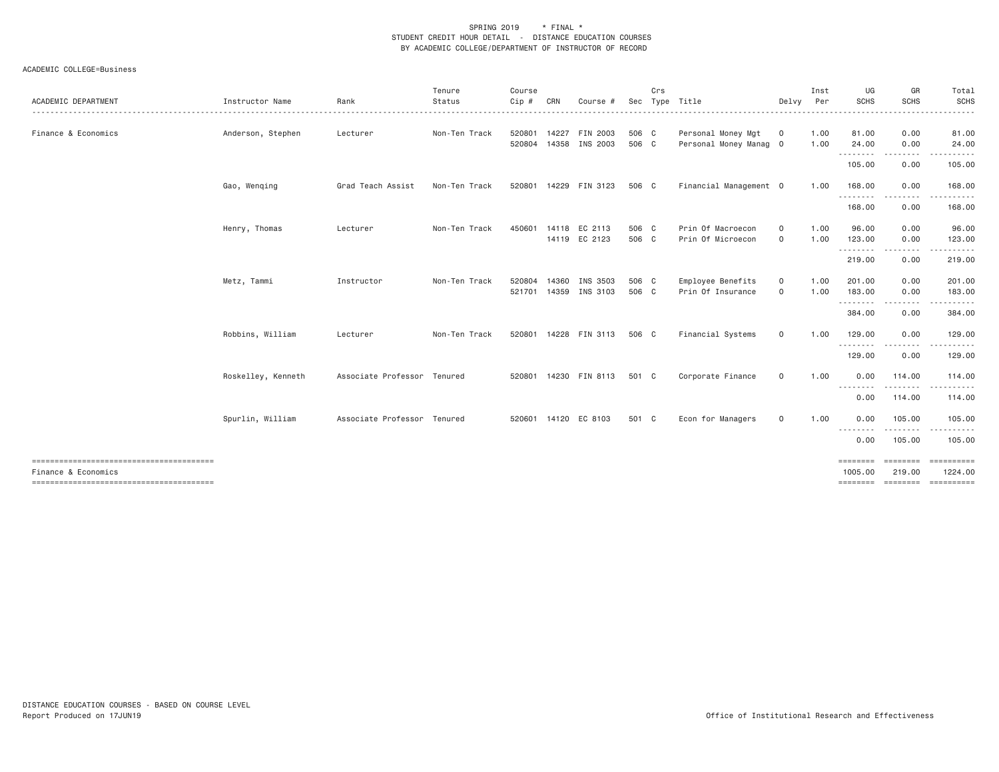| ACADEMIC DEPARTMENT | Instructor Name    | Rank                        | Tenure<br>Status | Course<br>Cip #  | CRN   | Course #                          | Sec            | Crs | Type Title                                   | Delvy                      | Inst<br>Per  | UG<br><b>SCHS</b>               | GR<br><b>SCHS</b>        | Total<br>SCHS                                |
|---------------------|--------------------|-----------------------------|------------------|------------------|-------|-----------------------------------|----------------|-----|----------------------------------------------|----------------------------|--------------|---------------------------------|--------------------------|----------------------------------------------|
| Finance & Economics | Anderson, Stephen  | Lecturer                    | Non-Ten Track    | 520801<br>520804 |       | 14227 FIN 2003<br>14358 INS 2003  | 506 C<br>506 C |     | Personal Money Mgt<br>Personal Money Manag 0 | $\mathbf 0$                | 1.00<br>1.00 | 81.00<br>24.00                  | 0.00<br>0.00             | 81.00<br>24.00                               |
|                     |                    |                             |                  |                  |       |                                   |                |     |                                              |                            |              | --------<br>105.00              | .<br>0.00                | .<br>105.00                                  |
|                     | Gao, Wenqing       | Grad Teach Assist           | Non-Ten Track    |                  |       | 520801 14229 FIN 3123             | 506 C          |     | Financial Management 0                       |                            | 1.00         | 168.00<br>.                     | 0.00<br>.                | 168.00<br>.                                  |
|                     |                    |                             |                  |                  |       |                                   |                |     |                                              |                            |              | 168.00                          | 0.00                     | 168.00                                       |
|                     | Henry, Thomas      | Lecturer                    | Non-Ten Track    | 450601           |       | 14118 EC 2113<br>14119 EC 2123    | 506 C<br>506 C |     | Prin Of Macroecon<br>Prin Of Microecon       | 0<br>0                     | 1.00<br>1.00 | 96.00<br>123.00<br>.            | 0.00<br>0.00<br><u>.</u> | 96.00<br>123.00<br>.                         |
|                     |                    |                             |                  |                  |       |                                   |                |     |                                              |                            |              | 219.00                          | 0.00                     | 219.00                                       |
|                     | Metz, Tammi        | Instructor                  | Non-Ten Track    | 520804           | 14360 | INS 3503<br>521701 14359 INS 3103 | 506 C<br>506 C |     | Employee Benefits<br>Prin Of Insurance       | $\mathbf 0$<br>$\mathbf 0$ | 1.00<br>1.00 | 201.00<br>183.00<br>.           | 0.00<br>0.00             | 201.00<br>183.00<br>.                        |
|                     |                    |                             |                  |                  |       |                                   |                |     |                                              |                            |              | 384.00                          | 0.00                     | 384.00                                       |
|                     | Robbins, William   | Lecturer                    | Non-Ten Track    |                  |       | 520801 14228 FIN 3113             | 506 C          |     | Financial Systems                            | $\mathbf 0$                | 1.00         | 129.00<br><u>.</u> .            | 0.00<br><u>.</u>         | 129.00<br>.                                  |
|                     |                    |                             |                  |                  |       |                                   |                |     |                                              |                            |              | 129.00                          | 0.00                     | 129.00                                       |
|                     | Roskelley, Kenneth | Associate Professor Tenured |                  |                  |       | 520801 14230 FIN 8113             | 501 C          |     | Corporate Finance                            | $\mathbf 0$                | 1.00         | 0.00<br>.                       | 114.00<br>.              | 114.00<br>.                                  |
|                     |                    |                             |                  |                  |       |                                   |                |     |                                              |                            |              | 0.00                            | 114.00                   | 114.00                                       |
|                     | Spurlin, William   | Associate Professor Tenured |                  |                  |       | 520601 14120 EC 8103              | 501 C          |     | Econ for Managers                            | $\mathbf 0$                | 1.00         | 0.00<br><u> - - - - - - - -</u> | 105.00<br>--------       | 105.00<br>. <u>.</u> .                       |
|                     |                    |                             |                  |                  |       |                                   |                |     |                                              |                            |              | 0.00                            | 105.00                   | 105.00                                       |
| Finance & Economics |                    |                             |                  |                  |       |                                   |                |     |                                              |                            |              | ========<br>1005,00<br>======== | ========<br>219,00       | ==========<br>1224,00<br>--------- --------- |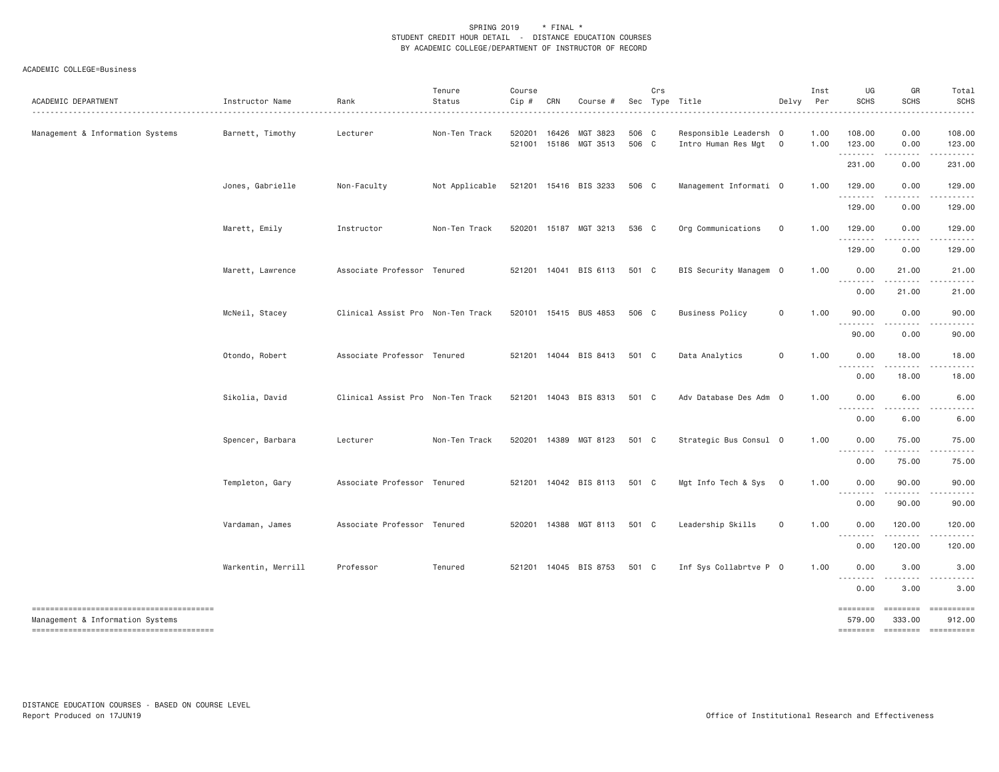| ACADEMIC DEPARTMENT                    | Instructor Name    | Rank                              | Tenure<br>Status | Course<br>Cip #  | CRN            | Course #                    |                | Crs | Sec Type Title<br>.                             | Delvy          | Inst<br>Per  | UG<br><b>SCHS</b>                                               | GR<br><b>SCHS</b>                                                                                                                                                                        | Total<br><b>SCHS</b> |
|----------------------------------------|--------------------|-----------------------------------|------------------|------------------|----------------|-----------------------------|----------------|-----|-------------------------------------------------|----------------|--------------|-----------------------------------------------------------------|------------------------------------------------------------------------------------------------------------------------------------------------------------------------------------------|----------------------|
| Management & Information Systems       | Barnett, Timothy   | Lecturer                          | Non-Ten Track    | 520201<br>521001 | 16426<br>15186 | MGT 3823<br>MGT 3513        | 506 C<br>506 C |     | Responsible Leadersh 0<br>Intro Human Res Mgt 0 |                | 1.00<br>1.00 | 108.00<br>123.00                                                | 0.00<br>0.00                                                                                                                                                                             | 108.00<br>123.00     |
|                                        |                    |                                   |                  |                  |                |                             |                |     |                                                 |                |              | ---------<br>231.00                                             | $\frac{1}{2} \left( \frac{1}{2} \right) \left( \frac{1}{2} \right) \left( \frac{1}{2} \right) \left( \frac{1}{2} \right) \left( \frac{1}{2} \right)$<br>0.00                             | 231.00               |
|                                        | Jones, Gabrielle   | Non-Faculty                       | Not Applicable   |                  |                | 521201 15416 BIS 3233       | 506 C          |     | Management Informati 0                          |                | 1.00         | 129.00                                                          | 0.00                                                                                                                                                                                     | 129.00               |
|                                        |                    |                                   |                  |                  |                |                             |                |     |                                                 |                |              | 129.00                                                          | 0.00                                                                                                                                                                                     | 129.00               |
|                                        | Marett, Emily      | Instructor                        | Non-Ten Track    |                  |                | 520201 15187 MGT 3213       | 536 C          |     | Org Communications                              | $\overline{0}$ | 1.00         | 129.00<br>.                                                     | 0.00<br>.                                                                                                                                                                                | 129.00               |
|                                        |                    |                                   |                  |                  |                |                             |                |     |                                                 |                |              | 129.00                                                          | 0.00                                                                                                                                                                                     | 129.00               |
|                                        | Marett, Lawrence   | Associate Professor Tenured       |                  |                  |                | 521201 14041 BIS 6113 501 C |                |     | BIS Security Managem 0                          |                | 1.00         | 0.00<br>.                                                       | 21.00<br>$\frac{1}{2} \left( \frac{1}{2} \right) \left( \frac{1}{2} \right) \left( \frac{1}{2} \right) \left( \frac{1}{2} \right) \left( \frac{1}{2} \right) \left( \frac{1}{2} \right)$ | 21.00<br>.           |
|                                        |                    |                                   |                  |                  |                |                             |                |     |                                                 |                |              | 0.00                                                            | 21.00                                                                                                                                                                                    | 21.00                |
|                                        | McNeil, Stacey     | Clinical Assist Pro Non-Ten Track |                  |                  |                | 520101 15415 BUS 4853       | 506 C          |     | <b>Business Policy</b>                          | 0              | 1.00         | 90.00<br>$\frac{1}{2} \left( \frac{1}{2} + \frac{1}{2} \right)$ | 0.00                                                                                                                                                                                     | 90.00                |
|                                        |                    |                                   |                  |                  |                |                             |                |     |                                                 |                |              | 90.00                                                           | 0.00                                                                                                                                                                                     | 90.00                |
|                                        | Otondo, Robert     | Associate Professor Tenured       |                  |                  |                | 521201 14044 BIS 8413       | 501 C          |     | Data Analytics                                  | $\mathbf 0$    | 1.00         | 0.00                                                            | 18.00                                                                                                                                                                                    | 18.00                |
|                                        |                    |                                   |                  |                  |                |                             |                |     |                                                 |                |              | 0.00                                                            | 18.00                                                                                                                                                                                    | 18.00                |
|                                        | Sikolia, David     | Clinical Assist Pro Non-Ten Track |                  |                  |                | 521201 14043 BIS 8313       | 501 C          |     | Adv Database Des Adm 0                          |                | 1.00         | 0.00<br>--------                                                | 6.00                                                                                                                                                                                     | 6.00                 |
|                                        |                    |                                   |                  |                  |                |                             |                |     |                                                 |                |              | 0.00                                                            | 6.00                                                                                                                                                                                     | 6.00                 |
|                                        | Spencer, Barbara   | Lecturer                          | Non-Ten Track    |                  |                | 520201 14389 MGT 8123 501 C |                |     | Strategic Bus Consul 0                          |                | 1.00         | 0.00<br>.                                                       | 75.00<br>.                                                                                                                                                                               | 75.00                |
|                                        |                    |                                   |                  |                  |                |                             |                |     |                                                 |                |              | 0.00                                                            | 75.00                                                                                                                                                                                    | 75.00                |
|                                        | Templeton, Gary    | Associate Professor Tenured       |                  |                  |                | 521201 14042 BIS 8113       | 501 C          |     | Mgt Info Tech & Sys 0                           |                | 1.00         | 0.00<br>.                                                       | 90.00<br>.                                                                                                                                                                               | 90.00                |
|                                        | Vardaman, James    | Associate Professor Tenured       |                  | 520201           | 14388          | MGT 8113                    | 501 C          |     | Leadership Skills                               | 0              | 1.00         | 0.00<br>0.00                                                    | 90.00<br>120.00                                                                                                                                                                          | 90.00<br>120.00      |
|                                        |                    |                                   |                  |                  |                |                             |                |     |                                                 |                |              | 0.00                                                            | .<br>120.00                                                                                                                                                                              | 120.00               |
|                                        | Warkentin, Merrill | Professor                         | Tenured          |                  |                | 521201 14045 BIS 8753       | 501 C          |     | Inf Sys Collabrtve P 0                          |                | 1.00         | 0.00                                                            | 3.00                                                                                                                                                                                     | 3.00                 |
|                                        |                    |                                   |                  |                  |                |                             |                |     |                                                 |                |              | $\sim$ $\sim$ $\sim$<br>0.00                                    | 3.00                                                                                                                                                                                     | 3.00                 |
| -------------------------------------- |                    |                                   |                  |                  |                |                             |                |     |                                                 |                |              | <b>EDESSERS</b>                                                 | ========                                                                                                                                                                                 | ==========           |
| Management & Information Systems       |                    |                                   |                  |                  |                |                             |                |     |                                                 |                |              | 579.00                                                          | 333.00<br>======== ======== =========                                                                                                                                                    | 912.00               |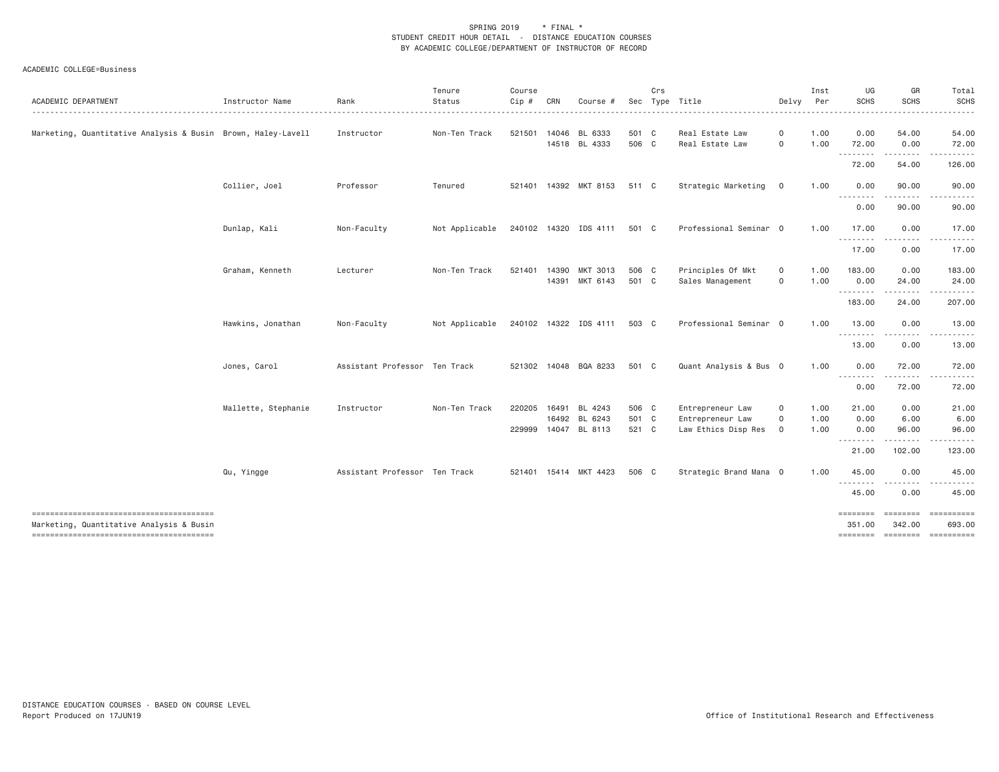| Instructor Name   | Rank                                                                                                   |                                      |                                                                                                                   |                            |                |                                                                                                                                                                                                                                                      |                                                                                                          |                                                                                                 |                                                                                                                                                      |                                      |                                                                                                         |                                                                                      |
|-------------------|--------------------------------------------------------------------------------------------------------|--------------------------------------|-------------------------------------------------------------------------------------------------------------------|----------------------------|----------------|------------------------------------------------------------------------------------------------------------------------------------------------------------------------------------------------------------------------------------------------------|----------------------------------------------------------------------------------------------------------|-------------------------------------------------------------------------------------------------|------------------------------------------------------------------------------------------------------------------------------------------------------|--------------------------------------|---------------------------------------------------------------------------------------------------------|--------------------------------------------------------------------------------------|
|                   | .                                                                                                      | Status                               | $Cip$ #                                                                                                           | CRN                        | Course #       |                                                                                                                                                                                                                                                      | Sec Type Title                                                                                           | Delvy                                                                                           | Per<br>.                                                                                                                                             | <b>SCHS</b>                          | <b>SCHS</b>                                                                                             | <b>SCHS</b>                                                                          |
|                   |                                                                                                        |                                      |                                                                                                                   |                            |                |                                                                                                                                                                                                                                                      |                                                                                                          |                                                                                                 |                                                                                                                                                      |                                      |                                                                                                         | 54.00                                                                                |
|                   |                                                                                                        |                                      |                                                                                                                   |                            |                |                                                                                                                                                                                                                                                      |                                                                                                          | $\mathbf 0$                                                                                     |                                                                                                                                                      |                                      |                                                                                                         | 72.00                                                                                |
|                   |                                                                                                        |                                      |                                                                                                                   |                            |                |                                                                                                                                                                                                                                                      |                                                                                                          |                                                                                                 |                                                                                                                                                      |                                      | .                                                                                                       |                                                                                      |
|                   |                                                                                                        |                                      |                                                                                                                   |                            |                |                                                                                                                                                                                                                                                      |                                                                                                          |                                                                                                 |                                                                                                                                                      | 72.00                                | 54.00                                                                                                   | 126.00                                                                               |
| Collier, Joel     | Professor                                                                                              | Tenured                              |                                                                                                                   |                            |                |                                                                                                                                                                                                                                                      | Strategic Marketing                                                                                      | $\mathbf 0$                                                                                     | 1.00                                                                                                                                                 | 0.00                                 | 90.00                                                                                                   | 90.00                                                                                |
|                   |                                                                                                        |                                      |                                                                                                                   |                            |                |                                                                                                                                                                                                                                                      |                                                                                                          |                                                                                                 |                                                                                                                                                      | 0.00                                 | 90.00                                                                                                   | 90.00                                                                                |
| Dunlap, Kali      | Non-Faculty                                                                                            | Not Applicable                       |                                                                                                                   |                            |                |                                                                                                                                                                                                                                                      |                                                                                                          |                                                                                                 | 1.00                                                                                                                                                 | 17.00                                | 0.00                                                                                                    | 17.00                                                                                |
|                   |                                                                                                        |                                      |                                                                                                                   |                            |                |                                                                                                                                                                                                                                                      |                                                                                                          |                                                                                                 |                                                                                                                                                      | 17.00                                | 0.00                                                                                                    | 17.00                                                                                |
|                   |                                                                                                        |                                      |                                                                                                                   |                            |                |                                                                                                                                                                                                                                                      |                                                                                                          |                                                                                                 |                                                                                                                                                      |                                      |                                                                                                         | 183.00                                                                               |
|                   |                                                                                                        |                                      |                                                                                                                   |                            |                |                                                                                                                                                                                                                                                      | Sales Management                                                                                         | $\mathbf 0$                                                                                     | 1.00                                                                                                                                                 | 0.00                                 | 24.00                                                                                                   | 24.00                                                                                |
|                   |                                                                                                        |                                      |                                                                                                                   |                            |                |                                                                                                                                                                                                                                                      |                                                                                                          |                                                                                                 |                                                                                                                                                      | 183.00                               | 24.00                                                                                                   | 207.00                                                                               |
| Hawkins, Jonathan | Non-Faculty                                                                                            | Not Applicable                       |                                                                                                                   |                            |                |                                                                                                                                                                                                                                                      |                                                                                                          |                                                                                                 | 1.00                                                                                                                                                 | 13.00                                | 0.00                                                                                                    | 13.00                                                                                |
|                   |                                                                                                        |                                      |                                                                                                                   |                            |                |                                                                                                                                                                                                                                                      |                                                                                                          |                                                                                                 |                                                                                                                                                      | 13.00                                | 0.00                                                                                                    | 13.00                                                                                |
| Jones, Carol      |                                                                                                        |                                      |                                                                                                                   |                            |                |                                                                                                                                                                                                                                                      |                                                                                                          |                                                                                                 | 1.00                                                                                                                                                 | 0.00                                 | 72.00                                                                                                   | 72.00                                                                                |
|                   |                                                                                                        |                                      |                                                                                                                   |                            |                |                                                                                                                                                                                                                                                      |                                                                                                          |                                                                                                 |                                                                                                                                                      | 0.00                                 | 72.00                                                                                                   | 72.00                                                                                |
|                   |                                                                                                        |                                      |                                                                                                                   |                            |                |                                                                                                                                                                                                                                                      |                                                                                                          |                                                                                                 |                                                                                                                                                      |                                      |                                                                                                         |                                                                                      |
|                   |                                                                                                        |                                      |                                                                                                                   |                            |                |                                                                                                                                                                                                                                                      |                                                                                                          |                                                                                                 |                                                                                                                                                      |                                      |                                                                                                         | 21.00<br>6.00                                                                        |
|                   |                                                                                                        |                                      |                                                                                                                   |                            |                |                                                                                                                                                                                                                                                      | Law Ethics Disp Res                                                                                      | $\circ$                                                                                         | 1.00                                                                                                                                                 | 0.00                                 | 96.00                                                                                                   | 96.00                                                                                |
|                   |                                                                                                        |                                      |                                                                                                                   |                            |                |                                                                                                                                                                                                                                                      |                                                                                                          |                                                                                                 |                                                                                                                                                      | 21.00                                | . <b>.</b> .<br>102.00                                                                                  | 123.00                                                                               |
| Qu, Yingge        |                                                                                                        |                                      |                                                                                                                   |                            |                |                                                                                                                                                                                                                                                      |                                                                                                          |                                                                                                 | 1.00                                                                                                                                                 | 45.00                                | 0.00                                                                                                    | 45.00                                                                                |
|                   |                                                                                                        |                                      |                                                                                                                   |                            |                |                                                                                                                                                                                                                                                      |                                                                                                          |                                                                                                 |                                                                                                                                                      | 45.00                                | 0.00                                                                                                    | 45.00                                                                                |
|                   |                                                                                                        |                                      |                                                                                                                   |                            |                |                                                                                                                                                                                                                                                      |                                                                                                          |                                                                                                 |                                                                                                                                                      |                                      |                                                                                                         | ==========                                                                           |
|                   |                                                                                                        |                                      |                                                                                                                   |                            |                |                                                                                                                                                                                                                                                      |                                                                                                          |                                                                                                 |                                                                                                                                                      | 351.00                               | 342.00                                                                                                  | 693.00                                                                               |
|                   | Marketing, Quantitative Analysis & Busin Brown, Haley-Lavell<br>Graham, Kenneth<br>Mallette, Stephanie | Instructor<br>Lecturer<br>Instructor | Non-Ten Track<br>Non-Ten Track<br>Assistant Professor Ten Track<br>Non-Ten Track<br>Assistant Professor Ten Track | 521501<br>521401<br>220205 | 14390<br>16491 | 14046 BL 6333<br>14518 BL 4333<br>521401 14392 MKT 8153<br>240102 14320 IDS 4111<br><b>MKT 3013</b><br>14391 MKT 6143<br>240102 14322 IDS 4111<br>521302 14048 BQA 8233<br>BL 4243<br>16492 BL 6243<br>229999 14047 BL 8113<br>521401 15414 MKT 4423 | 501 C<br>506 C<br>511 C<br>501 C<br>506 C<br>501 C<br>503 C<br>501 C<br>506 C<br>501 C<br>521 C<br>506 C | Real Estate Law<br>Real Estate Law<br>Principles Of Mkt<br>Entrepreneur Law<br>Entrepreneur Law | 0<br>Professional Seminar 0<br>0<br>Professional Seminar 0<br>Quant Analysis & Bus 0<br>$\mathbf 0$<br>$\mathsf{O}\xspace$<br>Strategic Brand Mana 0 | 1.00<br>1.00<br>1.00<br>1.00<br>1.00 | 0.00<br>72.00<br>--------<br>.<br>183,00<br>.<br>21.00<br>0.00<br>.<br>--------<br>========<br>======== | 54.00<br>0.00<br><u>.</u><br>0.00<br>0.00<br>6.00<br>========<br>--------- --------- |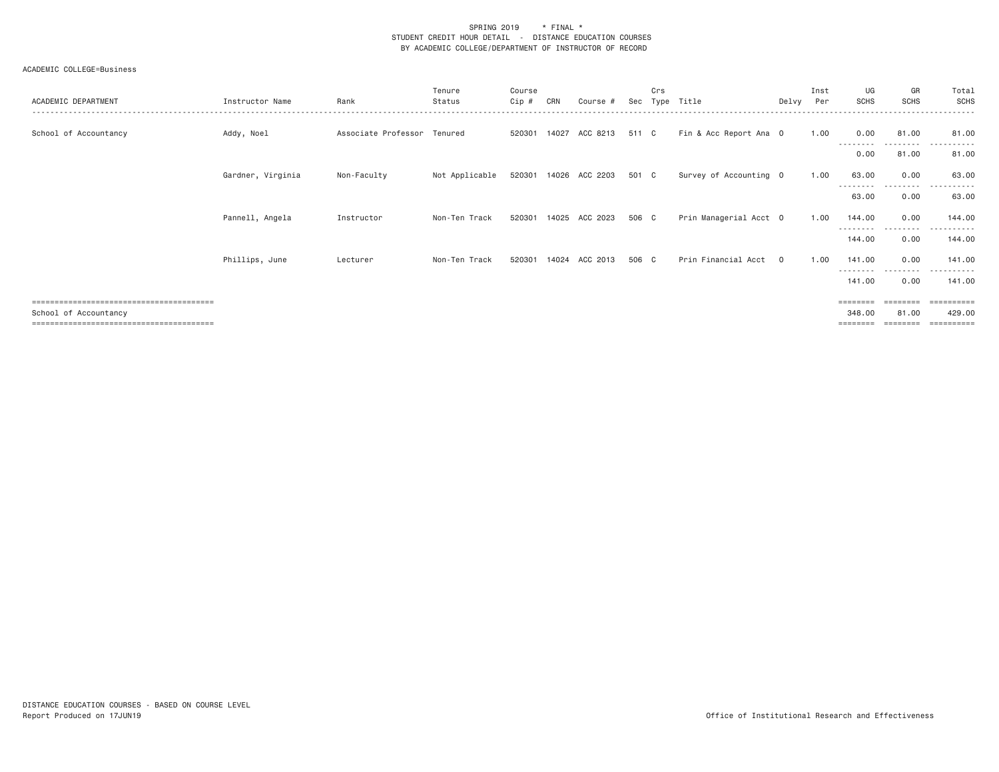| ACADEMIC DEPARTMENT   | Instructor Name   | Rank                        | Tenure<br>Status | Course<br>Cip # | CRN   | Course #       | Sec   | Crs<br>Tvpe | Title                  | Delvv    | Inst<br>Per | UG<br>SCHS                              | GR<br><b>SCHS</b>             | Total<br><b>SCHS</b>                          |
|-----------------------|-------------------|-----------------------------|------------------|-----------------|-------|----------------|-------|-------------|------------------------|----------|-------------|-----------------------------------------|-------------------------------|-----------------------------------------------|
| School of Accountancy | Addy, Noel        | Associate Professor Tenured |                  | 520301          | 14027 | ACC 8213       | 511 C |             | Fin & Acc Report Ana 0 |          | 1.00        | 0.00                                    | 81.00                         | 81.00                                         |
|                       |                   |                             |                  |                 |       |                |       |             |                        |          |             | 0.00                                    | 81.00                         | 81.00                                         |
|                       | Gardner, Virginia | Non-Faculty                 | Not Applicable   | 520301          |       | 14026 ACC 2203 | 501 C |             | Survey of Accounting 0 |          | 1.00        | 63.00                                   | 0.00                          | 63.00                                         |
|                       |                   |                             |                  |                 |       |                |       |             |                        |          |             | 63.00                                   | 0.00                          | 63.00                                         |
|                       | Pannell, Angela   | Instructor                  | Non-Ten Track    | 520301          | 14025 | ACC 2023       | 506 C |             | Prin Managerial Acct 0 |          | 1.00        | 144.00                                  | 0.00                          | 144.00                                        |
|                       |                   |                             |                  |                 |       |                |       |             |                        |          |             | ---------<br>144.00                     | .<br>0.00                     | .<br>144.00                                   |
|                       | Phillips, June    | Lecturer                    | Non-Ten Track    | 520301          | 14024 | ACC 2013       | 506 C |             | Prin Financial Acct    | $\Omega$ | 1.00        | 141.00                                  | 0.00                          | 141.00                                        |
|                       |                   |                             |                  |                 |       |                |       |             |                        |          |             | ---------<br>141.00                     | .<br>0.00                     | ----------<br>141.00                          |
| School of Accountancy |                   |                             |                  |                 |       |                |       |             |                        |          |             | $=$ = = = = = = =<br>348.00<br>======== | ========<br>81.00<br>======== | $=$ = = = = = = = = =<br>429,00<br>========== |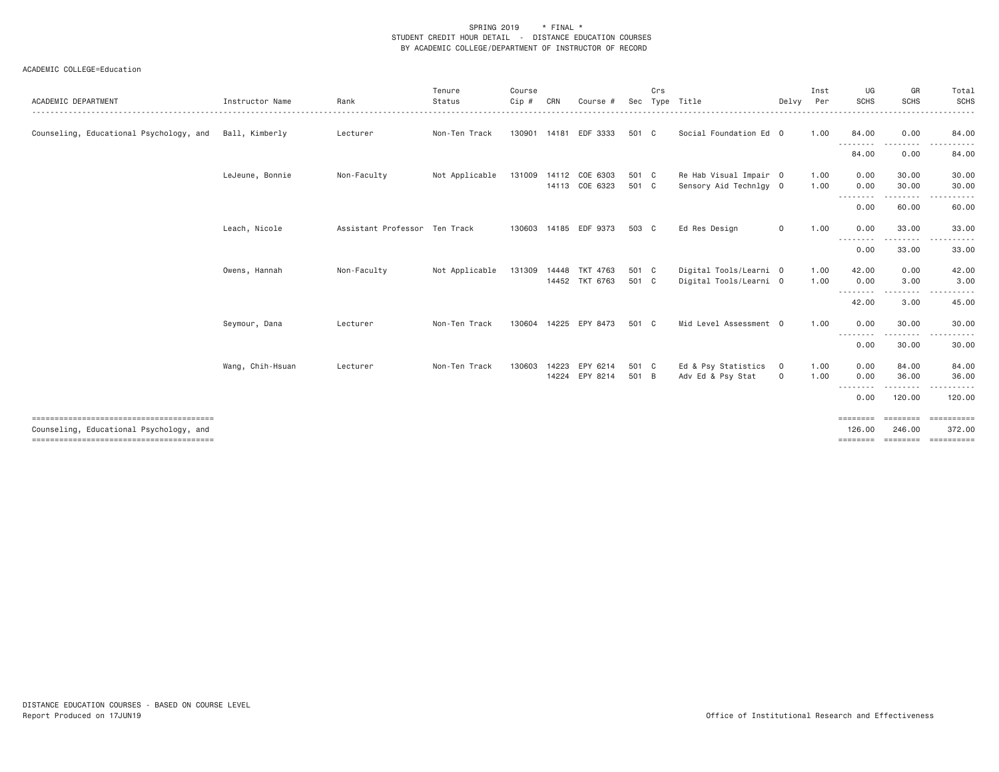| ACADEMIC DEPARTMENT                     | Instructor Name  | Rank                          | Tenure<br>Status | Course<br>Cip # | CRN   | Course #                                | Sec            | Crs | Type Title                                       | Delvv          | Inst<br>Per  | UG<br><b>SCHS</b>       | GR<br><b>SCHS</b>        | Total<br><b>SCHS</b>         |
|-----------------------------------------|------------------|-------------------------------|------------------|-----------------|-------|-----------------------------------------|----------------|-----|--------------------------------------------------|----------------|--------------|-------------------------|--------------------------|------------------------------|
| Counseling, Educational Psychology, and | Ball, Kimberly   | Lecturer                      | Non-Ten Track    | 130901          | 14181 | EDF 3333                                | 501 C          |     | Social Foundation Ed 0                           |                | 1.00         | 84.00                   | 0.00                     | 84.00                        |
|                                         |                  |                               |                  |                 |       |                                         |                |     |                                                  |                |              | ---------               | .                        |                              |
|                                         |                  |                               |                  |                 |       |                                         |                |     |                                                  |                |              | 84.00                   | 0.00                     | 84.00                        |
|                                         | LeJeune, Bonnie  | Non-Faculty                   | Not Applicable   |                 |       | 131009 14112 COE 6303<br>14113 COE 6323 | 501 C<br>501 C |     | Re Hab Visual Impair 0<br>Sensory Aid Technlgy 0 |                | 1.00<br>1.00 | 0.00<br>0.00            | 30.00<br>30.00           | 30.00<br>30.00               |
|                                         |                  |                               |                  |                 |       |                                         |                |     |                                                  |                |              | --------                | <u>.</u>                 |                              |
|                                         |                  |                               |                  |                 |       |                                         |                |     |                                                  |                |              | 0.00                    | 60.00                    | 60.00                        |
|                                         | Leach, Nicole    | Assistant Professor Ten Track |                  | 130603          |       | 14185 EDF 9373                          | 503 C          |     | Ed Res Design                                    | $\mathbf 0$    | 1.00         | 0.00<br>--------        | 33.00<br>- - - - - - - - | 33.00<br><u>.</u><br>$- - -$ |
|                                         |                  |                               |                  |                 |       |                                         |                |     |                                                  |                |              | 0.00                    | 33.00                    | 33.00                        |
|                                         | Owens, Hannah    | Non-Faculty                   | Not Applicable   | 131309          |       | 14448 TKT 4763                          | 501 C          |     | Digital Tools/Learni 0                           |                | 1.00         | 42.00                   | 0.00                     | 42.00                        |
|                                         |                  |                               |                  |                 |       | 14452 TKT 6763                          | 501 C          |     | Digital Tools/Learni 0                           |                | 1.00         | 0.00<br><u>--------</u> | 3.00                     | 3.00                         |
|                                         |                  |                               |                  |                 |       |                                         |                |     |                                                  |                |              | 42.00                   | 3.00                     | 45.00                        |
|                                         | Seymour, Dana    | Lecturer                      | Non-Ten Track    | 130604          | 14225 | EPY 8473                                | 501 C          |     | Mid Level Assessment 0                           |                | 1.00         | 0.00                    | 30.00                    | 30.00                        |
|                                         |                  |                               |                  |                 |       |                                         |                |     |                                                  |                |              | ---------<br>0.00       | .<br>30.00               | 30.00                        |
|                                         | Wang, Chih-Hsuan | Lecturer                      | Non-Ten Track    | 130603          | 14223 | EPY 6214                                | 501 C          |     | Ed & Psy Statistics                              | $\overline{0}$ | 1.00         | 0.00                    | 84.00                    | 84.00                        |
|                                         |                  |                               |                  |                 |       | 14224 EPY 8214                          | 501 B          |     | Adv Ed & Psy Stat                                | 0              | 1.00         | 0.00<br>$- - -$         | 36.00                    | 36.00                        |
|                                         |                  |                               |                  |                 |       |                                         |                |     |                                                  |                |              | 0.00                    | 120.00                   | 120,00                       |
|                                         |                  |                               |                  |                 |       |                                         |                |     |                                                  |                |              | ========                | ========                 | ==========                   |
| Counseling, Educational Psychology, and |                  |                               |                  |                 |       |                                         |                |     |                                                  |                |              | 126,00<br>========      | 246,00<br>========       | 372.00<br><b>CONSESSED</b>   |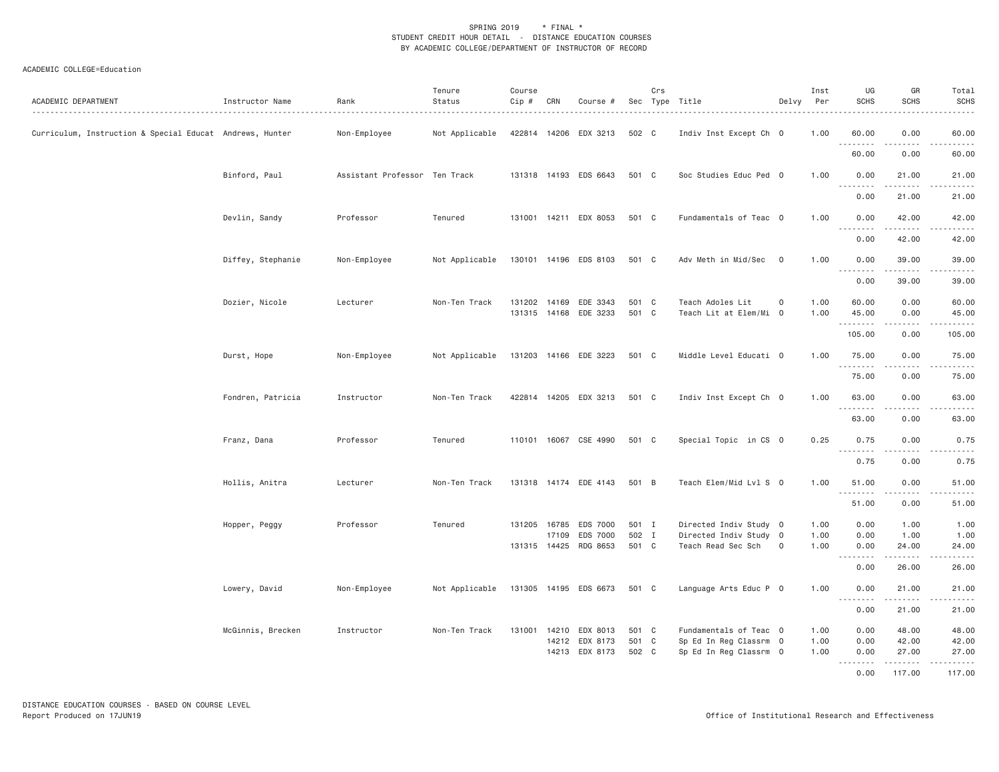| ACADEMIC DEPARTMENT                                      | Instructor Name   | Rank                          | Tenure<br>Status | Course<br>Cip # | CRN                   | Course #                                                  |                         | Crs | Sec Type Title                                                             | Delvy               | Inst<br>Per          | UG<br><b>SCHS</b>    | GR<br><b>SCHS</b>       | Total<br><b>SCHS</b>                                                                                                                                                                      |
|----------------------------------------------------------|-------------------|-------------------------------|------------------|-----------------|-----------------------|-----------------------------------------------------------|-------------------------|-----|----------------------------------------------------------------------------|---------------------|----------------------|----------------------|-------------------------|-------------------------------------------------------------------------------------------------------------------------------------------------------------------------------------------|
| Curriculum, Instruction & Special Educat Andrews, Hunter |                   | Non-Employee                  | Not Applicable   |                 |                       | 422814 14206 EDX 3213                                     | 502 C                   |     | Indiv Inst Except Ch 0                                                     |                     | 1.00                 | 60.00<br>.           | 0.00<br>.               | 60.00<br>.                                                                                                                                                                                |
|                                                          |                   |                               |                  |                 |                       |                                                           |                         |     |                                                                            |                     |                      | 60.00                | 0.00                    | 60.00                                                                                                                                                                                     |
|                                                          | Binford, Paul     | Assistant Professor Ten Track |                  |                 |                       | 131318 14193 EDS 6643                                     | 501 C                   |     | Soc Studies Educ Ped 0                                                     |                     | 1.00                 | 0.00<br>.            | 21.00<br>.              | 21.00<br>.                                                                                                                                                                                |
|                                                          |                   |                               |                  |                 |                       |                                                           |                         |     |                                                                            |                     |                      | 0.00                 | 21.00                   | 21.00                                                                                                                                                                                     |
|                                                          | Devlin, Sandy     | Professor                     | Tenured          |                 |                       | 131001 14211 EDX 8053                                     | 501 C                   |     | Fundamentals of Teac 0                                                     |                     | 1.00                 | 0.00                 | 42.00                   | 42.00                                                                                                                                                                                     |
|                                                          |                   |                               |                  |                 |                       |                                                           |                         |     |                                                                            |                     |                      | 0.00                 | 42.00                   | 42.00                                                                                                                                                                                     |
|                                                          | Diffey, Stephanie | Non-Employee                  | Not Applicable   |                 |                       | 130101 14196 EDS 8103                                     | 501 C                   |     | Adv Meth in Mid/Sec 0                                                      |                     | 1.00                 | 0.00<br>.            | 39.00<br>.              | 39.00<br>.                                                                                                                                                                                |
|                                                          |                   |                               |                  |                 |                       |                                                           |                         |     |                                                                            |                     |                      | 0.00                 | 39.00                   | 39.00                                                                                                                                                                                     |
|                                                          | Dozier, Nicole    | Lecturer                      | Non-Ten Track    |                 |                       | 131202 14169 EDE 3343<br>131315 14168 EDE 3233            | 501 C<br>501 C          |     | Teach Adoles Lit<br>Teach Lit at Elem/Mi 0                                 | $\mathsf{O}\xspace$ | 1.00<br>1.00         | 60.00<br>45.00       | 0.00<br>0.00            | 60.00<br>45.00                                                                                                                                                                            |
|                                                          |                   |                               |                  |                 |                       |                                                           |                         |     |                                                                            |                     |                      | .<br>105.00          | .<br>0.00               | $\frac{1}{2} \left( \frac{1}{2} \right) \left( \frac{1}{2} \right) \left( \frac{1}{2} \right) \left( \frac{1}{2} \right) \left( \frac{1}{2} \right) \left( \frac{1}{2} \right)$<br>105.00 |
|                                                          | Durst, Hope       | Non-Employee                  | Not Applicable   |                 |                       | 131203 14166 EDE 3223                                     | 501 C                   |     | Middle Level Educati 0                                                     |                     | 1.00                 | 75.00<br>.           | 0.00<br>-----           | 75.00<br>.                                                                                                                                                                                |
|                                                          |                   |                               |                  |                 |                       |                                                           |                         |     |                                                                            |                     |                      | 75.00                | 0.00                    | 75.00                                                                                                                                                                                     |
|                                                          | Fondren, Patricia | Instructor                    | Non-Ten Track    |                 |                       | 422814 14205 EDX 3213                                     | 501 C                   |     | Indiv Inst Except Ch 0                                                     |                     | 1.00                 | 63.00                | 0.00                    | 63.00                                                                                                                                                                                     |
|                                                          |                   |                               |                  |                 |                       |                                                           |                         |     |                                                                            |                     |                      | 63.00                | 0.00                    | 63.00                                                                                                                                                                                     |
|                                                          | Franz, Dana       | Professor                     | Tenured          |                 |                       | 110101 16067 CSE 4990                                     | 501 C                   |     | Special Topic in CS 0                                                      |                     | 0.25                 | 0.75                 | 0.00                    | 0.75                                                                                                                                                                                      |
|                                                          |                   |                               |                  |                 |                       |                                                           |                         |     |                                                                            |                     |                      | .<br>0.75            | 0.00                    | $\frac{1}{2} \left( \frac{1}{2} \right) \left( \frac{1}{2} \right) \left( \frac{1}{2} \right) \left( \frac{1}{2} \right)$<br>0.75                                                         |
|                                                          | Hollis, Anitra    | Lecturer                      | Non-Ten Track    |                 |                       | 131318 14174 EDE 4143                                     | 501 B                   |     | Teach Elem/Mid Lvl S 0                                                     |                     | 1.00                 | 51.00                | 0.00                    | 51.00                                                                                                                                                                                     |
|                                                          |                   |                               |                  |                 |                       |                                                           |                         |     |                                                                            |                     |                      | <u>.</u><br>51.00    | <u>.</u><br>0.00        | .<br>51.00                                                                                                                                                                                |
|                                                          | Hopper, Peggy     | Professor                     | Tenured          |                 | 131205 16785<br>17109 | EDS 7000<br>EDS 7000                                      | 501 I<br>502 I          |     | Directed Indiv Study 0<br>Directed Indiv Study 0                           |                     | 1.00<br>1.00         | 0.00<br>0.00         | 1.00<br>1.00            | 1.00<br>1.00                                                                                                                                                                              |
|                                                          |                   |                               |                  |                 |                       | 131315 14425 RDG 8653                                     | 501 C                   |     | Teach Read Sec Sch                                                         | $\circ$             | 1.00                 | 0.00<br>.            | 24.00<br>.              | 24.00<br>.                                                                                                                                                                                |
|                                                          |                   |                               |                  |                 |                       |                                                           |                         |     |                                                                            |                     |                      | 0.00                 | 26.00                   | 26.00                                                                                                                                                                                     |
|                                                          | Lowery, David     | Non-Employee                  | Not Applicable   |                 |                       | 131305 14195 EDS 6673                                     | 501 C                   |     | Language Arts Educ P 0                                                     |                     | 1.00                 | 0.00                 | 21.00                   | 21.00                                                                                                                                                                                     |
|                                                          |                   |                               |                  |                 |                       |                                                           |                         |     |                                                                            |                     |                      | 0.00                 | 21.00                   | 21.00                                                                                                                                                                                     |
|                                                          | McGinnis, Brecken | Instructor                    | Non-Ten Track    |                 |                       | 131001 14210 EDX 8013<br>14212 EDX 8173<br>14213 EDX 8173 | 501 C<br>501 C<br>502 C |     | Fundamentals of Teac 0<br>Sp Ed In Reg Classrm 0<br>Sp Ed In Reg Classrm 0 |                     | 1.00<br>1.00<br>1.00 | 0.00<br>0.00<br>0.00 | 48.00<br>42.00<br>27.00 | 48.00<br>42.00<br>27.00                                                                                                                                                                   |
|                                                          |                   |                               |                  |                 |                       |                                                           |                         |     |                                                                            |                     |                      | .<br>0.00            | . <b>.</b><br>117.00    | .<br>117.00                                                                                                                                                                               |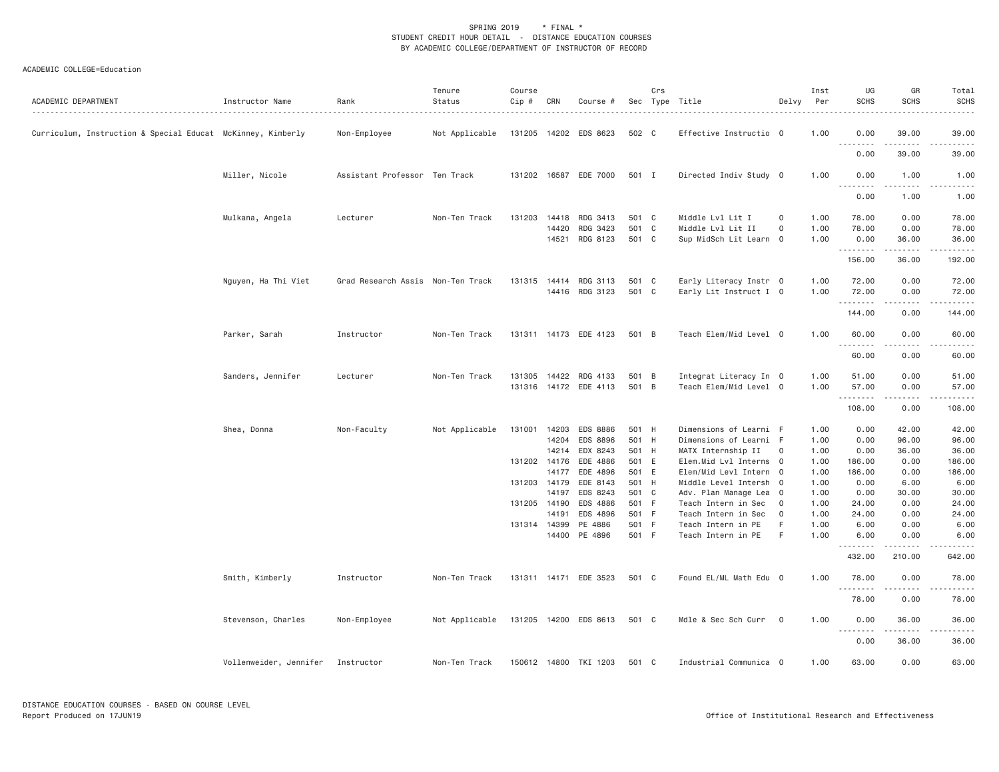| ACADEMIC DEPARTMENT                                         | Instructor Name        | Rank                              | Tenure<br>Status<br>. | Course<br>Cip # | CRN            | Course #              |                | Crs | Sec Type Title                                   | Delvy                    | Inst<br>Per  | UG<br>SCHS         | GR<br><b>SCHS</b> | Total<br><b>SCHS</b><br>.                                                                                                                                                            |
|-------------------------------------------------------------|------------------------|-----------------------------------|-----------------------|-----------------|----------------|-----------------------|----------------|-----|--------------------------------------------------|--------------------------|--------------|--------------------|-------------------|--------------------------------------------------------------------------------------------------------------------------------------------------------------------------------------|
| Curriculum, Instruction & Special Educat McKinney, Kimberly |                        | Non-Employee                      | Not Applicable        |                 |                | 131205 14202 EDS 8623 | 502 C          |     | Effective Instructio 0                           |                          | 1.00         | 0.00<br>. <b>.</b> | 39.00             | 39.00                                                                                                                                                                                |
|                                                             |                        |                                   |                       |                 |                |                       |                |     |                                                  |                          |              | 0.00               | .<br>39.00        | $\frac{1}{2} \left( \frac{1}{2} \right) \left( \frac{1}{2} \right) \left( \frac{1}{2} \right) \left( \frac{1}{2} \right)$<br>39.00                                                   |
|                                                             | Miller, Nicole         | Assistant Professor Ten Track     |                       |                 |                | 131202 16587 EDE 7000 | 501 I          |     | Directed Indiv Study 0                           |                          | 1.00         | 0.00<br>.          | 1.00<br>.         | 1.00<br>$\sim$ $\sim$ $\sim$ $\sim$                                                                                                                                                  |
|                                                             |                        |                                   |                       |                 |                |                       |                |     |                                                  |                          |              | 0.00               | 1.00              | 1.00                                                                                                                                                                                 |
|                                                             | Mulkana, Angela        | Lecturer                          | Non-Ten Track         | 131203          | 14418          | RDG 3413              | 501 C          |     | Middle Lvl Lit I                                 | 0                        | 1.00         | 78.00              | 0.00              | 78.00                                                                                                                                                                                |
|                                                             |                        |                                   |                       |                 | 14420          | RDG 3423              | 501 C          |     | Middle Lvl Lit II                                | $\circ$                  | 1.00         | 78.00              | 0.00              | 78.00                                                                                                                                                                                |
|                                                             |                        |                                   |                       |                 | 14521          | RDG 8123              | 501 C          |     | Sup MidSch Lit Learn 0                           |                          | 1.00         | 0.00               | 36.00<br>.        | 36.00<br>.                                                                                                                                                                           |
|                                                             |                        |                                   |                       |                 |                |                       |                |     |                                                  |                          |              | 156.00             | 36.00             | 192.00                                                                                                                                                                               |
|                                                             | Nguyen, Ha Thi Viet    | Grad Research Assis Non-Ten Track |                       | 131315 14414    |                | RDG 3113              | 501 C          |     | Early Literacy Instr 0                           |                          | 1.00         | 72.00              | 0.00              | 72.00                                                                                                                                                                                |
|                                                             |                        |                                   |                       |                 |                | 14416 RDG 3123        | 501 C          |     | Early Lit Instruct I 0                           |                          | 1.00         | 72.00              | 0.00<br>.         | 72.00<br>.                                                                                                                                                                           |
|                                                             |                        |                                   |                       |                 |                |                       |                |     |                                                  |                          |              | 144.00             | 0.00              | 144.00                                                                                                                                                                               |
|                                                             | Parker, Sarah          | Instructor                        | Non-Ten Track         |                 |                | 131311 14173 EDE 4123 | 501 B          |     | Teach Elem/Mid Level 0                           |                          | 1.00         | 60.00<br>.         | 0.00              | 60.00                                                                                                                                                                                |
|                                                             |                        |                                   |                       |                 |                |                       |                |     |                                                  |                          |              | 60.00              | 0.00              | 60.00                                                                                                                                                                                |
|                                                             | Sanders, Jennifer      | Lecturer                          | Non-Ten Track         | 131305          |                | 14422 RDG 4133        | 501 B          |     | Integrat Literacy In 0                           |                          | 1.00         | 51.00              | 0.00              | 51.00                                                                                                                                                                                |
|                                                             |                        |                                   |                       | 131316          |                | 14172 EDE 4113        | 501 B          |     | Teach Elem/Mid Level 0                           |                          | 1.00         | 57.00              | 0.00<br>2.2.2.2.2 | 57.00<br>.                                                                                                                                                                           |
|                                                             |                        |                                   |                       |                 |                |                       |                |     |                                                  |                          |              | 108.00             | 0.00              | 108.00                                                                                                                                                                               |
|                                                             | Shea, Donna            | Non-Faculty                       | Not Applicable        | 131001          | 14203          | EDS 8886              | 501 H          |     | Dimensions of Learni F                           |                          | 1.00         | 0.00               | 42.00             | 42.00                                                                                                                                                                                |
|                                                             |                        |                                   |                       |                 | 14204          | EDS 8896              | 501 H          |     | Dimensions of Learni F                           |                          | 1.00         | 0.00               | 96.00             | 96.00                                                                                                                                                                                |
|                                                             |                        |                                   |                       |                 | 14214          | EDX 8243              | 501 H          |     | MATX Internship II                               | $\overline{0}$           | 1.00         | 0.00               | 36.00             | 36.00                                                                                                                                                                                |
|                                                             |                        |                                   |                       | 131202          | 14176<br>14177 | EDE 4886<br>EDE 4896  | 501 E<br>501 E |     | Elem.Mid Lvl Interns 0                           |                          | 1.00         | 186.00<br>186.00   | 0.00<br>0.00      | 186.00                                                                                                                                                                               |
|                                                             |                        |                                   |                       | 131203 14179    |                | EDE 8143              | 501 H          |     | Elem/Mid Levl Intern 0<br>Middle Level Intersh 0 |                          | 1.00<br>1.00 | 0.00               | 6.00              | 186.00<br>6.00                                                                                                                                                                       |
|                                                             |                        |                                   |                       |                 | 14197          | EDS 8243              | 501 C          |     | Adv. Plan Manage Lea 0                           |                          | 1.00         | 0.00               | 30.00             | 30.00                                                                                                                                                                                |
|                                                             |                        |                                   |                       | 131205 14190    |                | EDS 4886              | 501 F          |     | Teach Intern in Sec                              | $\overline{\phantom{0}}$ | 1.00         | 24.00              | 0.00              | 24.00                                                                                                                                                                                |
|                                                             |                        |                                   |                       |                 | 14191          | EDS 4896              | 501 F          |     | Teach Intern in Sec                              | $\circ$                  | 1.00         | 24.00              | 0.00              | 24.00                                                                                                                                                                                |
|                                                             |                        |                                   |                       |                 | 131314 14399   | PE 4886               | 501 F          |     | Teach Intern in PE                               | F                        | 1.00         | 6.00               | 0.00              | 6.00                                                                                                                                                                                 |
|                                                             |                        |                                   |                       |                 |                | 14400 PE 4896         | 501 F          |     | Teach Intern in PE                               | F                        | 1.00         | 6.00               | 0.00<br>.         | 6.00<br>$\mathcal{L}^{\mathcal{L}}\left( \mathcal{L}^{\mathcal{L}}\left( \mathcal{L}^{\mathcal{L}}\right) \right) =\mathcal{L}^{\mathcal{L}}\left( \mathcal{L}^{\mathcal{L}}\right)$ |
|                                                             |                        |                                   |                       |                 |                |                       |                |     |                                                  |                          |              | 432.00             | 210.00            | 642.00                                                                                                                                                                               |
|                                                             | Smith, Kimberly        | Instructor                        | Non-Ten Track         |                 |                | 131311 14171 EDE 3523 | 501 C          |     | Found EL/ML Math Edu 0                           |                          | 1.00         | 78.00              | 0.00              | 78.00                                                                                                                                                                                |
|                                                             |                        |                                   |                       |                 |                |                       |                |     |                                                  |                          |              | 78.00              | 0.00              | 78.00                                                                                                                                                                                |
|                                                             | Stevenson, Charles     | Non-Employee                      | Not Applicable        |                 |                | 131205 14200 EDS 8613 | 501 C          |     | Mdle & Sec Sch Curr 0                            |                          | 1.00         | 0.00<br>.          | 36.00<br>.        | 36.00                                                                                                                                                                                |
|                                                             |                        |                                   |                       |                 |                |                       |                |     |                                                  |                          |              | 0.00               | 36.00             | 36.00                                                                                                                                                                                |
|                                                             | Vollenweider, Jennifer | Instructor                        | Non-Ten Track         |                 |                | 150612 14800 TKI 1203 | 501 C          |     | Industrial Communica 0                           |                          | 1.00         | 63.00              | 0.00              | 63.00                                                                                                                                                                                |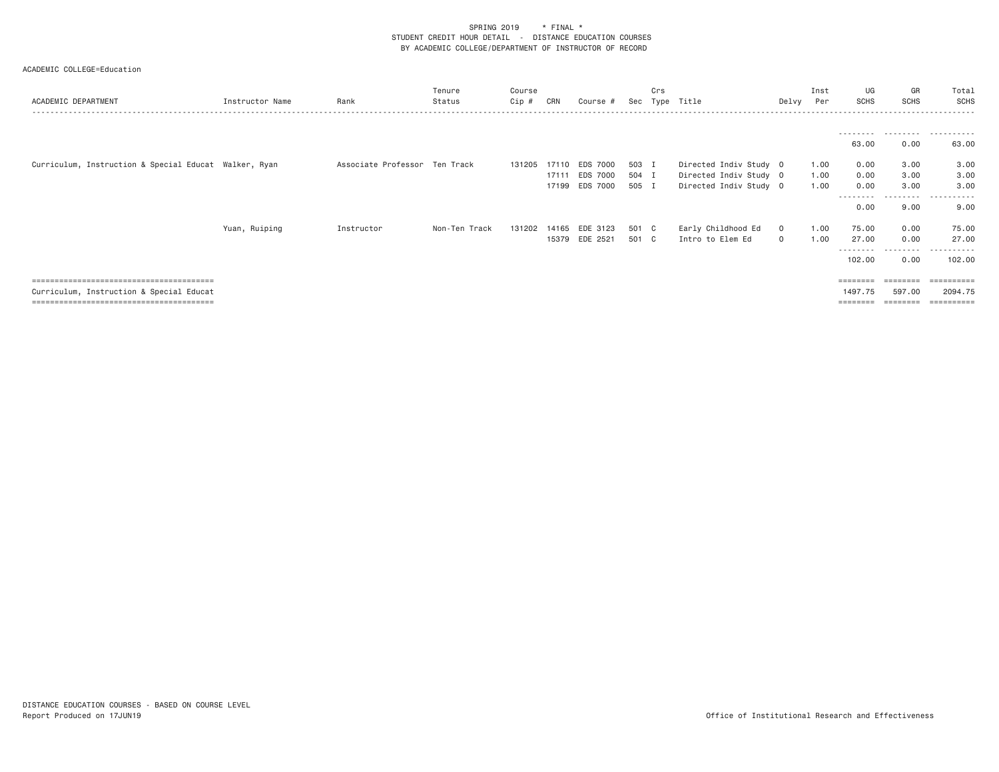| ACADEMIC DEPARTMENT                                   | Instructor Name | Rank                          | Tenure<br>Status | Course<br>Cip # | CRN   | Course #              | Sec   | Crs | Type Title             |              | Inst<br>Delvy Per | UG<br><b>SCHS</b>  | GR<br><b>SCHS</b> | Total<br>SCHS    |
|-------------------------------------------------------|-----------------|-------------------------------|------------------|-----------------|-------|-----------------------|-------|-----|------------------------|--------------|-------------------|--------------------|-------------------|------------------|
|                                                       |                 |                               |                  |                 |       |                       |       |     |                        |              |                   |                    |                   |                  |
|                                                       |                 |                               |                  |                 |       |                       |       |     |                        |              |                   | 63.00              | 0.00              | 63.00            |
| Curriculum, Instruction & Special Educat Walker, Ryan |                 | Associate Professor Ten Track |                  | 131205          | 17110 | EDS 7000              | 503 I |     | Directed Indiv Study 0 |              | 1.00              | 0.00               | 3.00              | 3.00             |
|                                                       |                 |                               |                  |                 | 17111 | EDS 7000              | 504 I |     | Directed Indiv Study 0 |              | 1.00              | 0.00               | 3.00              | 3.00             |
|                                                       |                 |                               |                  |                 |       | 17199 EDS 7000        | 505 I |     | Directed Indiv Study 0 |              | 1.00              | 0.00<br>--------   | 3.00<br>------    | 3.00<br>.        |
|                                                       |                 |                               |                  |                 |       |                       |       |     |                        |              |                   | 0.00               | 9.00              | 9.00             |
|                                                       | Yuan, Ruiping   | Instructor                    | Non-Ten Track    |                 |       | 131202 14165 EDE 3123 | 501 C |     | Early Childhood Ed     | $\mathbf{O}$ | 1.00              | 75.00              | 0.00              | 75.00            |
|                                                       |                 |                               |                  |                 |       | 15379 EDE 2521        | 501 C |     | Intro to Elem Ed       | $\circ$      | 1.00              | 27.00<br>--------- | 0.00<br>.         | 27.00<br>.       |
|                                                       |                 |                               |                  |                 |       |                       |       |     |                        |              |                   | 102.00             | 0.00              | 102.00           |
|                                                       |                 |                               |                  |                 |       |                       |       |     |                        |              |                   | ========           | --------          | <b>ESSESSEES</b> |
| Curriculum, Instruction & Special Educat              |                 |                               |                  |                 |       |                       |       |     |                        |              |                   | 1497.75            | 597.00            | 2094.75          |
|                                                       |                 |                               |                  |                 |       |                       |       |     |                        |              |                   | ========           |                   | ==========       |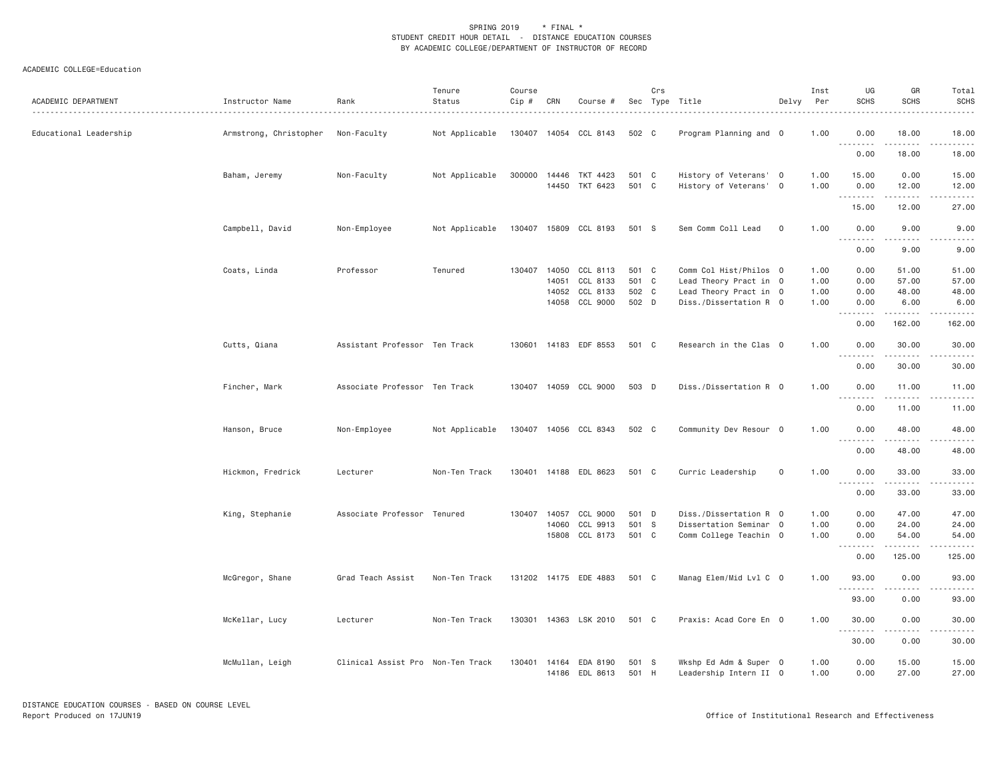| ACADEMIC DEPARTMENT    | Instructor Name        | Rank<br>.                         | Tenure<br>Status | Course<br>Cip # | CRN          | Course #                 |       | Crs | Sec Type Title         | Delvy       | Inst<br>Per | UG<br><b>SCHS</b> | GR<br><b>SCHS</b>                                                                                                                                             | Total<br><b>SCHS</b>                                                                                                                                         |
|------------------------|------------------------|-----------------------------------|------------------|-----------------|--------------|--------------------------|-------|-----|------------------------|-------------|-------------|-------------------|---------------------------------------------------------------------------------------------------------------------------------------------------------------|--------------------------------------------------------------------------------------------------------------------------------------------------------------|
| Educational Leadership | Armstrong, Christopher | Non-Faculty                       | Not Applicable   |                 |              | 130407 14054 CCL 8143    | 502 C |     | Program Planning and 0 |             | 1.00        | 0.00<br>.         | 18.00<br>$\frac{1}{2} \left( \frac{1}{2} \right) \left( \frac{1}{2} \right) \left( \frac{1}{2} \right) \left( \frac{1}{2} \right) \left( \frac{1}{2} \right)$ | 18.00<br>.                                                                                                                                                   |
|                        |                        |                                   |                  |                 |              |                          |       |     |                        |             |             | 0.00              | 18.00                                                                                                                                                         | 18.00                                                                                                                                                        |
|                        | Baham, Jeremy          | Non-Faculty                       | Not Applicable   |                 |              | 300000 14446 TKT 4423    | 501 C |     | History of Veterans' 0 |             | 1.00        | 15.00             | 0.00                                                                                                                                                          | 15.00                                                                                                                                                        |
|                        |                        |                                   |                  |                 |              | 14450 TKT 6423           | 501 C |     | History of Veterans' 0 |             | 1.00        | 0.00              | 12.00<br>.                                                                                                                                                    | 12.00<br>.                                                                                                                                                   |
|                        |                        |                                   |                  |                 |              |                          |       |     |                        |             |             | 15.00             | 12.00                                                                                                                                                         | 27.00                                                                                                                                                        |
|                        | Campbell, David        | Non-Employee                      | Not Applicable   |                 |              | 130407 15809 CCL 8193    | 501 S |     | Sem Comm Coll Lead     | $\mathbf 0$ | 1.00        | 0.00<br>.         | 9.00<br>$\frac{1}{2} \left( \frac{1}{2} \right) \left( \frac{1}{2} \right) \left( \frac{1}{2} \right) \left( \frac{1}{2} \right) \left( \frac{1}{2} \right)$  | 9.00<br>.                                                                                                                                                    |
|                        |                        |                                   |                  |                 |              |                          |       |     |                        |             |             | 0.00              | 9.00                                                                                                                                                          | 9.00                                                                                                                                                         |
|                        | Coats, Linda           | Professor                         | Tenured          |                 |              | 130407 14050 CCL 8113    | 501 C |     | Comm Col Hist/Philos 0 |             | 1.00        | 0.00              | 51.00                                                                                                                                                         | 51.00                                                                                                                                                        |
|                        |                        |                                   |                  |                 | 14051        | CCL 8133                 | 501 C |     | Lead Theory Pract in 0 |             | 1.00        | 0.00              | 57.00                                                                                                                                                         | 57.00                                                                                                                                                        |
|                        |                        |                                   |                  |                 | 14052        | CCL 8133                 | 502 C |     | Lead Theory Pract in 0 |             | 1.00        | 0.00              | 48.00                                                                                                                                                         | 48.00                                                                                                                                                        |
|                        |                        |                                   |                  |                 |              | 14058 CCL 9000           | 502 D |     | Diss./Dissertation R 0 |             | 1.00        | 0.00<br>.         | 6.00<br><u>.</u>                                                                                                                                              | 6.00<br>$\frac{1}{2} \left( \frac{1}{2} \right) \left( \frac{1}{2} \right) \left( \frac{1}{2} \right) \left( \frac{1}{2} \right) \left( \frac{1}{2} \right)$ |
|                        |                        |                                   |                  |                 |              |                          |       |     |                        |             |             | 0.00              | 162.00                                                                                                                                                        | 162.00                                                                                                                                                       |
|                        | Cutts, Qiana           | Assistant Professor Ten Track     |                  | 130601          |              | 14183 EDF 8553           | 501 C |     | Research in the Clas 0 |             | 1.00        | 0.00              | 30.00                                                                                                                                                         | 30.00                                                                                                                                                        |
|                        |                        |                                   |                  |                 |              |                          |       |     |                        |             |             | ---------<br>0.00 | .<br>30.00                                                                                                                                                    | .<br>30.00                                                                                                                                                   |
|                        | Fincher, Mark          | Associate Professor Ten Track     |                  |                 |              | 130407 14059 CCL 9000    | 503 D |     | Diss./Dissertation R 0 |             | 1.00        | 0.00              | 11.00                                                                                                                                                         | 11.00                                                                                                                                                        |
|                        |                        |                                   |                  |                 |              |                          |       |     |                        |             |             | 0.00              | .<br>11.00                                                                                                                                                    | .<br>11.00                                                                                                                                                   |
|                        |                        |                                   |                  |                 |              |                          |       |     |                        |             |             |                   |                                                                                                                                                               |                                                                                                                                                              |
|                        | Hanson, Bruce          | Non-Employee                      | Not Applicable   |                 |              | 130407 14056 CCL 8343    | 502 C |     | Community Dev Resour 0 |             | 1.00        | 0.00<br>.         | 48.00<br>$\frac{1}{2} \left( \frac{1}{2} \right) \left( \frac{1}{2} \right) \left( \frac{1}{2} \right) \left( \frac{1}{2} \right) \left( \frac{1}{2} \right)$ | 48.00<br>.                                                                                                                                                   |
|                        |                        |                                   |                  |                 |              |                          |       |     |                        |             |             | 0.00              | 48.00                                                                                                                                                         | 48.00                                                                                                                                                        |
|                        | Hickmon, Fredrick      | Lecturer                          | Non-Ten Track    |                 |              | 130401  14188  EDL  8623 | 501 C |     | Curric Leadership      | $\mathbf 0$ | 1.00        | 0.00<br>.         | 33.00                                                                                                                                                         | 33.00                                                                                                                                                        |
|                        |                        |                                   |                  |                 |              |                          |       |     |                        |             |             | 0.00              | 33.00                                                                                                                                                         | 33.00                                                                                                                                                        |
|                        | King, Stephanie        | Associate Professor Tenured       |                  |                 | 130407 14057 | CCL 9000                 | 501 D |     | Diss./Dissertation R 0 |             | 1.00        | 0.00              | 47.00                                                                                                                                                         | 47.00                                                                                                                                                        |
|                        |                        |                                   |                  |                 | 14060        | CCL 9913                 | 501 S |     | Dissertation Seminar 0 |             | 1.00        | 0.00              | 24.00                                                                                                                                                         | 24.00                                                                                                                                                        |
|                        |                        |                                   |                  |                 |              | 15808 CCL 8173           | 501 C |     | Comm College Teachin 0 |             | 1.00        | 0.00<br>.         | 54.00                                                                                                                                                         | 54.00                                                                                                                                                        |
|                        |                        |                                   |                  |                 |              |                          |       |     |                        |             |             | 0.00              | 125.00                                                                                                                                                        | 125.00                                                                                                                                                       |
|                        | McGregor, Shane        | Grad Teach Assist                 | Non-Ten Track    |                 |              | 131202 14175 EDE 4883    | 501 C |     | Manag Elem/Mid Lvl C 0 |             | 1.00        | 93.00             | 0.00                                                                                                                                                          | 93.00                                                                                                                                                        |
|                        |                        |                                   |                  |                 |              |                          |       |     |                        |             |             | 93.00             | .<br>0.00                                                                                                                                                     | 93.00                                                                                                                                                        |
|                        | McKellar, Lucy         | Lecturer                          | Non-Ten Track    | 130301          |              | 14363 LSK 2010           | 501 C |     | Praxis: Acad Core En 0 |             | 1.00        | 30.00             | 0.00                                                                                                                                                          | 30.00                                                                                                                                                        |
|                        |                        |                                   |                  |                 |              |                          |       |     |                        |             |             | 30.00             | $\frac{1}{2} \left( \frac{1}{2} \right) \left( \frac{1}{2} \right) \left( \frac{1}{2} \right) \left( \frac{1}{2} \right) \left( \frac{1}{2} \right)$<br>0.00  | .<br>30.00                                                                                                                                                   |
|                        | McMullan, Leigh        | Clinical Assist Pro Non-Ten Track |                  | 130401          |              | 14164 EDA 8190           | 501 S |     | Wkshp Ed Adm & Super 0 |             | 1.00        | 0.00              | 15.00                                                                                                                                                         | 15.00                                                                                                                                                        |
|                        |                        |                                   |                  |                 |              | 14186 EDL 8613           | 501 H |     | Leadership Intern II 0 |             | 1.00        | 0.00              | 27.00                                                                                                                                                         | 27.00                                                                                                                                                        |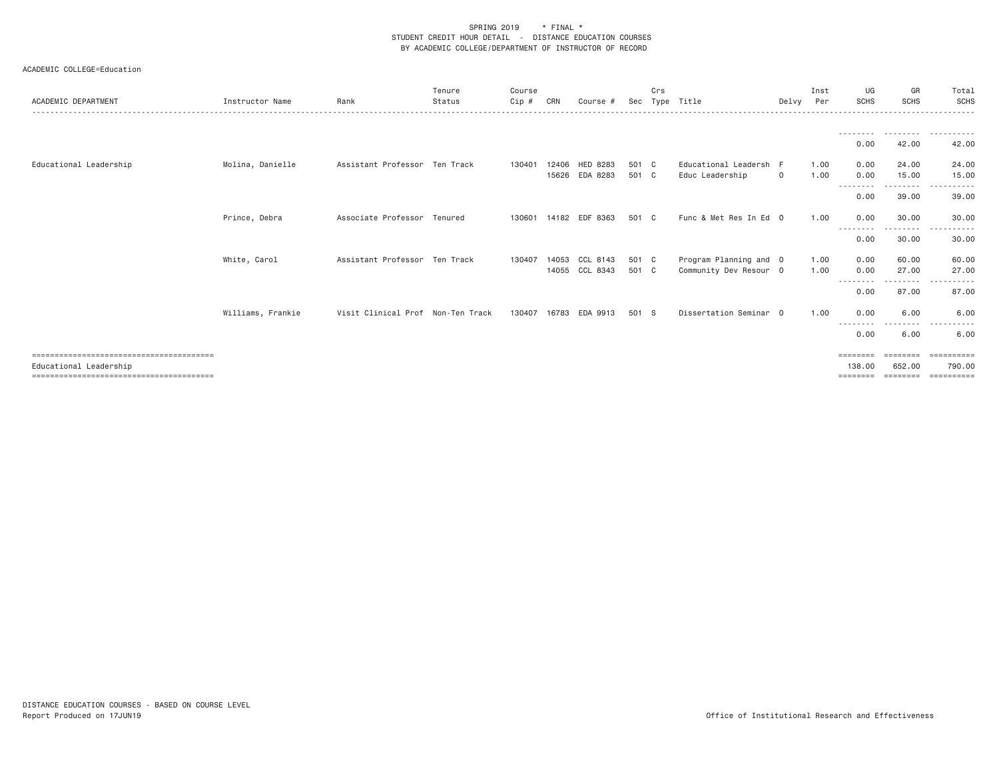| ACADEMIC DEPARTMENT    | Instructor Name   | Rank                              | Tenure<br>Status | Course<br>Cip # | CRN   | Course #       | Sec   | Crs | Type Title             | Delvy Per | Inst | UG<br><b>SCHS</b> | GR<br><b>SCHS</b>     | Total<br>SCHS |
|------------------------|-------------------|-----------------------------------|------------------|-----------------|-------|----------------|-------|-----|------------------------|-----------|------|-------------------|-----------------------|---------------|
|                        |                   |                                   |                  |                 |       |                |       |     |                        |           |      |                   |                       |               |
|                        |                   |                                   |                  |                 |       |                |       |     |                        |           |      |                   | ---------             |               |
|                        |                   |                                   |                  |                 |       |                |       |     |                        |           |      | 0.00              | 42.00                 | 42.00         |
| Educational Leadership | Molina, Danielle  | Assistant Professor Ten Track     |                  | 130401          | 12406 | HED 8283       | 501 C |     | Educational Leadersh F |           | 1.00 | 0.00              | 24.00                 | 24.00         |
|                        |                   |                                   |                  |                 |       | 15626 EDA 8283 | 501 C |     | Educ Leadership        | $\circ$   | 1.00 | 0.00<br>--------- | 15.00<br>. <u>.</u> . | 15.00<br>.    |
|                        |                   |                                   |                  |                 |       |                |       |     |                        |           |      | 0.00              | 39.00                 | 39.00         |
|                        | Prince, Debra     | Associate Professor Tenured       |                  | 130601          |       | 14182 EDF 8363 | 501 C |     | Func & Met Res In Ed 0 |           | 1.00 | 0.00<br>--------  | 30.00<br>.            | 30.00         |
|                        |                   |                                   |                  |                 |       |                |       |     |                        |           |      | 0.00              | 30.00                 | 30.00         |
|                        | White, Carol      | Assistant Professor Ten Track     |                  | 130407          |       | 14053 CCL 8143 | 501 C |     | Program Planning and 0 |           | 1.00 | 0.00              | 60.00                 | 60.00         |
|                        |                   |                                   |                  |                 |       | 14055 CCL 8343 | 501 C |     | Community Dev Resour 0 |           | 1.00 | 0.00<br>--------  | 27.00<br>--------     | 27.00<br>.    |
|                        |                   |                                   |                  |                 |       |                |       |     |                        |           |      | 0.00              | 87.00                 | 87.00         |
|                        | Williams, Frankie | Visit Clinical Prof Non-Ten Track |                  | 130407          | 16783 | EDA 9913       | 501 S |     | Dissertation Seminar 0 |           | 1.00 | 0.00              | 6.00                  | 6.00          |
|                        |                   |                                   |                  |                 |       |                |       |     |                        |           |      | - - - -<br>0.00   | 6.00                  | 6.00          |
|                        |                   |                                   |                  |                 |       |                |       |     |                        |           |      | ========          | ========              | ==========    |
| Educational Leadership |                   |                                   |                  |                 |       |                |       |     |                        |           |      | 138.00            | 652.00                | 790,00        |
|                        |                   |                                   |                  |                 |       |                |       |     |                        |           |      | $=$ = = = = = = = | ========              | ==========    |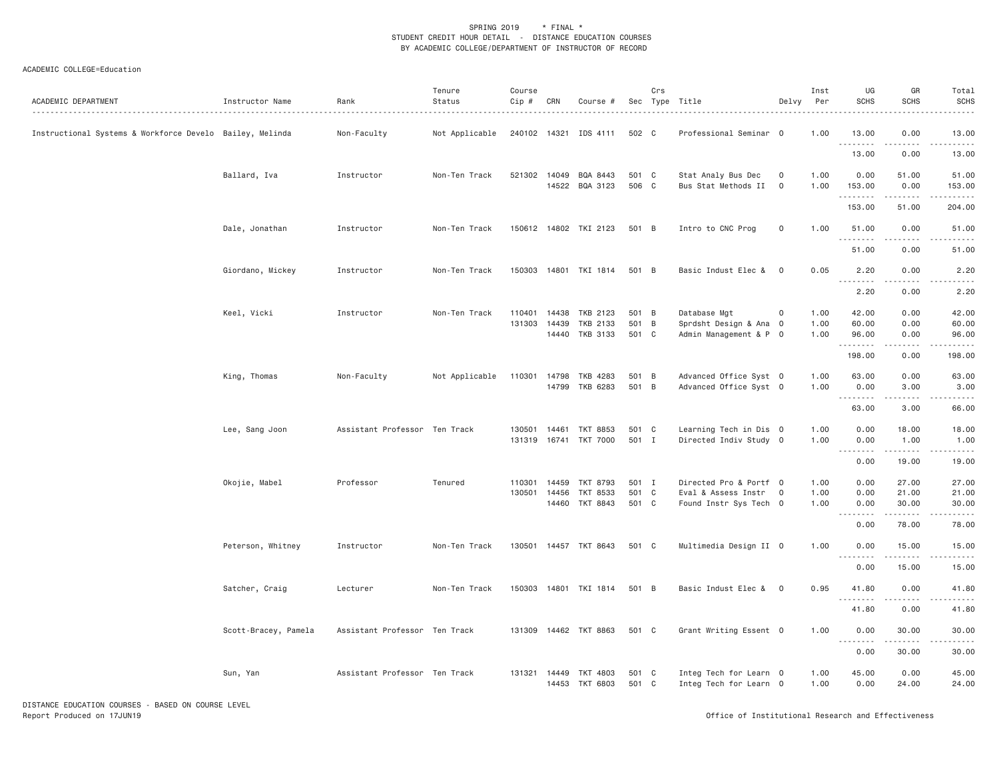# ACADEMIC COLLEGE=Education

| 13.00<br>Instructional Systems & Workforce Develo Bailey, Melinda<br>Non-Faculty<br>Not Applicable<br>240102 14321<br>IDS 4111<br>502 C<br>Professional Seminar 0<br>1.00<br>13.00<br>0.00<br>.<br>13.00<br>0.00<br>13.00<br>1.00<br>0.00<br>Ballard, Iva<br>Instructor<br>Non-Ten Track<br>521302 14049<br>BQA 8443<br>501 C<br>Stat Analy Bus Dec<br>0<br>51.00<br>51.00<br>14522 BQA 3123<br>506 C<br>Bus Stat Methods II<br>$\mathbf 0$<br>1.00<br>153.00<br>0.00<br>153.00<br>.<br>.<br>2.2.2.2.2.<br>153.00<br>51.00<br>204.00<br>Dale, Jonathan<br>150612 14802 TKI 2123<br>501 B<br>Intro to CNC Prog<br>0<br>1.00<br>51.00<br>0.00<br>51.00<br>Instructor<br>Non-Ten Track<br>.<br>51.00<br>0.00<br>51.00 | ACADEMIC DEPARTMENT | Instructor Name | Rank<br>. | Tenure<br>Status | Course<br>Cip # | CRN | Course # | Crs | Sec Type Title | Delvy | Inst<br>Per | UG<br><b>SCHS</b> | GR<br><b>SCHS</b> | Total<br><b>SCHS</b> |
|--------------------------------------------------------------------------------------------------------------------------------------------------------------------------------------------------------------------------------------------------------------------------------------------------------------------------------------------------------------------------------------------------------------------------------------------------------------------------------------------------------------------------------------------------------------------------------------------------------------------------------------------------------------------------------------------------------------------|---------------------|-----------------|-----------|------------------|-----------------|-----|----------|-----|----------------|-------|-------------|-------------------|-------------------|----------------------|
|                                                                                                                                                                                                                                                                                                                                                                                                                                                                                                                                                                                                                                                                                                                    |                     |                 |           |                  |                 |     |          |     |                |       |             |                   |                   |                      |
|                                                                                                                                                                                                                                                                                                                                                                                                                                                                                                                                                                                                                                                                                                                    |                     |                 |           |                  |                 |     |          |     |                |       |             |                   |                   |                      |
|                                                                                                                                                                                                                                                                                                                                                                                                                                                                                                                                                                                                                                                                                                                    |                     |                 |           |                  |                 |     |          |     |                |       |             |                   |                   |                      |
|                                                                                                                                                                                                                                                                                                                                                                                                                                                                                                                                                                                                                                                                                                                    |                     |                 |           |                  |                 |     |          |     |                |       |             |                   |                   |                      |
|                                                                                                                                                                                                                                                                                                                                                                                                                                                                                                                                                                                                                                                                                                                    |                     |                 |           |                  |                 |     |          |     |                |       |             |                   |                   |                      |
|                                                                                                                                                                                                                                                                                                                                                                                                                                                                                                                                                                                                                                                                                                                    |                     |                 |           |                  |                 |     |          |     |                |       |             |                   |                   |                      |
|                                                                                                                                                                                                                                                                                                                                                                                                                                                                                                                                                                                                                                                                                                                    |                     |                 |           |                  |                 |     |          |     |                |       |             |                   |                   |                      |
| 0.05<br>Giordano, Mickey<br>Non-Ten Track<br>150303  14801  TKI  1814<br>501 B<br>Basic Indust Elec &<br>$\overline{0}$<br>2.20<br>0.00<br>2.20<br>Instructor                                                                                                                                                                                                                                                                                                                                                                                                                                                                                                                                                      |                     |                 |           |                  |                 |     |          |     |                |       |             |                   |                   |                      |
| <u>.</u><br>2.20<br>0.00<br>2.20                                                                                                                                                                                                                                                                                                                                                                                                                                                                                                                                                                                                                                                                                   |                     |                 |           |                  |                 |     |          |     |                |       |             |                   |                   |                      |
| Keel, Vicki<br>Instructor<br>Non-Ten Track<br>14438<br>TKB 2123<br>501 B<br>Database Mgt<br>$\mathbf 0$<br>1.00<br>42.00<br>0.00<br>42.00<br>110401                                                                                                                                                                                                                                                                                                                                                                                                                                                                                                                                                                |                     |                 |           |                  |                 |     |          |     |                |       |             |                   |                   |                      |
| 501 B<br>1.00<br>60.00<br>131303<br>14439<br>TKB 2133<br>Sprdsht Design & Ana 0<br>0.00<br>60.00                                                                                                                                                                                                                                                                                                                                                                                                                                                                                                                                                                                                                   |                     |                 |           |                  |                 |     |          |     |                |       |             |                   |                   |                      |
| 14440 TKB 3133<br>501 C<br>Admin Management & P 0<br>1.00<br>96.00<br>0.00<br>96.00                                                                                                                                                                                                                                                                                                                                                                                                                                                                                                                                                                                                                                |                     |                 |           |                  |                 |     |          |     |                |       |             |                   |                   |                      |
| .                                                                                                                                                                                                                                                                                                                                                                                                                                                                                                                                                                                                                                                                                                                  |                     |                 |           |                  |                 |     |          |     |                |       |             |                   |                   |                      |
| 198.00<br>0.00<br>198.00                                                                                                                                                                                                                                                                                                                                                                                                                                                                                                                                                                                                                                                                                           |                     |                 |           |                  |                 |     |          |     |                |       |             |                   |                   |                      |
| King, Thomas<br>501 B<br>Advanced Office Syst 0<br>1.00<br>63.00<br>0.00<br>63.00<br>Non-Faculty<br>Not Applicable<br>110301<br>14798<br>TKB 4283                                                                                                                                                                                                                                                                                                                                                                                                                                                                                                                                                                  |                     |                 |           |                  |                 |     |          |     |                |       |             |                   |                   |                      |
| 14799 TKB 6283<br>501 B<br>Advanced Office Syst 0<br>1.00<br>0.00<br>3.00<br>3.00                                                                                                                                                                                                                                                                                                                                                                                                                                                                                                                                                                                                                                  |                     |                 |           |                  |                 |     |          |     |                |       |             |                   |                   |                      |
| .<br>.<br>.                                                                                                                                                                                                                                                                                                                                                                                                                                                                                                                                                                                                                                                                                                        |                     |                 |           |                  |                 |     |          |     |                |       |             |                   |                   |                      |
| 63.00<br>3.00<br>66.00                                                                                                                                                                                                                                                                                                                                                                                                                                                                                                                                                                                                                                                                                             |                     |                 |           |                  |                 |     |          |     |                |       |             |                   |                   |                      |
| Assistant Professor Ten Track<br>501 C<br>Learning Tech in Dis 0<br>1.00<br>0.00<br>18.00<br>18.00<br>Lee, Sang Joon<br>130501<br>14461<br>TKT 8853                                                                                                                                                                                                                                                                                                                                                                                                                                                                                                                                                                |                     |                 |           |                  |                 |     |          |     |                |       |             |                   |                   |                      |
| 16741 TKT 7000<br>501 I<br>Directed Indiv Study 0<br>1.00<br>131319<br>0.00<br>1.00<br>1.00                                                                                                                                                                                                                                                                                                                                                                                                                                                                                                                                                                                                                        |                     |                 |           |                  |                 |     |          |     |                |       |             |                   |                   |                      |
| .                                                                                                                                                                                                                                                                                                                                                                                                                                                                                                                                                                                                                                                                                                                  |                     |                 |           |                  |                 |     |          |     |                |       |             |                   |                   |                      |
| 0.00<br>19.00<br>19.00                                                                                                                                                                                                                                                                                                                                                                                                                                                                                                                                                                                                                                                                                             |                     |                 |           |                  |                 |     |          |     |                |       |             |                   |                   |                      |
|                                                                                                                                                                                                                                                                                                                                                                                                                                                                                                                                                                                                                                                                                                                    |                     |                 |           |                  |                 |     |          |     |                |       |             |                   |                   |                      |
| Directed Pro & Portf 0<br>0.00<br>27.00<br>Okojie, Mabel<br>Professor<br>Tenured<br>110301<br>14459<br>TKT 8793<br>501 I<br>1.00<br>27.00                                                                                                                                                                                                                                                                                                                                                                                                                                                                                                                                                                          |                     |                 |           |                  |                 |     |          |     |                |       |             |                   |                   |                      |
| 501 C<br>130501<br>14456<br>TKT 8533<br>Eval & Assess Instr<br>$\overline{0}$<br>1.00<br>0.00<br>21.00<br>21.00                                                                                                                                                                                                                                                                                                                                                                                                                                                                                                                                                                                                    |                     |                 |           |                  |                 |     |          |     |                |       |             |                   |                   |                      |
| 14460<br>TKT 8843<br>501 C<br>Found Instr Sys Tech 0<br>1.00<br>0.00<br>30.00<br>30.00<br>.<br><b></b><br>.                                                                                                                                                                                                                                                                                                                                                                                                                                                                                                                                                                                                        |                     |                 |           |                  |                 |     |          |     |                |       |             |                   |                   |                      |
| 0.00<br>78.00<br>78.00                                                                                                                                                                                                                                                                                                                                                                                                                                                                                                                                                                                                                                                                                             |                     |                 |           |                  |                 |     |          |     |                |       |             |                   |                   |                      |
|                                                                                                                                                                                                                                                                                                                                                                                                                                                                                                                                                                                                                                                                                                                    |                     |                 |           |                  |                 |     |          |     |                |       |             |                   |                   |                      |
| Peterson, Whitney<br>Instructor<br>Non-Ten Track<br>130501 14457 TKT 8643<br>501 C<br>Multimedia Design II 0<br>1.00<br>0.00<br>15.00<br>15.00                                                                                                                                                                                                                                                                                                                                                                                                                                                                                                                                                                     |                     |                 |           |                  |                 |     |          |     |                |       |             |                   |                   |                      |
| --------<br>0.00<br>15.00<br>15.00                                                                                                                                                                                                                                                                                                                                                                                                                                                                                                                                                                                                                                                                                 |                     |                 |           |                  |                 |     |          |     |                |       |             |                   |                   |                      |
|                                                                                                                                                                                                                                                                                                                                                                                                                                                                                                                                                                                                                                                                                                                    |                     |                 |           |                  |                 |     |          |     |                |       |             |                   |                   |                      |
| Satcher, Craig<br>Lecturer<br>Non-Ten Track<br>150303  14801  TKI  1814<br>501 B<br>Basic Indust Elec &<br>$\overline{0}$<br>0.95<br>41.80<br>0.00<br>41.80<br>.<br>المتمامين                                                                                                                                                                                                                                                                                                                                                                                                                                                                                                                                      |                     |                 |           |                  |                 |     |          |     |                |       |             |                   |                   |                      |
| 41.80<br>0.00<br>41.80                                                                                                                                                                                                                                                                                                                                                                                                                                                                                                                                                                                                                                                                                             |                     |                 |           |                  |                 |     |          |     |                |       |             |                   |                   |                      |
| Grant Writing Essent 0<br>Scott-Bracey, Pamela<br>Assistant Professor Ten Track<br>131309 14462 TKT 8863<br>501 C<br>1.00<br>0.00<br>30.00<br>30.00                                                                                                                                                                                                                                                                                                                                                                                                                                                                                                                                                                |                     |                 |           |                  |                 |     |          |     |                |       |             |                   |                   |                      |
|                                                                                                                                                                                                                                                                                                                                                                                                                                                                                                                                                                                                                                                                                                                    |                     |                 |           |                  |                 |     |          |     |                |       |             |                   |                   |                      |
| 0.00<br>30.00<br>30.00                                                                                                                                                                                                                                                                                                                                                                                                                                                                                                                                                                                                                                                                                             |                     |                 |           |                  |                 |     |          |     |                |       |             |                   |                   |                      |
| Assistant Professor Ten Track<br>501 C<br>1.00<br>45.00<br>0.00<br>45.00<br>Sun, Yan<br>131321 14449 TKT 4803<br>Integ Tech for Learn 0                                                                                                                                                                                                                                                                                                                                                                                                                                                                                                                                                                            |                     |                 |           |                  |                 |     |          |     |                |       |             |                   |                   |                      |
| TKT 6803<br>501 C<br>0.00<br>14453<br>Integ Tech for Learn 0<br>1.00<br>24.00<br>24.00                                                                                                                                                                                                                                                                                                                                                                                                                                                                                                                                                                                                                             |                     |                 |           |                  |                 |     |          |     |                |       |             |                   |                   |                      |

DISTANCE EDUCATION COURSES - BASED ON COURSE LEVELReport Produced on 17JUN19 Office of Institutional Research and Effectiveness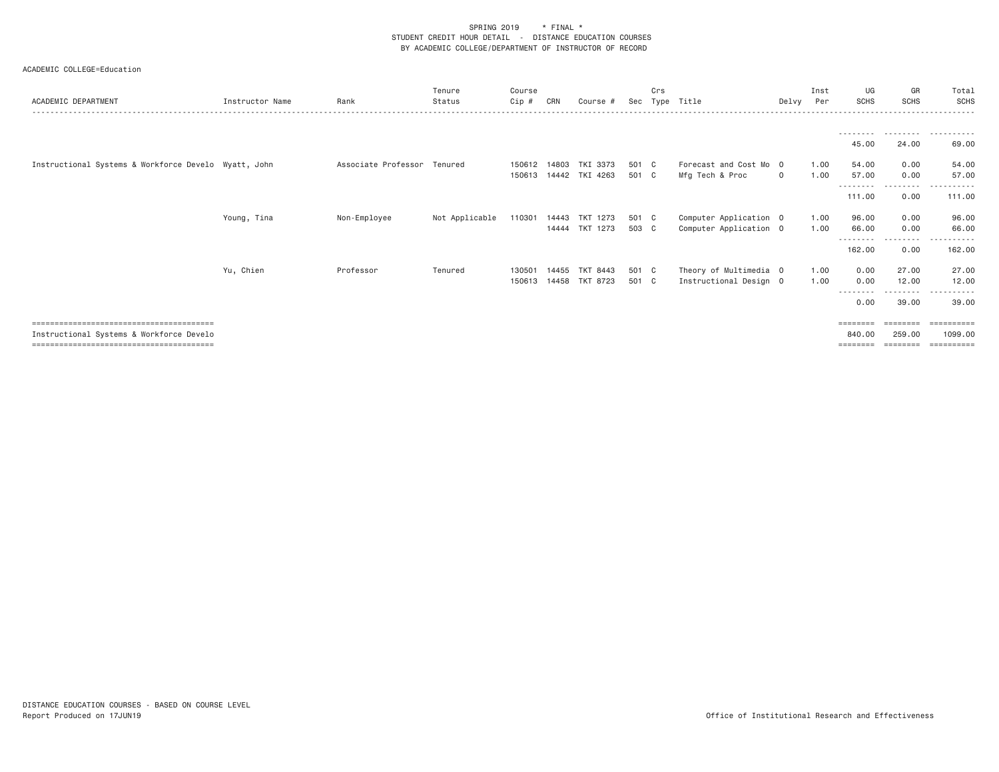| ACADEMIC DEPARTMENT                                  | Instructor Name | Rank                        | Tenure<br>Status | Course<br>Cip # | CRN   | Course #                          |                | Crs | Sec Type Title                            | Delvy Per   | Inst         | UG<br><b>SCHS</b> | GR<br><b>SCHS</b>         | Total<br><b>SCHS</b> |
|------------------------------------------------------|-----------------|-----------------------------|------------------|-----------------|-------|-----------------------------------|----------------|-----|-------------------------------------------|-------------|--------------|-------------------|---------------------------|----------------------|
|                                                      |                 |                             |                  |                 |       |                                   |                |     |                                           |             |              |                   |                           |                      |
|                                                      |                 |                             |                  |                 |       |                                   |                |     |                                           |             |              | 45.00             | 24.00                     | 69.00                |
| Instructional Systems & Workforce Develo Wyatt, John |                 | Associate Professor Tenured |                  | 150612          | 14803 | TKI 3373<br>150613 14442 TKI 4263 | 501 C<br>501 C |     | Forecast and Cost Mo 0<br>Mfg Tech & Proc | $\mathbf 0$ | 1.00<br>1.00 | 54.00<br>57.00    | 0.00<br>0.00              | 54.00<br>57.00       |
|                                                      |                 |                             |                  |                 |       |                                   |                |     |                                           |             |              | 111.00            | - - - - - - - - -<br>0.00 | ----------<br>111.00 |
|                                                      |                 |                             |                  |                 |       |                                   |                |     |                                           |             |              |                   |                           | 96.00                |
|                                                      |                 |                             |                  |                 |       | 14444 TKT 1273                    | 503 C          |     | Computer Application 0                    |             | 1.00         | 66.00             | 0.00<br>- - - - - - - - - | 66.00                |
|                                                      |                 |                             |                  |                 |       |                                   |                |     |                                           |             |              | 162.00            | 0.00                      | 162.00               |
|                                                      | Yu, Chien       | Professor                   | Tenured          | 130501          | 14455 | TKT 8443                          | 501 C          |     | Theory of Multimedia 0                    |             | 1.00         | 0.00              | 27.00                     | 27.00                |
|                                                      |                 |                             |                  |                 |       | 150613 14458 TKT 8723             | 501 C          |     | Instructional Design 0                    |             | 1.00         | 0.00<br>--------- | 12.00<br>. <u>.</u> .     | 12.00<br>.           |
|                                                      |                 |                             |                  |                 |       |                                   |                |     |                                           |             |              | 0.00              | 39.00                     | 39.00                |
| .====================================                |                 |                             |                  |                 |       |                                   |                |     |                                           |             |              |                   |                           |                      |
| Instructional Systems & Workforce Develo             |                 |                             |                  |                 |       |                                   |                |     |                                           |             |              | 840,00            | 259.00                    | 1099.00              |
|                                                      | Young, Tina     | Non-Employee                | Not Applicable   | 110301          |       | 14443 TKT 1273                    | 501 C          |     | Computer Application 0                    |             | 1.00         | 96.00             | 0.00                      |                      |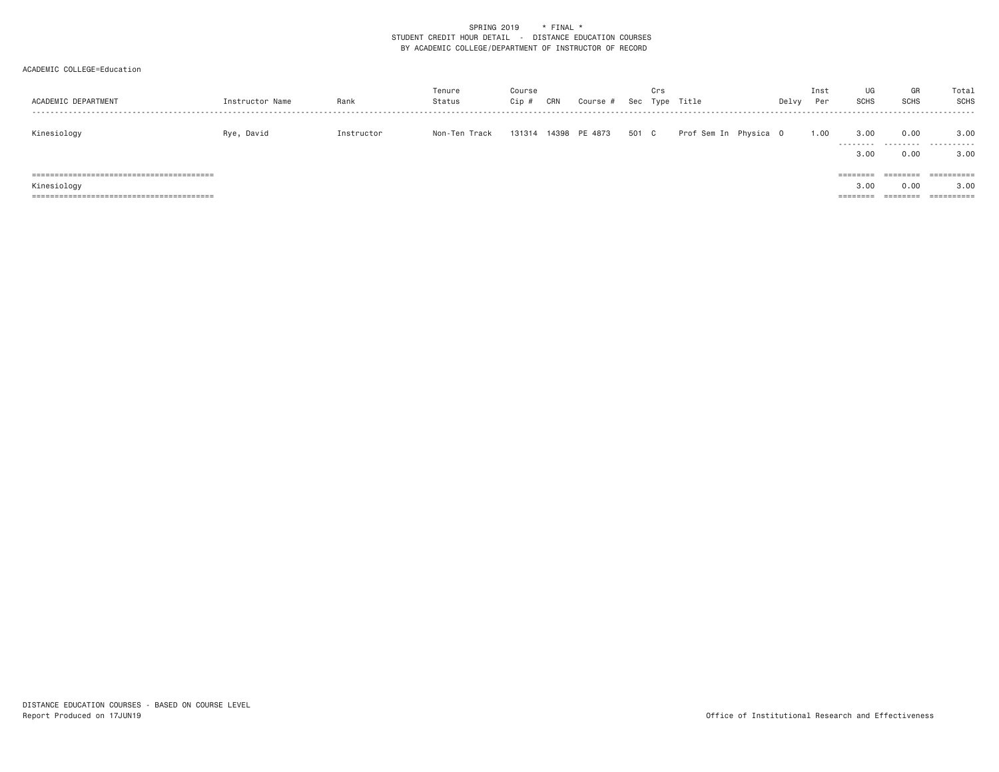| ACADEMIC DEPARTMENT | Instructor Name | Rank       | Tenure<br>Status | Course<br>Cip # | CRN | Course #      |       | Crs | Sec Type Title        | Delvy | Inst<br>Per | UG<br>SCHS                   | GR<br><b>SCHS</b>            | Total<br><b>SCHS</b>             |
|---------------------|-----------------|------------|------------------|-----------------|-----|---------------|-------|-----|-----------------------|-------|-------------|------------------------------|------------------------------|----------------------------------|
| Kinesiology         | Rye, David      | Instructor | Non-Ten Track    | 131314          |     | 14398 PE 4873 | 501 C |     | Prof Sem In Physica O |       | 1.00        | 3.00<br>---------<br>3,00    | 0.00<br>.<br>0.00            | 3.00<br>.<br>3,00                |
| Kinesiology         |                 |            |                  |                 |     |               |       |     |                       |       |             | ========<br>3,00<br>======== | ========<br>0.00<br>======== | ==========<br>3.00<br>========== |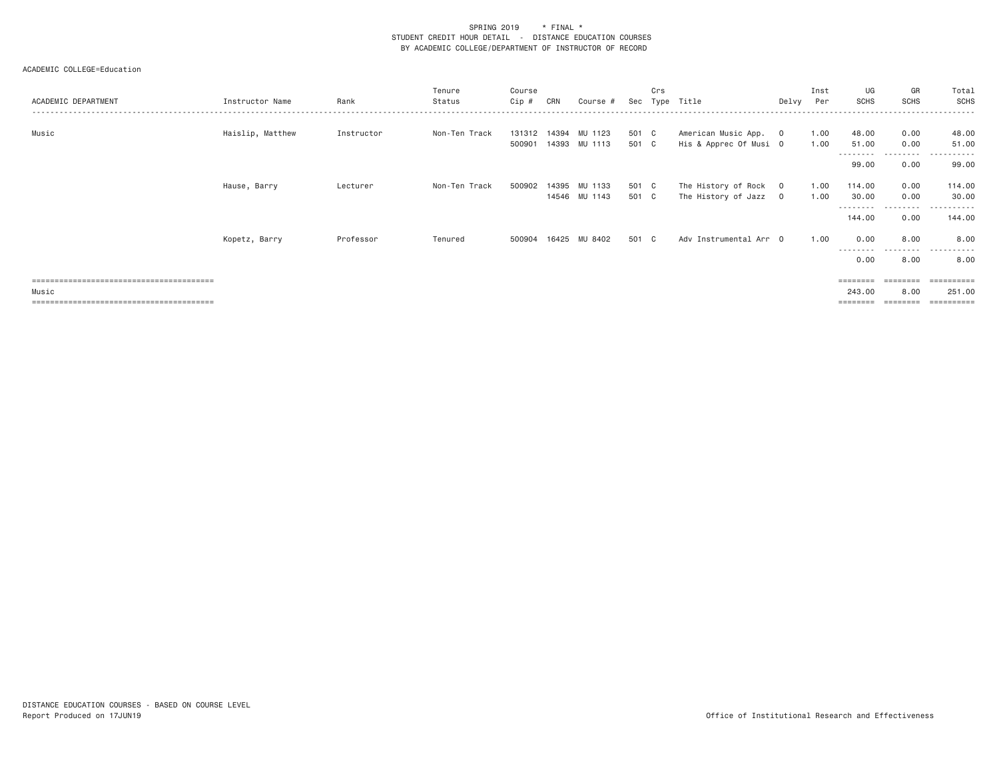| ACADEMIC DEPARTMENT | Instructor Name  | Rank       | Tenure<br>Status | Course<br>Cip # | CRN | Course #      | Sec   | Crs | Type Title             | Delvy | Inst<br>Per | UG<br><b>SCHS</b>          | GR<br><b>SCHS</b> | Total<br>SCHS       |
|---------------------|------------------|------------|------------------|-----------------|-----|---------------|-------|-----|------------------------|-------|-------------|----------------------------|-------------------|---------------------|
| Music               | Haislip, Matthew | Instructor | Non-Ten Track    | 131312 14394    |     | MU 1123       | 501 C |     | American Music App. 0  |       | 1.00        | 48.00                      | 0.00              | 48.00               |
|                     |                  |            |                  | 500901          |     | 14393 MU 1113 | 501 C |     | His & Apprec Of Musi 0 |       | 1.00        | 51.00<br>---------         | 0.00<br>.         | 51.00<br>.          |
|                     |                  |            |                  |                 |     |               |       |     |                        |       |             | 99.00                      | 0.00              | 99.00               |
|                     | Hause, Barry     | Lecturer   | Non-Ten Track    | 500902          |     | 14395 MU 1133 | 501 C |     | The History of Rock 0  |       | 1.00        | 114.00                     | 0.00              | 114.00              |
|                     |                  |            |                  |                 |     | 14546 MU 1143 | 501 C |     | The History of Jazz 0  |       | 1.00        | 30.00<br>- - - - - - - - - | 0.00<br>--------- | 30.00<br>. <u>.</u> |
|                     |                  |            |                  |                 |     |               |       |     |                        |       |             | 144.00                     | 0.00              | 144.00              |
|                     | Kopetz, Barry    | Professor  | Tenured          | 500904          |     | 16425 MU 8402 | 501 C |     | Adv Instrumental Arr 0 |       | 1.00        | 0.00                       | 8,00              | 8.00                |
|                     |                  |            |                  |                 |     |               |       |     |                        |       |             | ---------<br>0.00          | .<br>8.00         | .<br>8.00           |
|                     |                  |            |                  |                 |     |               |       |     |                        |       |             | ========                   | $=$ = = = = = = = | ==========          |
| Music               |                  |            |                  |                 |     |               |       |     |                        |       |             | 243.00                     | 8,00              | 251.00              |
|                     |                  |            |                  |                 |     |               |       |     |                        |       |             | ========                   | ========          | ==========          |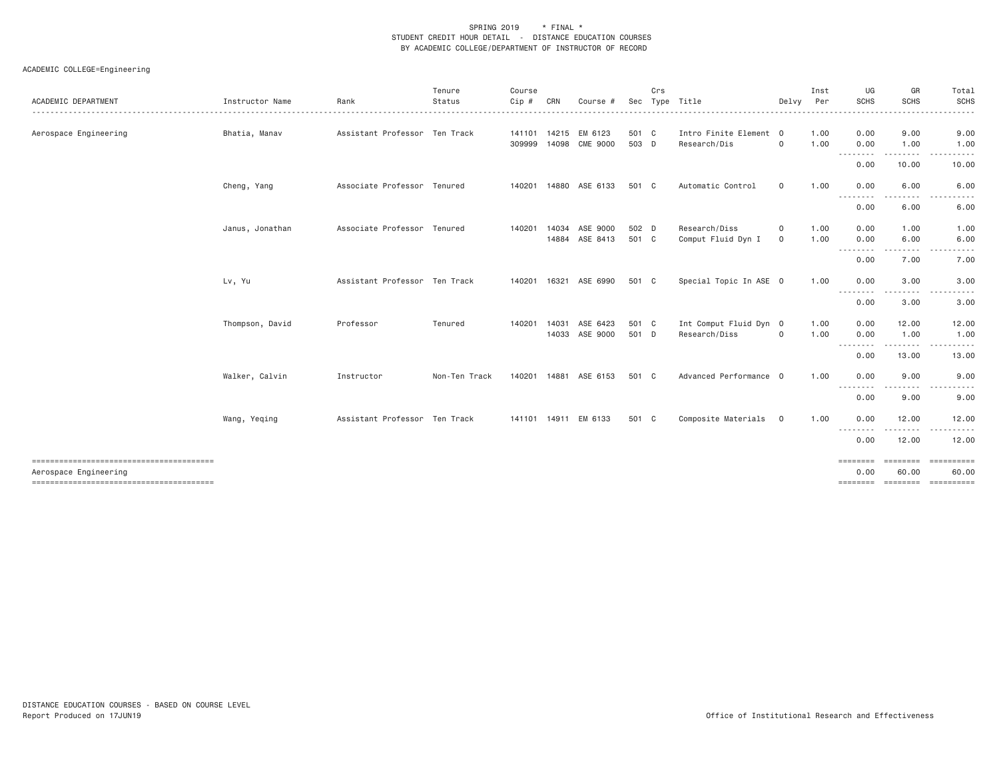|                       |                 |                               | Tenure        | Course       |              |                      |       | Crs |                        |             | Inst | UG                      | GR                        | Total                                                                                                                                                                                                                                                                                                                                                                                                                                                                                                                                                                                |
|-----------------------|-----------------|-------------------------------|---------------|--------------|--------------|----------------------|-------|-----|------------------------|-------------|------|-------------------------|---------------------------|--------------------------------------------------------------------------------------------------------------------------------------------------------------------------------------------------------------------------------------------------------------------------------------------------------------------------------------------------------------------------------------------------------------------------------------------------------------------------------------------------------------------------------------------------------------------------------------|
| ACADEMIC DEPARTMENT   | Instructor Name | Rank                          | Status        | $Cip$ #      | CRN          | Course               | Sec   |     | Type Title             | Delvy       | Per  | <b>SCHS</b><br><u>.</u> | <b>SCHS</b><br>. <u>.</u> | <b>SCHS</b><br>.                                                                                                                                                                                                                                                                                                                                                                                                                                                                                                                                                                     |
| Aerospace Engineering | Bhatia, Manav   | Assistant Professor Ten Track |               |              |              | 141101 14215 EM 6123 | 501 C |     | Intro Finite Element 0 |             | 1.00 | 0.00                    | 9.00                      | 9.00                                                                                                                                                                                                                                                                                                                                                                                                                                                                                                                                                                                 |
|                       |                 |                               |               |              | 309999 14098 | CME 9000             | 503 D |     | Research/Dis           | $\mathbf 0$ | 1.00 | 0.00<br>. <b>.</b>      | 1.00<br>--------          | 1.00<br>.<br>$\sim$ $\sim$ $\sim$                                                                                                                                                                                                                                                                                                                                                                                                                                                                                                                                                    |
|                       |                 |                               |               |              |              |                      |       |     |                        |             |      | 0.00                    | 10.00                     | 10.00                                                                                                                                                                                                                                                                                                                                                                                                                                                                                                                                                                                |
|                       | Cheng, Yang     | Associate Professor Tenured   |               | 140201       |              | 14880 ASE 6133       | 501 C |     | Automatic Control      | $\mathbf 0$ | 1.00 | 0.00                    | 6.00<br>.                 | 6.00                                                                                                                                                                                                                                                                                                                                                                                                                                                                                                                                                                                 |
|                       |                 |                               |               |              |              |                      |       |     |                        |             |      | <u>.</u><br>0.00        | 6.00                      | 6.00                                                                                                                                                                                                                                                                                                                                                                                                                                                                                                                                                                                 |
|                       | Janus, Jonathan | Associate Professor Tenured   |               | 140201       | 14034        | ASE 9000             | 502 D |     | Research/Diss          | $\circ$     | 1.00 | 0.00                    | 1.00                      | 1.00                                                                                                                                                                                                                                                                                                                                                                                                                                                                                                                                                                                 |
|                       |                 |                               |               |              |              | 14884 ASE 8413       | 501 C |     | Comput Fluid Dyn I     | 0           | 1.00 | 0.00                    | 6.00                      | 6.00                                                                                                                                                                                                                                                                                                                                                                                                                                                                                                                                                                                 |
|                       |                 |                               |               |              |              |                      |       |     |                        |             |      | ---------<br>0.00       | .<br>7.00                 | $\frac{1}{2} \left( \frac{1}{2} \right) \left( \frac{1}{2} \right) \left( \frac{1}{2} \right)$<br>$\frac{1}{2} \left( \frac{1}{2} \right) \left( \frac{1}{2} \right) \left( \frac{1}{2} \right) \left( \frac{1}{2} \right) \left( \frac{1}{2} \right) \left( \frac{1}{2} \right) \left( \frac{1}{2} \right) \left( \frac{1}{2} \right) \left( \frac{1}{2} \right) \left( \frac{1}{2} \right) \left( \frac{1}{2} \right) \left( \frac{1}{2} \right) \left( \frac{1}{2} \right) \left( \frac{1}{2} \right) \left( \frac{1}{2} \right) \left( \frac{1}{2} \right) \left( \frac$<br>7.00 |
|                       | Lv, Yu          | Assistant Professor Ten Track |               | 140201       | 16321        | ASE 6990             | 501 C |     | Special Topic In ASE 0 |             | 1.00 | 0.00                    | 3.00                      | 3.00                                                                                                                                                                                                                                                                                                                                                                                                                                                                                                                                                                                 |
|                       |                 |                               |               |              |              |                      |       |     |                        |             |      | ---------<br>0.00       | .<br>3.00                 | .<br>3.00                                                                                                                                                                                                                                                                                                                                                                                                                                                                                                                                                                            |
|                       | Thompson, David | Professor                     | Tenured       | 140201       | 14031        | ASE 6423             | 501 C |     | Int Comput Fluid Dyn 0 |             | 1.00 | 0.00                    | 12.00                     | 12.00                                                                                                                                                                                                                                                                                                                                                                                                                                                                                                                                                                                |
|                       |                 |                               |               |              |              | 14033 ASE 9000       | 501 D |     | Research/Diss          | $\mathbf 0$ | 1.00 | 0.00                    | 1.00<br>.                 | 1.00                                                                                                                                                                                                                                                                                                                                                                                                                                                                                                                                                                                 |
|                       |                 |                               |               |              |              |                      |       |     |                        |             |      | ---------<br>0.00       | 13.00                     | <u>.</u><br>13.00                                                                                                                                                                                                                                                                                                                                                                                                                                                                                                                                                                    |
|                       | Walker, Calvin  | Instructor                    | Non-Ten Track | 140201       | 14881        | ASE 6153             | 501 C |     | Advanced Performance 0 |             | 1.00 | 0.00                    | 9.00                      | 9.00                                                                                                                                                                                                                                                                                                                                                                                                                                                                                                                                                                                 |
|                       |                 |                               |               |              |              |                      |       |     |                        |             |      | . <b>.</b><br>0.00      | 9.00                      | 9.00                                                                                                                                                                                                                                                                                                                                                                                                                                                                                                                                                                                 |
|                       | Wang, Yeqing    | Assistant Professor Ten Track |               | 141101 14911 |              | EM 6133              | 501 C |     | Composite Materials    | $\circ$     | 1.00 | 0.00<br>.               | 12.00                     | 12.00                                                                                                                                                                                                                                                                                                                                                                                                                                                                                                                                                                                |
|                       |                 |                               |               |              |              |                      |       |     |                        |             |      | 0.00                    | 12.00                     | 12.00                                                                                                                                                                                                                                                                                                                                                                                                                                                                                                                                                                                |
| Aerospace Engineering |                 |                               |               |              |              |                      |       |     |                        |             |      | ========<br>0.00        | 60.00                     | ========= ==========<br>60.00                                                                                                                                                                                                                                                                                                                                                                                                                                                                                                                                                        |
|                       |                 |                               |               |              |              |                      |       |     |                        |             |      | ========                |                           | ========= ==========                                                                                                                                                                                                                                                                                                                                                                                                                                                                                                                                                                 |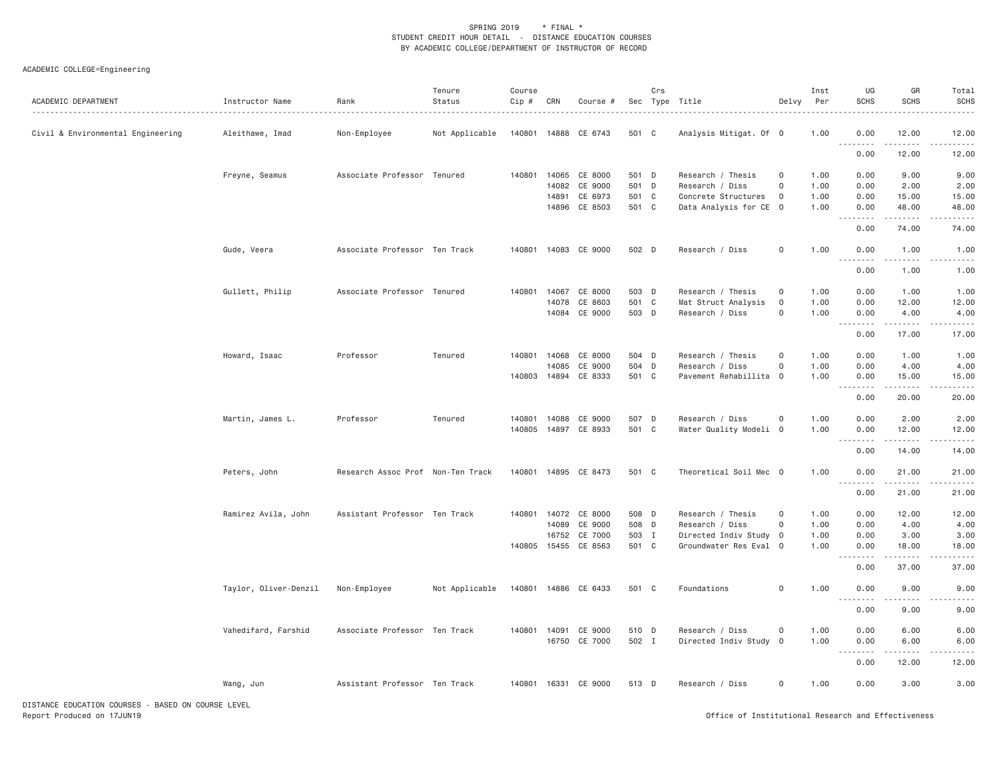# ACADEMIC COLLEGE=Engineering

| ACADEMIC DEPARTMENT                                       | Instructor Name       | Rank                              | Tenure<br>Status<br>. | Course<br>Cip # | CRN          | Course #             |       | Crs | Sec Type Title         | Delvy               | Inst<br>Per | UG<br><b>SCHS</b>                                                                                                                                                                    | GR<br><b>SCHS</b>                                                                                                                                             | Total<br><b>SCHS</b> |
|-----------------------------------------------------------|-----------------------|-----------------------------------|-----------------------|-----------------|--------------|----------------------|-------|-----|------------------------|---------------------|-------------|--------------------------------------------------------------------------------------------------------------------------------------------------------------------------------------|---------------------------------------------------------------------------------------------------------------------------------------------------------------|----------------------|
| Civil & Environmental Engineering                         | Aleithawe, Imad       | Non-Employee                      | Not Applicable        |                 |              | 140801 14888 CE 6743 | 501 C |     | Analysis Mitigat. Of 0 |                     | 1.00        | 0.00<br>.                                                                                                                                                                            | 12.00                                                                                                                                                         | 12.00                |
|                                                           |                       |                                   |                       |                 |              |                      |       |     |                        |                     |             | 0.00                                                                                                                                                                                 | 12.00                                                                                                                                                         | 12.00                |
|                                                           | Freyne, Seamus        | Associate Professor Tenured       |                       | 140801          | 14065        | CE 8000              | 501 D |     | Research / Thesis      | $\Omega$            | 1.00        | 0.00                                                                                                                                                                                 | 9.00                                                                                                                                                          | 9.00                 |
|                                                           |                       |                                   |                       |                 | 14082        | CE 9000              | 501 D |     | Research / Diss        | $\mathbf 0$         | 1.00        | 0.00                                                                                                                                                                                 | 2.00                                                                                                                                                          | 2.00                 |
|                                                           |                       |                                   |                       |                 | 14891        | CE 6973              | 501 C |     | Concrete Structures    | $\mathbf{0}$        | 1.00        | 0.00                                                                                                                                                                                 | 15.00                                                                                                                                                         | 15.00                |
|                                                           |                       |                                   |                       |                 |              | 14896 CE 8503        | 501 C |     | Data Analysis for CE 0 |                     | 1.00        | 0.00<br><u>.</u>                                                                                                                                                                     | 48.00                                                                                                                                                         | 48.00                |
|                                                           |                       |                                   |                       |                 |              |                      |       |     |                        |                     |             | 0.00                                                                                                                                                                                 | 74.00                                                                                                                                                         | 74.00                |
|                                                           | Gude, Veera           | Associate Professor Ten Track     |                       |                 |              | 140801 14083 CE 9000 | 502 D |     | Research / Diss        | $\mathbf 0$         | 1.00        | 0.00                                                                                                                                                                                 | 1.00                                                                                                                                                          | 1.00                 |
|                                                           |                       |                                   |                       |                 |              |                      |       |     |                        |                     |             | $  -$<br>0.00                                                                                                                                                                        | 1.00                                                                                                                                                          | 1.00                 |
|                                                           | Gullett, Philip       | Associate Professor Tenured       |                       |                 | 140801 14067 | CE 8000              | 503 D |     | Research / Thesis      | $\mathbf 0$         | 1.00        | 0.00                                                                                                                                                                                 | 1.00                                                                                                                                                          | 1.00                 |
|                                                           |                       |                                   |                       |                 | 14078        | CE 8603              | 501 C |     | Mat Struct Analysis    | $\mathbf 0$         | 1.00        | 0.00                                                                                                                                                                                 | 12.00                                                                                                                                                         | 12.00                |
|                                                           |                       |                                   |                       |                 | 14084        | CE 9000              | 503 D |     | Research / Diss        | 0                   | 1.00        | 0.00                                                                                                                                                                                 | 4.00<br>.                                                                                                                                                     | 4.00                 |
|                                                           |                       |                                   |                       |                 |              |                      |       |     |                        |                     |             | 0.00                                                                                                                                                                                 | 17.00                                                                                                                                                         | .<br>17.00           |
|                                                           | Howard, Isaac         | Professor                         | Tenured               | 140801          | 14068        | CE 8000              | 504 D |     | Research / Thesis      | $\mathsf{O}\xspace$ | 1.00        | 0.00                                                                                                                                                                                 | 1.00                                                                                                                                                          | 1.00                 |
|                                                           |                       |                                   |                       |                 | 14085        | CE 9000              | 504 D |     | Research / Diss        | $\mathbf 0$         | 1.00        | 0.00                                                                                                                                                                                 | 4.00                                                                                                                                                          | 4.00                 |
|                                                           |                       |                                   |                       |                 |              | 140803 14894 CE 8333 | 501 C |     | Pavement Rehabillita 0 |                     | 1.00        | 0.00<br>.<br>$\sim$ $\sim$ $\sim$                                                                                                                                                    | 15.00<br>$\frac{1}{2} \left( \frac{1}{2} \right) \left( \frac{1}{2} \right) \left( \frac{1}{2} \right) \left( \frac{1}{2} \right) \left( \frac{1}{2} \right)$ | 15.00                |
|                                                           |                       |                                   |                       |                 |              |                      |       |     |                        |                     |             | 0.00                                                                                                                                                                                 | 20.00                                                                                                                                                         | 20.00                |
|                                                           | Martin, James L.      | Professor                         | Tenured               | 140801          | 14088        | CE 9000              | 507 D |     | Research / Diss        | $\mathsf{O}\xspace$ | 1.00        | 0.00                                                                                                                                                                                 | 2.00                                                                                                                                                          | 2.00                 |
|                                                           |                       |                                   |                       | 140805          | 14897        | CE 8933              | 501 C |     | Water Quality Modeli 0 |                     | 1.00        | 0.00                                                                                                                                                                                 | 12.00                                                                                                                                                         | 12.00                |
|                                                           |                       |                                   |                       |                 |              |                      |       |     |                        |                     |             | $\frac{1}{2} \left( \frac{1}{2} \right) \left( \frac{1}{2} \right) \left( \frac{1}{2} \right) \left( \frac{1}{2} \right) \left( \frac{1}{2} \right)$<br>$\sim$ $\sim$ $\sim$<br>0.00 | .<br>14.00                                                                                                                                                    | 14.00                |
|                                                           | Peters, John          | Research Assoc Prof Non-Ten Track |                       | 140801          |              | 14895 CE 8473        | 501 C |     | Theoretical Soil Mec 0 |                     | 1.00        | 0.00                                                                                                                                                                                 | 21.00                                                                                                                                                         | 21.00                |
|                                                           |                       |                                   |                       |                 |              |                      |       |     |                        |                     |             | $\sim$ $\sim$ $\sim$<br>0.00                                                                                                                                                         | 21.00                                                                                                                                                         | 21.00                |
|                                                           | Ramirez Avila, John   | Assistant Professor Ten Track     |                       |                 |              | 140801 14072 CE 8000 | 508 D |     | Research / Thesis      | $\mathbf 0$         | 1.00        | 0.00                                                                                                                                                                                 | 12.00                                                                                                                                                         | 12.00                |
|                                                           |                       |                                   |                       |                 | 14089        | CE 9000              | 508 D |     | Research / Diss        | $\mathsf{O}\xspace$ | 1.00        | 0.00                                                                                                                                                                                 | 4.00                                                                                                                                                          | 4.00                 |
|                                                           |                       |                                   |                       |                 | 16752        | CE 7000              | 503 I |     | Directed Indiv Study 0 |                     | 1.00        | 0.00                                                                                                                                                                                 | 3.00                                                                                                                                                          | 3.00                 |
|                                                           |                       |                                   |                       | 140805          | 15455        | CE 8563              | 501 C |     | Groundwater Res Eval 0 |                     | 1.00        | 0.00<br>.<br>$  -$                                                                                                                                                                   | 18.00                                                                                                                                                         | 18.00                |
|                                                           |                       |                                   |                       |                 |              |                      |       |     |                        |                     |             | 0.00                                                                                                                                                                                 | 37.00                                                                                                                                                         | 37.00                |
|                                                           | Taylor, Oliver-Denzil | Non-Employee                      | Not Applicable        |                 |              | 140801 14886 CE 6433 | 501 C |     | Foundations            | 0                   | 1.00        | 0.00                                                                                                                                                                                 | 9.00                                                                                                                                                          | 9.00                 |
|                                                           |                       |                                   |                       |                 |              |                      |       |     |                        |                     |             | $\sim$ $\sim$ $\sim$<br>.<br>0.00                                                                                                                                                    | 9.00                                                                                                                                                          | 9.00                 |
|                                                           | Vahedifard, Farshid   | Associate Professor Ten Track     |                       |                 | 140801 14091 | CE 9000              | 510 D |     | Research / Diss        | $\mathsf{O}$        | 1.00        | 0.00                                                                                                                                                                                 | 6.00                                                                                                                                                          | 6.00                 |
|                                                           |                       |                                   |                       |                 |              | 16750 CE 7000        | 502 I |     | Directed Indiv Study 0 |                     | 1.00        | 0.00                                                                                                                                                                                 | 6.00                                                                                                                                                          | 6.00                 |
|                                                           |                       |                                   |                       |                 |              |                      |       |     |                        |                     |             | $\sim$ $\sim$ .<br>$  -$                                                                                                                                                             |                                                                                                                                                               |                      |
|                                                           |                       |                                   |                       |                 |              |                      |       |     |                        |                     |             | 0.00                                                                                                                                                                                 | 12.00                                                                                                                                                         | 12.00                |
|                                                           | Wang, Jun             | Assistant Professor Ten Track     |                       |                 |              | 140801 16331 CE 9000 | 513 D |     | Research / Diss        | $\mathbf 0$         | 1.00        | 0.00                                                                                                                                                                                 | 3.00                                                                                                                                                          | 3.00                 |
| $57071105 - 5010177011 00115050$<br>BLOCK OU COURSE LEVEL |                       |                                   |                       |                 |              |                      |       |     |                        |                     |             |                                                                                                                                                                                      |                                                                                                                                                               |                      |

DISTANCE EDUCATION COURSES - BASED ON COURSE LEVEL Report Produced on 17JUN19 Office of Institutional Research and Effectiveness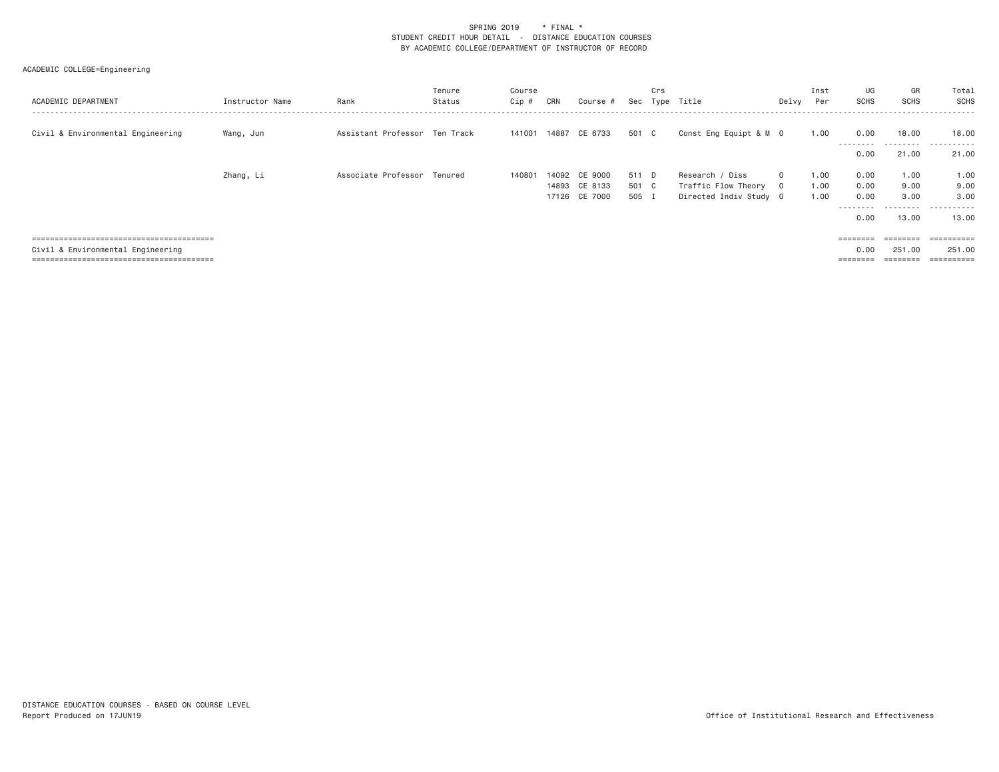| ACADEMIC DEPARTMENT               | Instructor Name | Rank                          | Tenure<br>Status | Course<br>Cip # | CRN | Course #                                        |                         | Crs | Sec Type Title                                                   | Delvy                | Inst<br>Per          | UG<br><b>SCHS</b>                    | GR<br><b>SCHS</b>             | Total<br>SCHS                            |
|-----------------------------------|-----------------|-------------------------------|------------------|-----------------|-----|-------------------------------------------------|-------------------------|-----|------------------------------------------------------------------|----------------------|----------------------|--------------------------------------|-------------------------------|------------------------------------------|
| Civil & Environmental Engineering | Wang, Jun       | Assistant Professor Ten Track |                  |                 |     | 141001 14887 CE 6733                            | 501 C                   |     | Const Eng Equipt & M 0                                           |                      | 1.00                 | 0.00<br>---------<br>0.00            | 18.00<br>---------<br>21.00   | 18.00<br>.<br>21.00                      |
|                                   | Zhang, Li       | Associate Professor Tenured   |                  | 140801          |     | 14092 CE 9000<br>14893 CE 8133<br>17126 CE 7000 | 511 D<br>501 C<br>505 I |     | Research / Diss<br>Traffic Flow Theory<br>Directed Indiv Study 0 | $\Omega$<br>$\Omega$ | 1.00<br>1.00<br>1.00 | 0.00<br>0.00<br>0.00<br>----<br>0.00 | 1,00<br>9.00<br>3.00<br>13.00 | 1.00<br>9.00<br>3,00<br>-------<br>13.00 |
| Civil & Environmental Engineering |                 |                               |                  |                 |     |                                                 |                         |     |                                                                  |                      |                      | 0.00<br>========                     | 251,00<br>========            | ==========<br>251,00<br>==========       |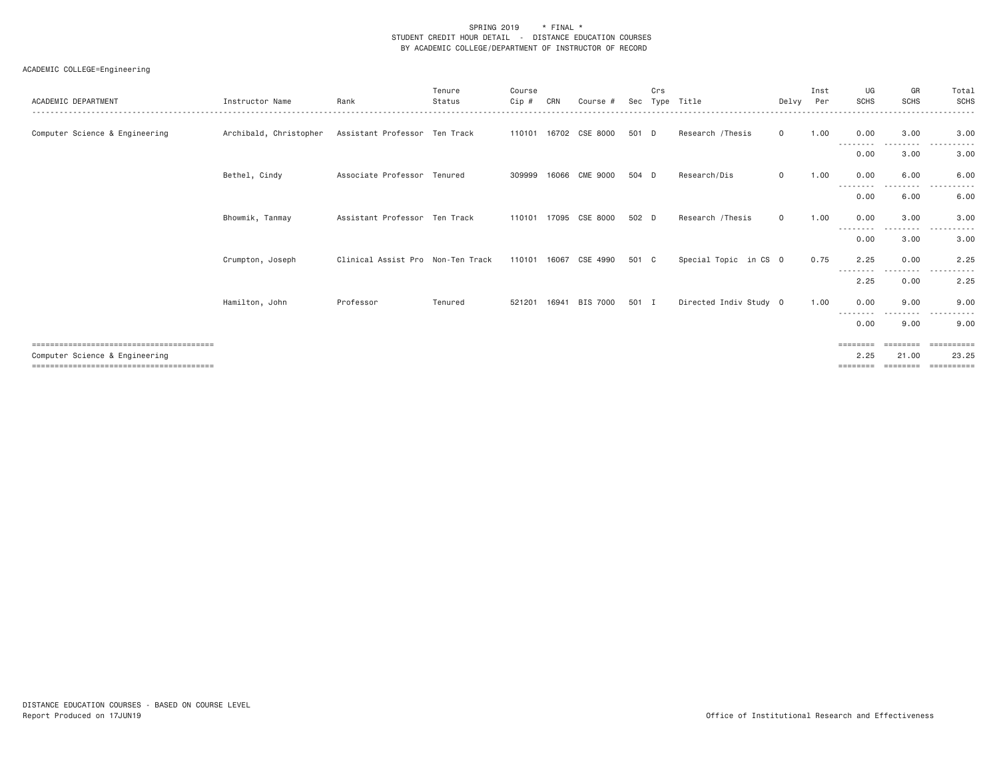| ACADEMIC DEPARTMENT            | Instructor Name        | Rank                              | Tenure<br>Status | Course<br>Cip # | CRN   | Course #              | Sec   | Crs | Type Title             | Delvy        | Inst<br>Per | UG<br><b>SCHS</b>         | GR<br><b>SCHS</b> | Total<br>SCHS        |
|--------------------------------|------------------------|-----------------------------------|------------------|-----------------|-------|-----------------------|-------|-----|------------------------|--------------|-------------|---------------------------|-------------------|----------------------|
| Computer Science & Engineering | Archibald, Christopher | Assistant Professor Ten Track     |                  |                 |       | 110101 16702 CSE 8000 | 501 D |     | Research / Thesis      | $\Omega$     | 1.00        | 0.00<br>- - - - - - - - - | 3.00              | 3.00                 |
|                                |                        |                                   |                  |                 |       |                       |       |     |                        |              |             | 0.00                      | 3.00              | 3.00                 |
|                                | Bethel, Cindy          | Associate Professor Tenured       |                  | 309999          | 16066 | CME 9000              | 504 D |     | Research/Dis           | $\Omega$     | 1.00        | 0.00<br>--------          | 6.00<br>-----     | 6.00<br>$- - -$<br>. |
|                                |                        |                                   |                  |                 |       |                       |       |     |                        |              |             | 0.00                      | 6.00              | 6.00                 |
|                                | Bhowmik, Tanmay        | Assistant Professor Ten Track     |                  |                 |       | 110101 17095 CSE 8000 | 502 D |     | Research / Thesis      | $\mathbf{0}$ | 1.00        | 0.00                      | 3.00              | 3.00                 |
|                                |                        |                                   |                  |                 |       |                       |       |     |                        |              |             | 0.00                      | 3.00              | 3.00                 |
|                                | Crumpton, Joseph       | Clinical Assist Pro Non-Ten Track |                  | 110101 16067    |       | CSE 4990              | 501 C |     | Special Topic in CS 0  |              | 0.75        | 2.25                      | 0.00<br>$\cdots$  | 2.25                 |
|                                |                        |                                   |                  |                 |       |                       |       |     |                        |              |             | 2.25                      | 0.00              | 2.25                 |
|                                | Hamilton, John         | Professor                         | Tenured          |                 |       | 521201 16941 BIS 7000 | 501 I |     | Directed Indiv Study 0 |              | 1.00        | 0.00                      | 9.00              | 9.00                 |
|                                |                        |                                   |                  |                 |       |                       |       |     |                        |              |             | 0.00                      | 9.00              | 9.00                 |
|                                |                        |                                   |                  |                 |       |                       |       |     |                        |              |             | ========                  | ========          | -----------          |
| Computer Science & Engineering |                        |                                   |                  |                 |       |                       |       |     |                        |              |             | 2.25<br>========          | 21.00<br>======== | 23.25<br>==========  |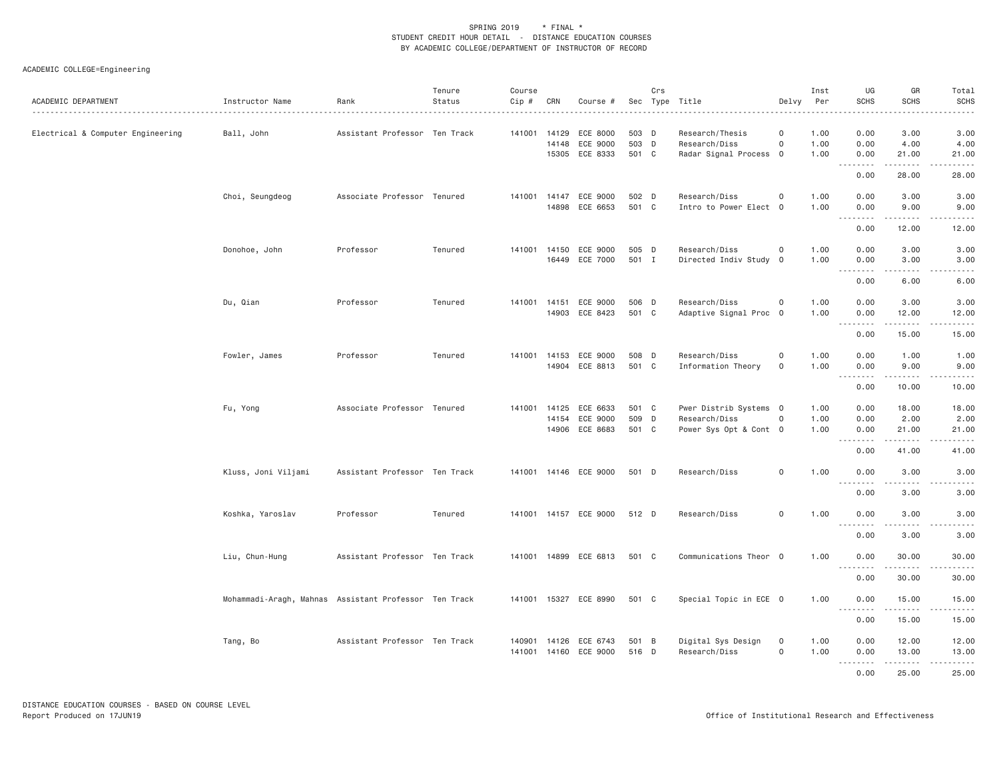| ACADEMIC DEPARTMENT               | Instructor Name                                       | Rank                          | Tenure<br>Status | Course<br>Cip # | CRN   | Course #                                            |                         | Crs | Sec Type Title<br>.                                               | Delvy                                      | Inst<br>Per          | UG<br><b>SCHS</b>               | GR<br><b>SCHS</b>                   | Total<br>SCHS                                                                                                                                                        |
|-----------------------------------|-------------------------------------------------------|-------------------------------|------------------|-----------------|-------|-----------------------------------------------------|-------------------------|-----|-------------------------------------------------------------------|--------------------------------------------|----------------------|---------------------------------|-------------------------------------|----------------------------------------------------------------------------------------------------------------------------------------------------------------------|
| Electrical & Computer Engineering | Ball, John                                            | Assistant Professor Ten Track |                  |                 | 14148 | 141001 14129 ECE 8000<br>ECE 9000<br>15305 ECE 8333 | 503 D<br>503 D<br>501 C |     | Research/Thesis<br>Research/Diss<br>Radar Signal Process 0        | $\circ$<br>$\circ$                         | 1.00<br>1.00<br>1.00 | 0.00<br>0.00<br>0.00            | 3.00<br>4.00<br>21.00               | 3.00<br>4.00<br>21.00                                                                                                                                                |
|                                   |                                                       |                               |                  |                 |       |                                                     |                         |     |                                                                   |                                            |                      | .<br>0.00                       | .<br>28.00                          | $\frac{1}{2} \left( \frac{1}{2} \right) \left( \frac{1}{2} \right) \left( \frac{1}{2} \right) \left( \frac{1}{2} \right) \left( \frac{1}{2} \right)$<br>28.00        |
|                                   | Choi, Seungdeog                                       | Associate Professor Tenured   |                  |                 |       | 141001 14147 ECE 9000<br>14898 ECE 6653             | 502 D<br>501 C          |     | Research/Diss<br>Intro to Power Elect 0                           | $\mathsf{O}\xspace$                        | 1.00<br>1.00         | 0.00<br>0.00                    | 3.00<br>9.00                        | 3.00<br>9.00                                                                                                                                                         |
|                                   |                                                       |                               |                  |                 |       |                                                     |                         |     |                                                                   |                                            |                      | .<br>0.00                       | .<br>12.00                          | .<br>12.00                                                                                                                                                           |
|                                   | Donohoe, John                                         | Professor                     | Tenured          | 141001          | 14150 | ECE 9000<br>16449 ECE 7000                          | 505 D<br>501 I          |     | Research/Diss<br>Directed Indiv Study 0                           | $\mathsf{O}\xspace$                        | 1.00<br>1.00         | 0.00<br>0.00<br>.               | 3.00<br>3.00<br>$\frac{1}{2}$       | 3.00<br>3.00<br>.                                                                                                                                                    |
|                                   |                                                       |                               |                  |                 |       |                                                     |                         |     |                                                                   |                                            |                      | 0.00                            | 6.00                                | 6.00                                                                                                                                                                 |
|                                   | Du, Qian                                              | Professor                     | Tenured          |                 |       | 141001 14151 ECE 9000<br>14903 ECE 8423             | 506 D<br>501 C          |     | Research/Diss<br>Adaptive Signal Proc 0                           | $\mathbf 0$                                | 1.00<br>1.00         | 0.00<br>0.00<br>.               | 3.00<br>12.00<br>.                  | 3.00<br>12.00<br>.                                                                                                                                                   |
|                                   |                                                       |                               |                  |                 |       |                                                     |                         |     |                                                                   |                                            |                      | 0.00                            | 15.00                               | 15.00                                                                                                                                                                |
|                                   | Fowler, James                                         | Professor                     | Tenured          |                 |       | 141001 14153 ECE 9000<br>14904 ECE 8813             | 508 D<br>501 C          |     | Research/Diss<br>Information Theory                               | $\mathsf{O}\xspace$<br>$\mathsf{O}\xspace$ | 1.00<br>1.00         | 0.00<br>0.00<br>.               | 1.00<br>9.00<br>.                   | 1.00<br>9.00<br>$\frac{1}{2} \left( \frac{1}{2} \right) \left( \frac{1}{2} \right) \left( \frac{1}{2} \right) \left( \frac{1}{2} \right) \left( \frac{1}{2} \right)$ |
|                                   |                                                       |                               |                  |                 |       |                                                     |                         |     |                                                                   |                                            |                      | 0.00                            | 10.00                               | 10.00                                                                                                                                                                |
|                                   | Fu, Yong                                              | Associate Professor Tenured   |                  | 141001 14125    |       | ECE 6633<br>14154 ECE 9000<br>14906 ECE 8683        | 501 C<br>509 D<br>501 C |     | Pwer Distrib Systems 0<br>Research/Diss<br>Power Sys Opt & Cont 0 | $\mathsf{O}\xspace$                        | 1.00<br>1.00<br>1.00 | 0.00<br>0.00<br>0.00            | 18.00<br>2.00<br>21.00              | 18.00<br>2.00<br>21.00                                                                                                                                               |
|                                   |                                                       |                               |                  |                 |       |                                                     |                         |     |                                                                   |                                            |                      | .<br>0.00                       | . <b>.</b><br>41.00                 | .<br>41.00                                                                                                                                                           |
|                                   | Kluss, Joni Viljami                                   | Assistant Professor Ten Track |                  |                 |       | 141001 14146 ECE 9000                               | 501 D                   |     | Research/Diss                                                     | $\mathbf 0$                                | 1.00                 | 0.00<br><u> - - - - - - - -</u> | 3,00                                | 3.00                                                                                                                                                                 |
|                                   |                                                       |                               |                  |                 |       |                                                     |                         |     |                                                                   |                                            |                      | 0.00                            | 3.00                                | 3.00                                                                                                                                                                 |
|                                   | Koshka, Yaroslav                                      | Professor                     | Tenured          |                 |       | 141001  14157  ECE  9000                            | 512 D                   |     | Research/Diss                                                     | $\mathbf 0$                                | 1.00                 | 0.00<br>.                       | 3.00<br>$\sim$ $\sim$ $\sim$ $\sim$ | 3.00<br>$\frac{1}{2} \left( \frac{1}{2} \right) \left( \frac{1}{2} \right) \left( \frac{1}{2} \right) \left( \frac{1}{2} \right) \left( \frac{1}{2} \right)$         |
|                                   |                                                       |                               |                  |                 |       |                                                     |                         |     |                                                                   |                                            |                      | 0.00                            | 3.00                                | 3.00                                                                                                                                                                 |
|                                   | Liu, Chun-Hung                                        | Assistant Professor Ten Track |                  |                 |       | 141001 14899 ECE 6813                               | 501 C                   |     | Communications Theor 0                                            |                                            | 1.00                 | 0.00<br>.                       | 30.00<br>.                          | 30.00<br>.                                                                                                                                                           |
|                                   |                                                       |                               |                  |                 |       |                                                     |                         |     |                                                                   |                                            |                      | 0.00                            | 30.00                               | 30.00                                                                                                                                                                |
|                                   | Mohammadi-Aragh, Mahnas Assistant Professor Ten Track |                               |                  |                 |       | 141001 15327 ECE 8990                               | 501 C                   |     | Special Topic in ECE 0                                            |                                            | 1.00                 | 0.00<br>.                       | 15.00                               | 15.00<br>.                                                                                                                                                           |
|                                   |                                                       |                               |                  |                 |       |                                                     |                         |     |                                                                   |                                            |                      | 0.00                            | 15.00                               | 15.00                                                                                                                                                                |
|                                   | Tang, Bo                                              | Assistant Professor Ten Track |                  | 141001          |       | 140901 14126 ECE 6743<br>14160 ECE 9000             | 501 B<br>516 D          |     | Digital Sys Design<br>Research/Diss                               | $\mathbf 0$<br>$\mathsf{O}\xspace$         | 1.00<br>1.00         | 0.00<br>0.00<br>.               | 12.00<br>13.00<br>$- - - - - - -$   | 12.00<br>13.00<br>.                                                                                                                                                  |
|                                   |                                                       |                               |                  |                 |       |                                                     |                         |     |                                                                   |                                            |                      | 0.00                            | 25,00                               | 25,00                                                                                                                                                                |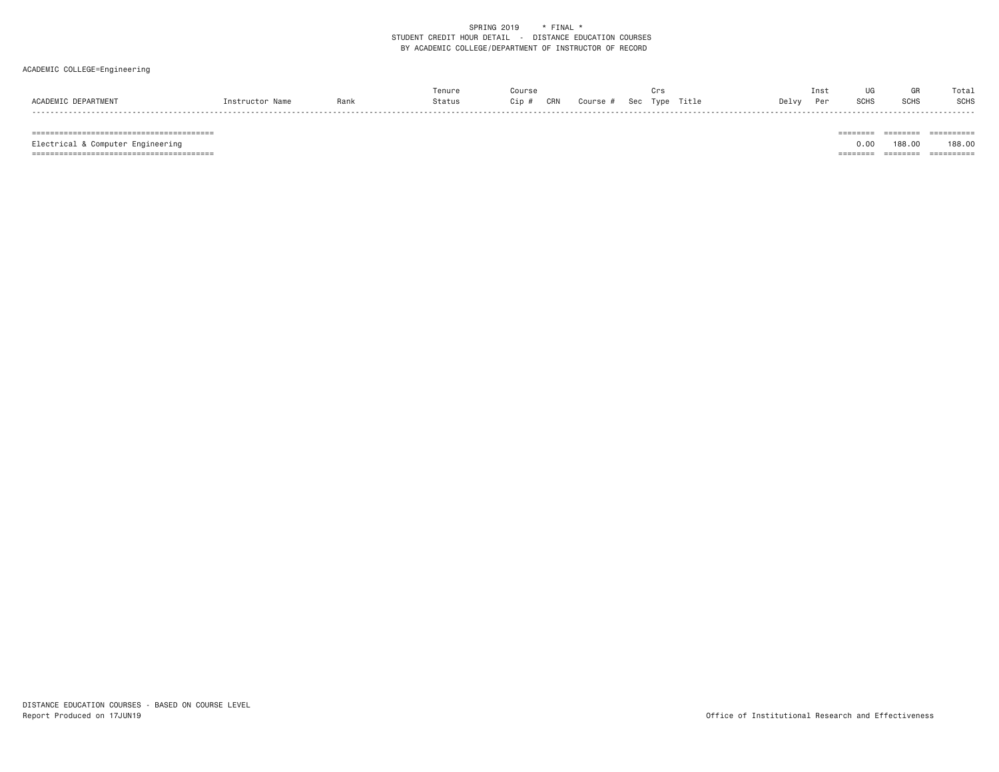### ACADEMIC COLLEGE=Engineering

|                       |      |        |            | $\cdot$ .                      |               |             | ™ota.       |
|-----------------------|------|--------|------------|--------------------------------|---------------|-------------|-------------|
| <b>ACADEM1</b><br>Nam | Rani | Status | CRN<br>ip: | Course<br><b>Tyne</b><br>- SOO | ſitle<br>Delv | <b>SCHS</b> | <b>SCHS</b> |

======================================== ======== ======== ==========

======================================== ======== ======== ==========

 $\begin{tabular}{lllllllllllll} \multicolumn{2}{l}{{\color{red}{{\color{red}\boldsymbol{z}}}}} & \multicolumn{2}{l}{{{\color{blue}\boldsymbol{z}}}} & \multicolumn{2}{l}{{{\color{blue}\boldsymbol{z}}}} & \multicolumn{2}{l}{{{\color{blue}\boldsymbol{z}}}} & \multicolumn{2}{l}{{{\color{blue}\boldsymbol{z}}}} & \multicolumn{2}{l}{{{\color{blue}\boldsymbol{z}}}} & \multicolumn{2}{l}{{{\color{blue}\boldsymbol{z}}}} & \multicolumn{2}{l}{{{\color{blue}\boldsymbol{z}}}} & \multicolumn{2}{l}{{{\color{blue}\boldsymbol{z}}}} & \mult$ Electrical & Computer Engineering 0.00 188.00 188.00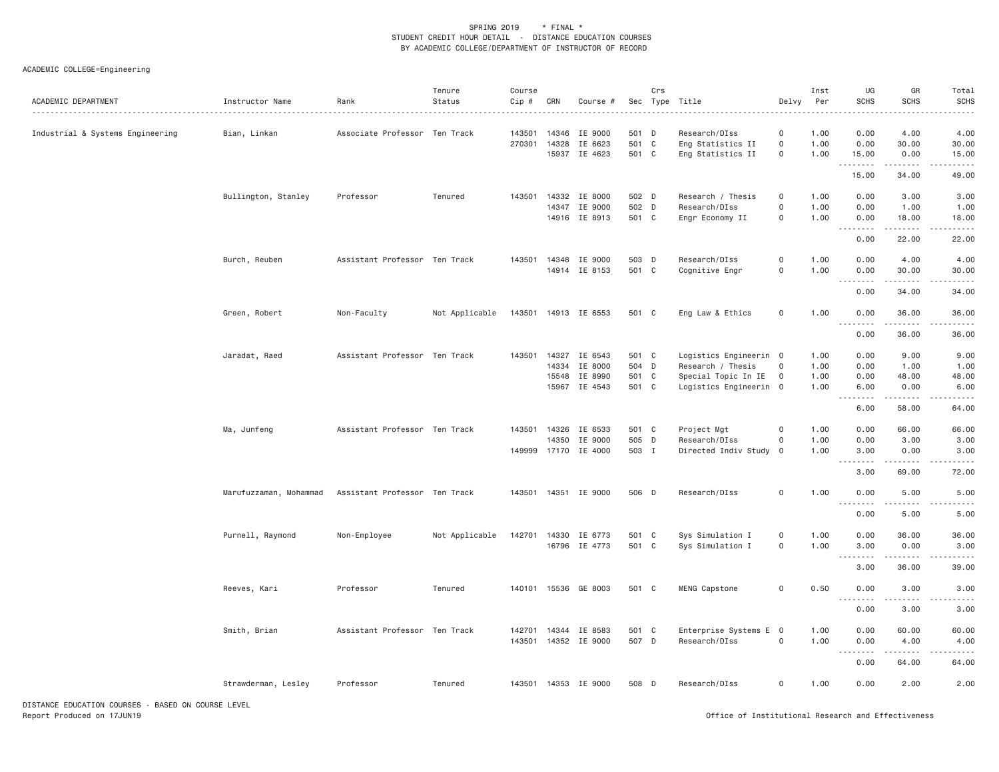| ACADEMIC DEPARTMENT                                | Instructor Name        | Rank                          | Tenure<br>Status | Course<br>Cip #  | CRN                     | Course #                                         |                                  | Crs | Sec Type Title<br>.                                                                          | Delvy                                                     | Inst<br>Per                  | UG<br><b>SCHS</b>                                    | GR<br><b>SCHS</b>             | Total<br><b>SCHS</b>          |
|----------------------------------------------------|------------------------|-------------------------------|------------------|------------------|-------------------------|--------------------------------------------------|----------------------------------|-----|----------------------------------------------------------------------------------------------|-----------------------------------------------------------|------------------------------|------------------------------------------------------|-------------------------------|-------------------------------|
| Industrial & Systems Engineering                   | Bian, Linkan           | Associate Professor Ten Track |                  | 143501<br>270301 | 14346<br>14328          | IE 9000<br>IE 6623<br>15937 IE 4623              | 501 D<br>501 C<br>501 C          |     | Research/DIss<br>Eng Statistics II<br>Eng Statistics II                                      | 0<br>$\mathsf{O}\xspace$<br>$\mathsf{O}\xspace$           | 1.00<br>1.00<br>1.00         | 0.00<br>0.00<br>15.00                                | 4.00<br>30.00<br>0.00         | 4.00<br>30.00<br>15.00        |
|                                                    |                        |                               |                  |                  |                         |                                                  |                                  |     |                                                                                              |                                                           |                              | 15.00                                                | 34.00                         | 49.00                         |
|                                                    | Bullington, Stanley    | Professor                     | Tenured          |                  | 14347                   | 143501 14332 IE 8000<br>IE 9000<br>14916 IE 8913 | 502 D<br>502 D<br>501 C          |     | Research / Thesis<br>Research/DIss<br>Engr Economy II                                        | $\mathbf 0$<br>$\mathsf{O}\xspace$<br>$\mathsf{O}\xspace$ | 1.00<br>1.00<br>1.00         | 0.00<br>0.00<br>0.00                                 | 3.00<br>1.00<br>18.00         | 3.00<br>1.00<br>18.00         |
|                                                    |                        |                               |                  |                  |                         |                                                  |                                  |     |                                                                                              |                                                           |                              | .<br>0.00                                            | 22.00                         | 22.00                         |
|                                                    | Burch, Reuben          | Assistant Professor Ten Track |                  | 143501           | 14348                   | IE 9000<br>14914 IE 8153                         | 503 D<br>501 C                   |     | Research/DIss<br>Cognitive Engr                                                              | $\mathsf{O}\xspace$<br>$\mathsf{O}\xspace$                | 1.00<br>1.00                 | 0.00<br>0.00                                         | 4.00<br>30.00                 | 4.00<br>30.00                 |
|                                                    |                        |                               |                  |                  |                         |                                                  |                                  |     |                                                                                              |                                                           |                              | .<br>0.00                                            | 34.00                         | 34.00                         |
|                                                    | Green, Robert          | Non-Faculty                   | Not Applicable   |                  |                         | 143501 14913 IE 6553                             | 501 C                            |     | Eng Law & Ethics                                                                             | $\mathbf 0$                                               | 1.00                         | 0.00<br>$\sim$ $\sim$ $\sim$                         | 36.00                         | 36.00                         |
|                                                    |                        |                               |                  |                  |                         |                                                  |                                  |     |                                                                                              |                                                           |                              | 0.00                                                 | 36.00                         | 36.00                         |
|                                                    | Jaradat, Raed          | Assistant Professor Ten Track |                  | 143501           | 14327<br>14334<br>15548 | IE 6543<br>IE 8000<br>IE 8990<br>15967 IE 4543   | 501 C<br>504 D<br>501 C<br>501 C |     | Logistics Engineerin 0<br>Research / Thesis<br>Special Topic In IE<br>Logistics Engineerin 0 | 0<br>$\overline{\mathbf{0}}$                              | 1.00<br>1.00<br>1.00<br>1.00 | 0.00<br>0.00<br>0.00<br>6.00                         | 9.00<br>1.00<br>48.00<br>0.00 | 9.00<br>1.00<br>48.00<br>6.00 |
|                                                    |                        |                               |                  |                  |                         |                                                  |                                  |     |                                                                                              |                                                           |                              | 1.1.1.1.1.1.1<br>6.00                                | $- - - - -$<br>58.00          | 64.00                         |
|                                                    | Ma, Junfeng            | Assistant Professor Ten Track |                  | 149999           | 143501 14326<br>14350   | IE 6533<br>IE 9000<br>17170 IE 4000              | 501 C<br>505 D<br>503 I          |     | Project Mgt<br>Research/DIss<br>Directed Indiv Study                                         | $\circ$<br>$\mathsf{O}\xspace$<br>$\mathbf 0$             | 1.00<br>1.00<br>1.00         | 0.00<br>0.00<br>3.00                                 | 66.00<br>3.00<br>0.00         | 66.00<br>3.00<br>3.00         |
|                                                    |                        |                               |                  |                  |                         |                                                  |                                  |     |                                                                                              |                                                           |                              | 3.00                                                 | 69.00                         | 72.00                         |
|                                                    | Marufuzzaman, Mohammad | Assistant Professor Ten Track |                  |                  |                         | 143501 14351 IE 9000                             | 506 D                            |     | Research/DIss                                                                                | $\mathsf{O}\xspace$                                       | 1.00                         | 0.00<br>$\sim$ $\sim$ $\sim$<br>$\sim$ $\sim$ $\sim$ | 5.00                          | 5.00                          |
|                                                    |                        |                               |                  |                  |                         |                                                  |                                  |     |                                                                                              |                                                           |                              | 0.00                                                 | 5.00                          | 5.00                          |
|                                                    | Purnell, Raymond       | Non-Employee                  | Not Applicable   | 142701           | 14330                   | IE 6773<br>16796 IE 4773                         | 501 C<br>501 C                   |     | Sys Simulation I<br>Sys Simulation I                                                         | $\mathsf{O}$<br>$\mathsf{O}$                              | 1.00<br>1.00                 | 0.00<br>3.00                                         | 36.00<br>0.00                 | 36.00<br>3.00                 |
|                                                    |                        |                               |                  |                  |                         |                                                  |                                  |     |                                                                                              |                                                           |                              | .<br>3.00                                            | $- - - - -$<br>36.00          | 39.00                         |
|                                                    | Reeves, Kari           | Professor                     | Tenured          |                  |                         | 140101 15536 GE 8003                             | 501 C                            |     | MENG Capstone                                                                                | $\mathsf{O}\xspace$                                       | 0.50                         | 0.00<br>$\sim$ $\sim$ .                              | 3.00                          | 3.00                          |
|                                                    |                        |                               |                  |                  |                         |                                                  |                                  |     |                                                                                              |                                                           |                              | 0.00                                                 | 3.00                          | 3.00                          |
|                                                    | Smith, Brian           | Assistant Professor Ten Track |                  | 143501           |                         | 142701 14344 IE 8583<br>14352 IE 9000            | 501 C<br>507 D                   |     | Enterprise Systems E 0<br>Research/DIss                                                      | $\mathsf{O}\xspace$                                       | 1.00<br>1.00                 | 0.00<br>0.00<br>.<br>$  -$                           | 60.00<br>4.00<br>.            | 60.00<br>4.00                 |
|                                                    |                        |                               |                  |                  |                         |                                                  |                                  |     |                                                                                              |                                                           |                              | 0.00                                                 | 64.00                         | 64.00                         |
|                                                    | Strawderman, Lesley    | Professor                     | Tenured          |                  |                         | 143501 14353 IE 9000                             | 508 D                            |     | Research/DIss                                                                                | $\mathbf 0$                                               | 1.00                         | 0.00                                                 | 2.00                          | 2.00                          |
| DISTANCE EDUCATION COURSES - BASED ON COURSE LEVEL |                        |                               |                  |                  |                         |                                                  |                                  |     |                                                                                              |                                                           |                              |                                                      |                               |                               |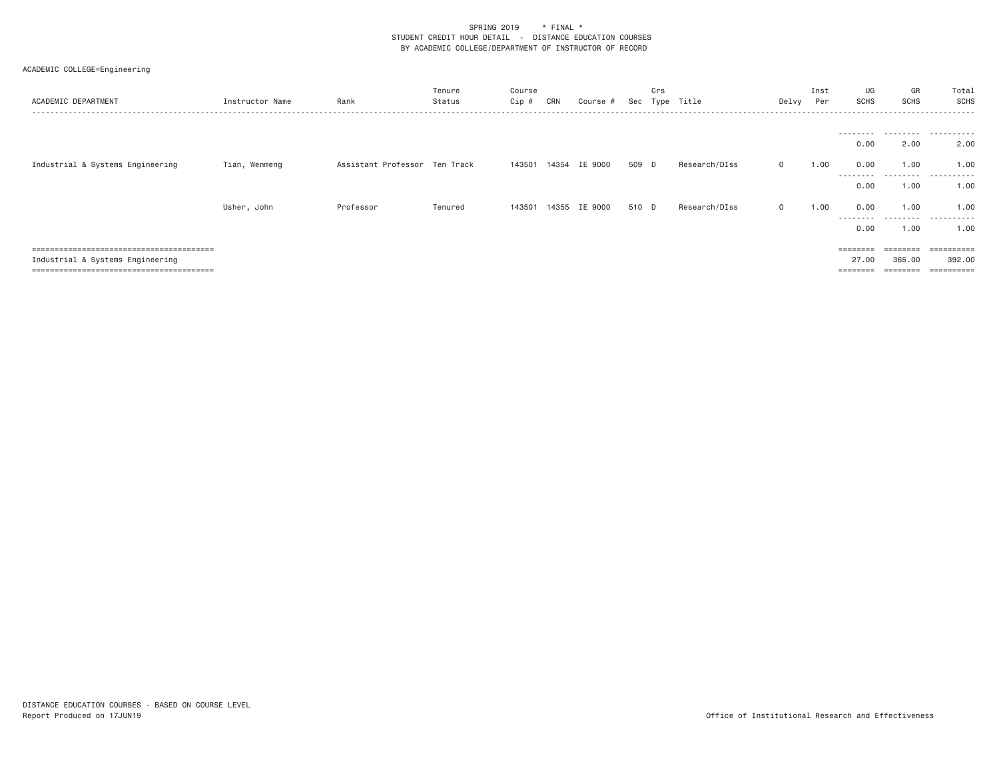| ACADEMIC DEPARTMENT              | Instructor Name | Rank                          | Tenure<br>Status | Course<br>Cip # | CRN | Course #      | Sec   | Crs<br>Type | Title         | Delvy        | Inst<br>Per | UG<br><b>SCHS</b>           | GR<br><b>SCHS</b>  | Total<br><b>SCHS</b><br>. |
|----------------------------------|-----------------|-------------------------------|------------------|-----------------|-----|---------------|-------|-------------|---------------|--------------|-------------|-----------------------------|--------------------|---------------------------|
|                                  |                 |                               |                  |                 |     |               |       |             |               |              |             | ---------                   |                    | .                         |
|                                  |                 |                               |                  |                 |     |               |       |             |               |              |             | 0.00                        | 2.00               | 2.00                      |
| Industrial & Systems Engineering | Tian, Wenmeng   | Assistant Professor Ten Track |                  | 143501          |     | 14354 IE 9000 | 509 D |             | Research/DIss | $\mathbf{0}$ | 1.00        | 0.00<br>---------           | 1,00               | 1.00<br>.                 |
|                                  |                 |                               |                  |                 |     |               |       |             |               |              |             | 0.00                        | 1,00               | 1.00                      |
|                                  | Usher, John     | Professor                     | Tenured          | 143501          |     | 14355 IE 9000 | 510 D |             | Research/DIss | $\mathbf{0}$ | 1.00        | 0.00                        | 1,00               | 1.00                      |
|                                  |                 |                               |                  |                 |     |               |       |             |               |              |             | ---------<br>0.00           | .<br>1,00          | .<br>1.00                 |
|                                  |                 |                               |                  |                 |     |               |       |             |               |              |             | $=$ $=$ $=$ $=$ $=$ $=$ $=$ | $=$ =======        | $=$ = = = = = = = = = =   |
| Industrial & Systems Engineering |                 |                               |                  |                 |     |               |       |             |               |              |             | 27,00<br>$=$ = = = = = = =  | 365,00<br>======== | 392.00<br>==========      |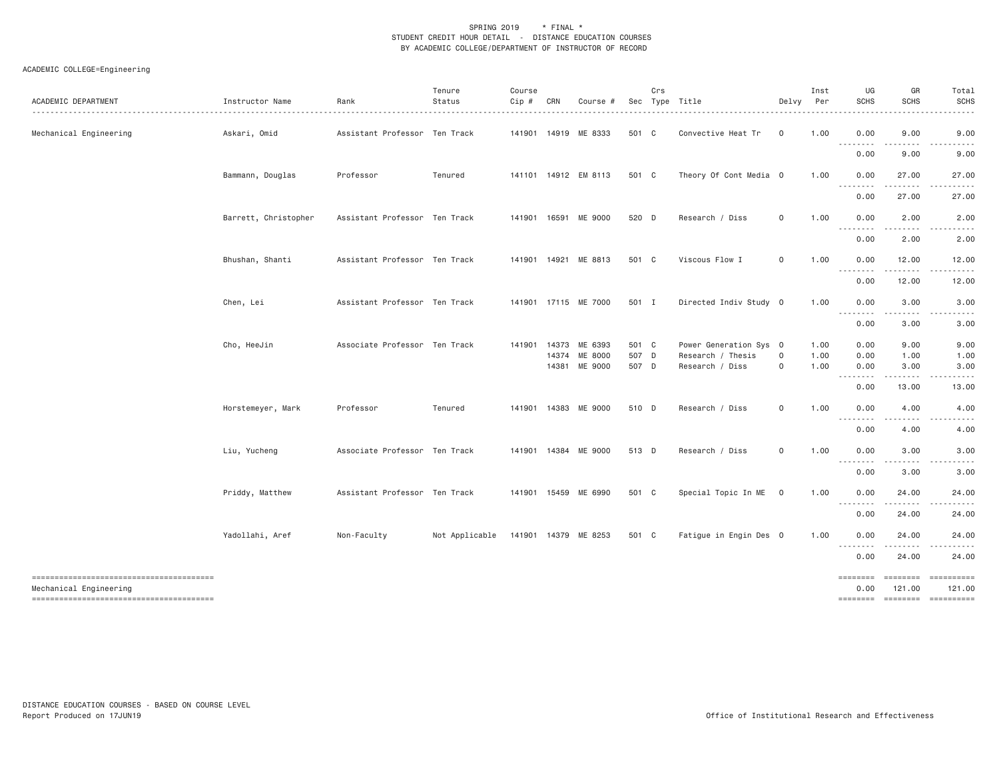| ACADEMIC DEPARTMENT                                              | Instructor Name      | Rank                          | Tenure<br>Status | Course<br>Cip # | CRN   | Course #                                         |                         | Crs | Sec Type Title                                                 | Delvy                              | Inst<br>Per          | UG<br><b>SCHS</b>                                                                                           | GR<br><b>SCHS</b>                                                                                                                                             | Total<br><b>SCHS</b>                                                                                                                                                                                                                                                                                                                                                                                                                                                                                                      |
|------------------------------------------------------------------|----------------------|-------------------------------|------------------|-----------------|-------|--------------------------------------------------|-------------------------|-----|----------------------------------------------------------------|------------------------------------|----------------------|-------------------------------------------------------------------------------------------------------------|---------------------------------------------------------------------------------------------------------------------------------------------------------------|---------------------------------------------------------------------------------------------------------------------------------------------------------------------------------------------------------------------------------------------------------------------------------------------------------------------------------------------------------------------------------------------------------------------------------------------------------------------------------------------------------------------------|
| Mechanical Engineering                                           | Askari, Omid         | Assistant Professor Ten Track |                  |                 |       | 141901 14919 ME 8333                             | 501 C                   |     | Convective Heat Tr                                             | $\mathbf 0$                        | 1.00                 | 0.00<br>$  -$<br>$   -$                                                                                     | 9.00                                                                                                                                                          | 9.00                                                                                                                                                                                                                                                                                                                                                                                                                                                                                                                      |
|                                                                  |                      |                               |                  |                 |       |                                                  |                         |     |                                                                |                                    |                      | 0.00                                                                                                        | 9.00                                                                                                                                                          | 9.00                                                                                                                                                                                                                                                                                                                                                                                                                                                                                                                      |
|                                                                  | Bammann, Douglas     | Professor                     | Tenured          |                 |       | 141101 14912 EM 8113                             | 501 C                   |     | Theory Of Cont Media 0                                         |                                    | 1.00                 | 0.00<br>$  -$                                                                                               | 27.00                                                                                                                                                         | 27.00                                                                                                                                                                                                                                                                                                                                                                                                                                                                                                                     |
|                                                                  |                      |                               |                  |                 |       |                                                  |                         |     |                                                                |                                    |                      | ----<br>0.00                                                                                                | 27.00                                                                                                                                                         | 27.00                                                                                                                                                                                                                                                                                                                                                                                                                                                                                                                     |
|                                                                  | Barrett, Christopher | Assistant Professor Ten Track |                  |                 |       | 141901 16591 ME 9000                             | 520 D                   |     | Research / Diss                                                | $\mathsf{O}\xspace$                | 1.00                 | 0.00<br>$\sim$ $\sim$ $\sim$                                                                                | 2.00                                                                                                                                                          | 2.00                                                                                                                                                                                                                                                                                                                                                                                                                                                                                                                      |
|                                                                  |                      |                               |                  |                 |       |                                                  |                         |     |                                                                |                                    |                      | .<br>0.00                                                                                                   | 2.00                                                                                                                                                          | 2.00                                                                                                                                                                                                                                                                                                                                                                                                                                                                                                                      |
|                                                                  | Bhushan, Shanti      | Assistant Professor Ten Track |                  |                 |       | 141901 14921 ME 8813                             | 501 C                   |     | Viscous Flow I                                                 | 0                                  | 1.00                 | 0.00                                                                                                        | 12.00                                                                                                                                                         | 12.00                                                                                                                                                                                                                                                                                                                                                                                                                                                                                                                     |
|                                                                  |                      |                               |                  |                 |       |                                                  |                         |     |                                                                |                                    |                      | --------<br>0.00                                                                                            | .<br>12.00                                                                                                                                                    | 12.00                                                                                                                                                                                                                                                                                                                                                                                                                                                                                                                     |
|                                                                  | Chen, Lei            | Assistant Professor Ten Track |                  |                 |       | 141901 17115 ME 7000                             | 501 I                   |     | Directed Indiv Study 0                                         |                                    | 1.00                 | 0.00                                                                                                        | 3.00                                                                                                                                                          | 3.00                                                                                                                                                                                                                                                                                                                                                                                                                                                                                                                      |
|                                                                  |                      |                               |                  |                 |       |                                                  |                         |     |                                                                |                                    |                      | $\frac{1}{2} \left( \frac{1}{2} \right) \left( \frac{1}{2} \right) \left( \frac{1}{2} \right)$<br>.<br>0.00 | .<br>3.00                                                                                                                                                     | .<br>3.00                                                                                                                                                                                                                                                                                                                                                                                                                                                                                                                 |
|                                                                  | Cho, HeeJin          | Associate Professor Ten Track |                  |                 | 14374 | 141901 14373 ME 6393<br>ME 8000<br>14381 ME 9000 | 501 C<br>507 D<br>507 D |     | Power Generation Sys 0<br>Research / Thesis<br>Research / Diss | $\mathsf{O}\xspace$<br>$\mathbf 0$ | 1.00<br>1.00<br>1.00 | 0.00<br>0.00<br>0.00                                                                                        | 9.00<br>1.00<br>3.00                                                                                                                                          | 9.00<br>1.00<br>3.00                                                                                                                                                                                                                                                                                                                                                                                                                                                                                                      |
|                                                                  |                      |                               |                  |                 |       |                                                  |                         |     |                                                                |                                    |                      | 0.00                                                                                                        | $\frac{1}{2} \left( \frac{1}{2} \right) \left( \frac{1}{2} \right) \left( \frac{1}{2} \right) \left( \frac{1}{2} \right) \left( \frac{1}{2} \right)$<br>13.00 | 13.00                                                                                                                                                                                                                                                                                                                                                                                                                                                                                                                     |
|                                                                  | Horstemeyer, Mark    | Professor                     | Tenured          |                 |       | 141901 14383 ME 9000                             | 510 D                   |     | Research / Diss                                                | $\mathsf{O}\xspace$                | 1.00                 | 0.00                                                                                                        | 4.00                                                                                                                                                          | 4.00                                                                                                                                                                                                                                                                                                                                                                                                                                                                                                                      |
|                                                                  |                      |                               |                  |                 |       |                                                  |                         |     |                                                                |                                    |                      | 0.00                                                                                                        | .<br>4.00                                                                                                                                                     | 4.00                                                                                                                                                                                                                                                                                                                                                                                                                                                                                                                      |
|                                                                  | Liu, Yucheng         | Associate Professor Ten Track |                  |                 |       | 141901 14384 ME 9000                             | 513 D                   |     | Research / Diss                                                | $\mathbf 0$                        | 1.00                 | 0.00                                                                                                        | 3.00                                                                                                                                                          | 3.00                                                                                                                                                                                                                                                                                                                                                                                                                                                                                                                      |
|                                                                  |                      |                               |                  |                 |       |                                                  |                         |     |                                                                |                                    |                      | .<br>0.00                                                                                                   | .<br>3.00                                                                                                                                                     | 3.00                                                                                                                                                                                                                                                                                                                                                                                                                                                                                                                      |
|                                                                  | Priddy, Matthew      | Assistant Professor Ten Track |                  |                 |       | 141901 15459 ME 6990                             | 501 C                   |     | Special Topic In ME                                            | $\overline{\mathbf{0}}$            | 1.00                 | 0.00                                                                                                        | 24.00                                                                                                                                                         | 24.00                                                                                                                                                                                                                                                                                                                                                                                                                                                                                                                     |
|                                                                  |                      |                               |                  |                 |       |                                                  |                         |     |                                                                |                                    |                      | --------<br>0.00                                                                                            | $- - - - -$<br>24.00                                                                                                                                          | 24.00                                                                                                                                                                                                                                                                                                                                                                                                                                                                                                                     |
|                                                                  | Yadollahi, Aref      | Non-Faculty                   | Not Applicable   |                 |       | 141901 14379 ME 8253                             | 501 C                   |     | Fatigue in Engin Des 0                                         |                                    | 1.00                 | 0.00                                                                                                        | 24.00                                                                                                                                                         | 24.00                                                                                                                                                                                                                                                                                                                                                                                                                                                                                                                     |
|                                                                  |                      |                               |                  |                 |       |                                                  |                         |     |                                                                |                                    |                      | $- - -$<br>0.00                                                                                             | 24.00                                                                                                                                                         | 24.00                                                                                                                                                                                                                                                                                                                                                                                                                                                                                                                     |
| --------------------------------------<br>Mechanical Engineering |                      |                               |                  |                 |       |                                                  |                         |     |                                                                |                                    |                      | $=$ $=$ $=$ $=$ $=$ $=$ $=$ $=$<br>0.00                                                                     | $= 222222222$<br>121.00                                                                                                                                       | - ==========<br>121.00                                                                                                                                                                                                                                                                                                                                                                                                                                                                                                    |
| --------------------------------------                           |                      |                               |                  |                 |       |                                                  |                         |     |                                                                |                                    |                      |                                                                                                             |                                                                                                                                                               | $\begin{array}{c} \multicolumn{3}{c} {\small \texttt{m}} = \multicolumn{3}{c} {\small \texttt{m}} = \multicolumn{3}{c} {\small \texttt{m}} = \multicolumn{3}{c} {\small \texttt{m}} = \multicolumn{3}{c} {\small \texttt{m}} = \multicolumn{3}{c} {\small \texttt{m}} = \multicolumn{3}{c} {\small \texttt{m}} = \multicolumn{3}{c} {\small \texttt{m}} = \multicolumn{3}{c} {\small \texttt{m}} = \multicolumn{3}{c} {\small \texttt{m}} = \multicolumn{3}{c} {\small \texttt{m}} = \multicolumn{3}{c} {\small \texttt{$ |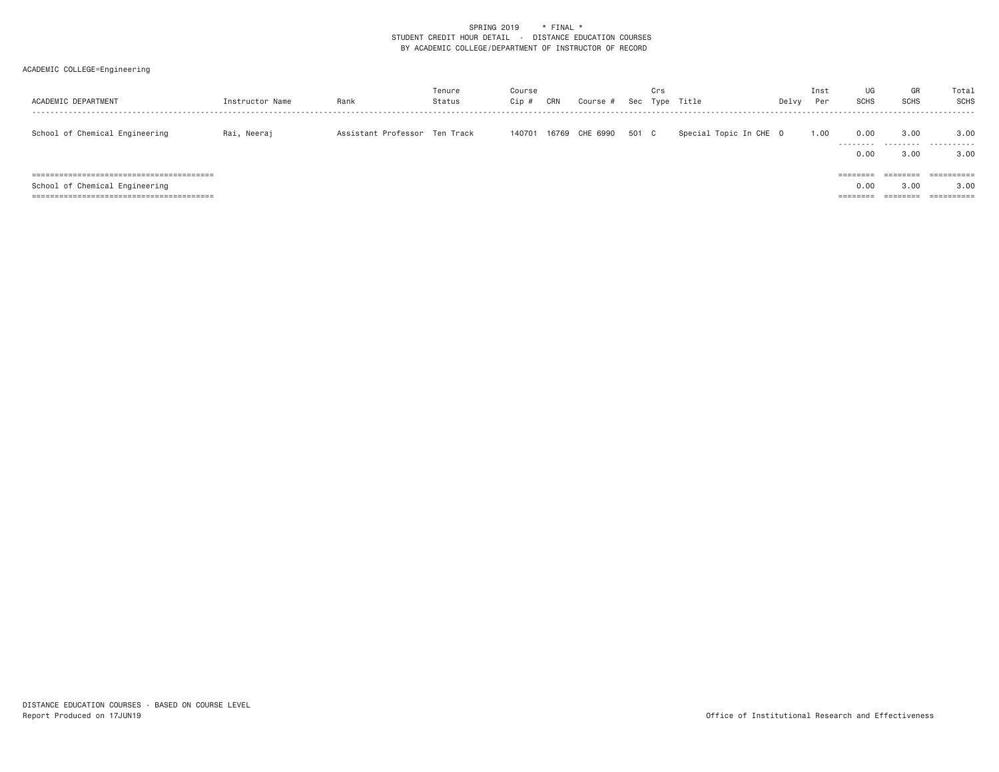| ACADEMIC DEPARTMENT            | Instructor Name | Rank                          | Tenure<br>Status | Course<br>Cip # | CRN   | Course # | Sec   | Crs<br>Type | Title                  | Delvy | Inst<br>Per | UG<br><b>SCHS</b>        | GR<br><b>SCHS</b>        | Total<br>SCHS                         |
|--------------------------------|-----------------|-------------------------------|------------------|-----------------|-------|----------|-------|-------------|------------------------|-------|-------------|--------------------------|--------------------------|---------------------------------------|
| School of Chemical Engineering | Rai, Neeraj     | Assistant Professor Ten Track |                  | 140701          | 16769 | CHE 6990 | 501 C |             | Special Topic In CHE 0 |       | 1.00        | 0.00<br>.                | 3.00<br>.                | 3.00<br>.                             |
|                                |                 |                               |                  |                 |       |          |       |             |                        |       |             | 0.00<br>========<br>0.00 | 3.00<br>========<br>3.00 | 3.00<br>$=$ = = = = = = = = =<br>3,00 |
| School of Chemical Engineering |                 |                               |                  |                 |       |          |       |             |                        |       |             | --------                 | ________<br>--------     | $=$ = = = = = = = = =                 |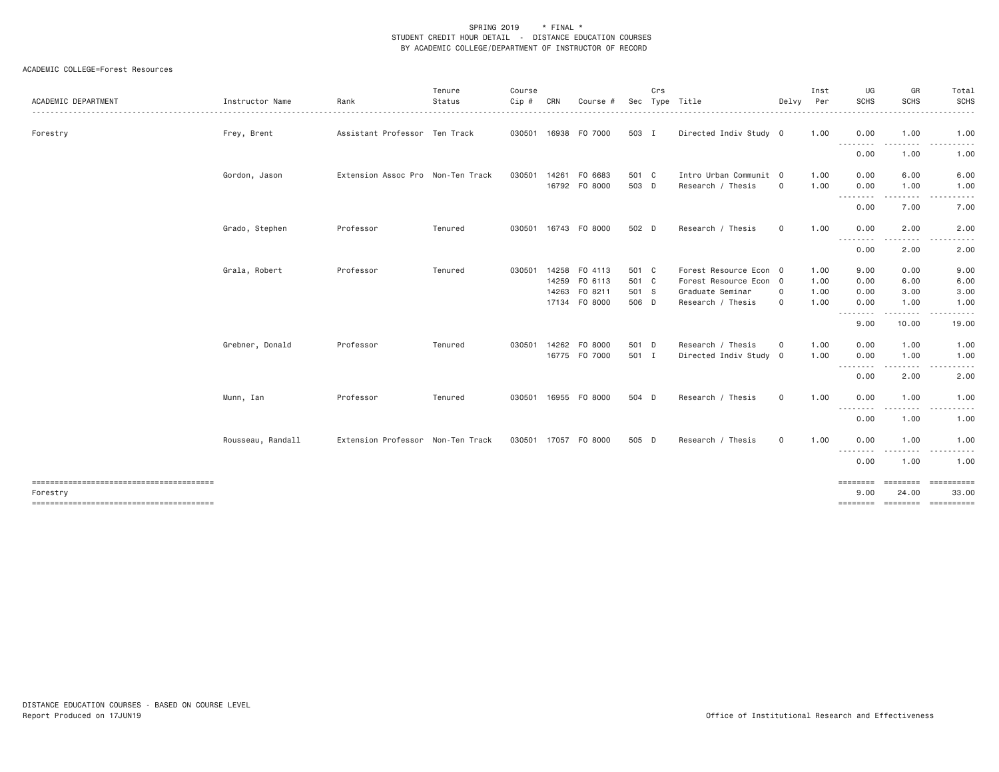#### ACADEMIC COLLEGE=Forest Resources

| ACADEMIC DEPARTMENT | Instructor Name                  | Rank                              | Tenure<br>Status   | Course<br>Cip #  | CRN   | Course                                                                                             | Sec                                                | Crs | Type Title                                                                                                                               | Delvy                       | Inst<br>Per                                  | UG<br><b>SCHS</b>                                                              | GR<br><b>SCHS</b>                                                                                                                                                                       | Total<br>SCHS<br>$- - - -$                                         |
|---------------------|----------------------------------|-----------------------------------|--------------------|------------------|-------|----------------------------------------------------------------------------------------------------|----------------------------------------------------|-----|------------------------------------------------------------------------------------------------------------------------------------------|-----------------------------|----------------------------------------------|--------------------------------------------------------------------------------|-----------------------------------------------------------------------------------------------------------------------------------------------------------------------------------------|--------------------------------------------------------------------|
| Forestry            | Frey, Brent                      | Assistant Professor Ten Track     |                    |                  |       | 030501 16938 FO 7000                                                                               | 503 I                                              |     | Directed Indiv Study 0                                                                                                                   |                             | 1.00                                         | 0.00<br>----                                                                   | 1.00                                                                                                                                                                                    | 1.00<br>$\cdots$                                                   |
|                     |                                  |                                   |                    |                  |       |                                                                                                    |                                                    |     |                                                                                                                                          |                             |                                              | 0.00                                                                           | 1.00                                                                                                                                                                                    | 1.00                                                               |
|                     | Gordon, Jason                    | Extension Assoc Pro Non-Ten Track |                    | 030501           | 14261 | FO 6683<br>16792 F0 8000                                                                           | 501 C<br>503 D                                     |     | Intro Urban Communit 0<br>Research / Thesis                                                                                              | $\mathbf 0$                 | 1.00<br>1.00                                 | 0.00<br>0.00                                                                   | 6.00<br>1.00                                                                                                                                                                            | 6.00<br>1.00                                                       |
|                     |                                  |                                   |                    |                  |       |                                                                                                    |                                                    |     |                                                                                                                                          |                             |                                              | .<br>0.00                                                                      | $\frac{1}{2} \left( \frac{1}{2} \right) \left( \frac{1}{2} \right) \left( \frac{1}{2} \right) \left( \frac{1}{2} \right) \left( \frac{1}{2} \right) \left( \frac{1}{2} \right)$<br>7.00 | $\sim$ $\sim$ $\sim$<br><u>.</u><br>7.00                           |
|                     | Grado, Stephen                   | Professor                         | Tenured            |                  |       | 030501 16743 FO 8000                                                                               | 502 D                                              |     | Research / Thesis                                                                                                                        | 0                           | 1.00                                         | 0.00                                                                           | 2.00                                                                                                                                                                                    | 2.00                                                               |
|                     |                                  |                                   |                    |                  |       |                                                                                                    |                                                    |     |                                                                                                                                          |                             |                                              | .<br>0.00                                                                      | 2.00                                                                                                                                                                                    | 2.00                                                               |
|                     | Grala, Robert<br>Grebner, Donald | Professor<br>Professor            | Tenured<br>Tenured | 030501<br>030501 |       | 14258 FO 4113<br>14259 FO 6113<br>14263 FO 8211<br>17134 FO 8000<br>14262 FO 8000<br>16775 FO 7000 | 501 C<br>501 C<br>501 S<br>506 D<br>501 D<br>501 I |     | Forest Resource Econ 0<br>Forest Resource Econ 0<br>Graduate Seminar<br>Research / Thesis<br>Research / Thesis<br>Directed Indiv Study 0 | $\mathbf 0$<br>0<br>$\circ$ | 1.00<br>1.00<br>1.00<br>1.00<br>1.00<br>1.00 | 9.00<br>0.00<br>0.00<br>0.00<br>--------<br>9.00<br>0.00<br>0.00<br>. <b>.</b> | 0.00<br>6.00<br>3.00<br>1.00<br>.<br>10.00<br>1.00<br>1.00<br>.                                                                                                                         | 9.00<br>6.00<br>3.00<br>1.00<br>19.00<br>1.00<br>1.00<br>$- - - -$ |
|                     | Munn, Ian                        | Professor                         | Tenured            | 030501           |       | 16955 FO 8000                                                                                      | 504 D                                              |     | Research / Thesis                                                                                                                        | $\mathbf 0$                 | 1.00                                         | 0.00<br>0.00<br>---------                                                      | 2.00<br>1.00                                                                                                                                                                            | 2.00<br>1.00<br>-----                                              |
|                     |                                  |                                   |                    |                  |       |                                                                                                    |                                                    |     |                                                                                                                                          |                             |                                              | 0.00                                                                           | 1.00                                                                                                                                                                                    | 1.00                                                               |
|                     | Rousseau, Randall                | Extension Professor Non-Ten Track |                    |                  |       | 030501 17057 FO 8000                                                                               | 505 D                                              |     | Research / Thesis                                                                                                                        | $\mathbf{O}$                | 1.00                                         | 0.00<br>$\cdots$                                                               | 1.00                                                                                                                                                                                    | 1.00<br>.                                                          |
|                     |                                  |                                   |                    |                  |       |                                                                                                    |                                                    |     |                                                                                                                                          |                             |                                              | 0.00                                                                           | 1.00                                                                                                                                                                                    | 1.00                                                               |
| Forestry            |                                  |                                   |                    |                  |       |                                                                                                    |                                                    |     |                                                                                                                                          |                             |                                              | ========<br>9,00                                                               | ========<br>24.00                                                                                                                                                                       | ==========<br>33.00<br>======== ======== =========                 |